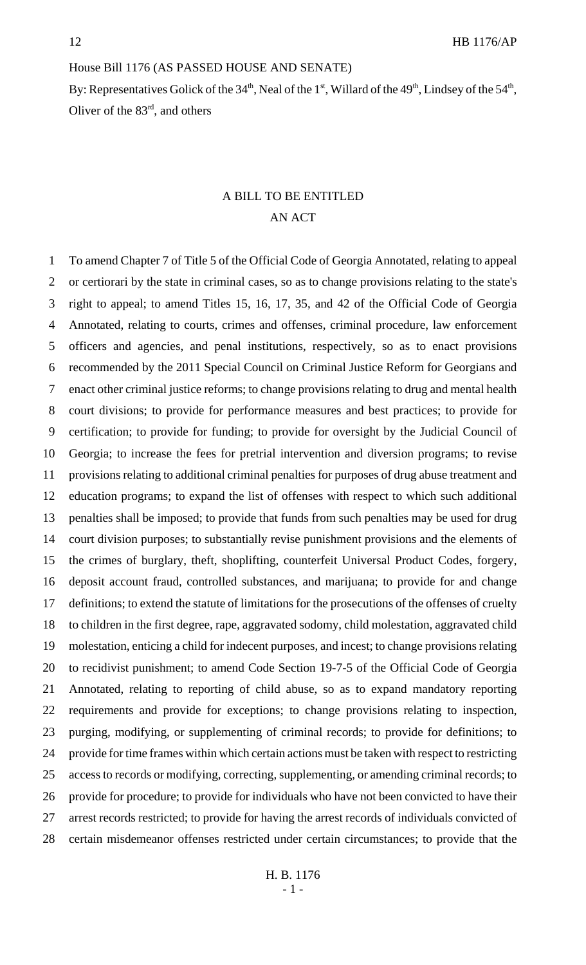#### House Bill 1176 (AS PASSED HOUSE AND SENATE)

By: Representatives Golick of the  $34<sup>th</sup>$ , Neal of the  $1<sup>st</sup>$ , Willard of the  $49<sup>th</sup>$ , Lindsey of the  $54<sup>th</sup>$ , Oliver of the 83rd, and others

# A BILL TO BE ENTITLED AN ACT

 To amend Chapter 7 of Title 5 of the Official Code of Georgia Annotated, relating to appeal or certiorari by the state in criminal cases, so as to change provisions relating to the state's right to appeal; to amend Titles 15, 16, 17, 35, and 42 of the Official Code of Georgia Annotated, relating to courts, crimes and offenses, criminal procedure, law enforcement officers and agencies, and penal institutions, respectively, so as to enact provisions recommended by the 2011 Special Council on Criminal Justice Reform for Georgians and enact other criminal justice reforms; to change provisions relating to drug and mental health court divisions; to provide for performance measures and best practices; to provide for certification; to provide for funding; to provide for oversight by the Judicial Council of Georgia; to increase the fees for pretrial intervention and diversion programs; to revise provisions relating to additional criminal penalties for purposes of drug abuse treatment and education programs; to expand the list of offenses with respect to which such additional penalties shall be imposed; to provide that funds from such penalties may be used for drug court division purposes; to substantially revise punishment provisions and the elements of the crimes of burglary, theft, shoplifting, counterfeit Universal Product Codes, forgery, deposit account fraud, controlled substances, and marijuana; to provide for and change definitions; to extend the statute of limitations for the prosecutions of the offenses of cruelty to children in the first degree, rape, aggravated sodomy, child molestation, aggravated child molestation, enticing a child for indecent purposes, and incest; to change provisions relating to recidivist punishment; to amend Code Section 19-7-5 of the Official Code of Georgia Annotated, relating to reporting of child abuse, so as to expand mandatory reporting requirements and provide for exceptions; to change provisions relating to inspection, purging, modifying, or supplementing of criminal records; to provide for definitions; to provide for time frames within which certain actions must be taken with respect to restricting access to records or modifying, correcting, supplementing, or amending criminal records; to provide for procedure; to provide for individuals who have not been convicted to have their arrest records restricted; to provide for having the arrest records of individuals convicted of certain misdemeanor offenses restricted under certain circumstances; to provide that the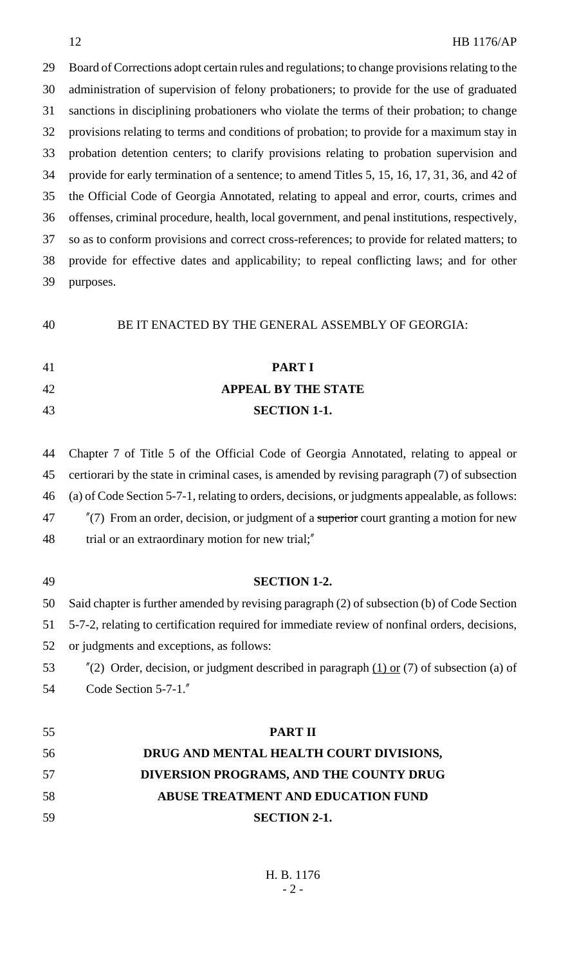Board of Corrections adopt certain rules and regulations; to change provisions relating to the administration of supervision of felony probationers; to provide for the use of graduated sanctions in disciplining probationers who violate the terms of their probation; to change provisions relating to terms and conditions of probation; to provide for a maximum stay in probation detention centers; to clarify provisions relating to probation supervision and provide for early termination of a sentence; to amend Titles 5, 15, 16, 17, 31, 36, and 42 of the Official Code of Georgia Annotated, relating to appeal and error, courts, crimes and offenses, criminal procedure, health, local government, and penal institutions, respectively, so as to conform provisions and correct cross-references; to provide for related matters; to provide for effective dates and applicability; to repeal conflicting laws; and for other purposes.

BE IT ENACTED BY THE GENERAL ASSEMBLY OF GEORGIA:

# **PART I**

# **APPEAL BY THE STATE**

#### **SECTION 1-1.**

 Chapter 7 of Title 5 of the Official Code of Georgia Annotated, relating to appeal or certiorari by the state in criminal cases, is amended by revising paragraph (7) of subsection (a) of Code Section 5-7-1, relating to orders, decisions, or judgments appealable, as follows: 47 "(7) From an order, decision, or judgment of a superior court granting a motion for new 48 trial or an extraordinary motion for new trial;"

 **SECTION 1-2.** Said chapter is further amended by revising paragraph (2) of subsection (b) of Code Section 5-7-2, relating to certification required for immediate review of nonfinal orders, decisions, or judgments and exceptions, as follows:  $\frac{\pi}{2}$  Order, decision, or judgment described in paragraph (1) or (7) of subsection (a) of Code Section 5-7-1." **PART II DRUG AND MENTAL HEALTH COURT DIVISIONS, DIVERSION PROGRAMS, AND THE COUNTY DRUG ABUSE TREATMENT AND EDUCATION FUND**

**SECTION 2-1.**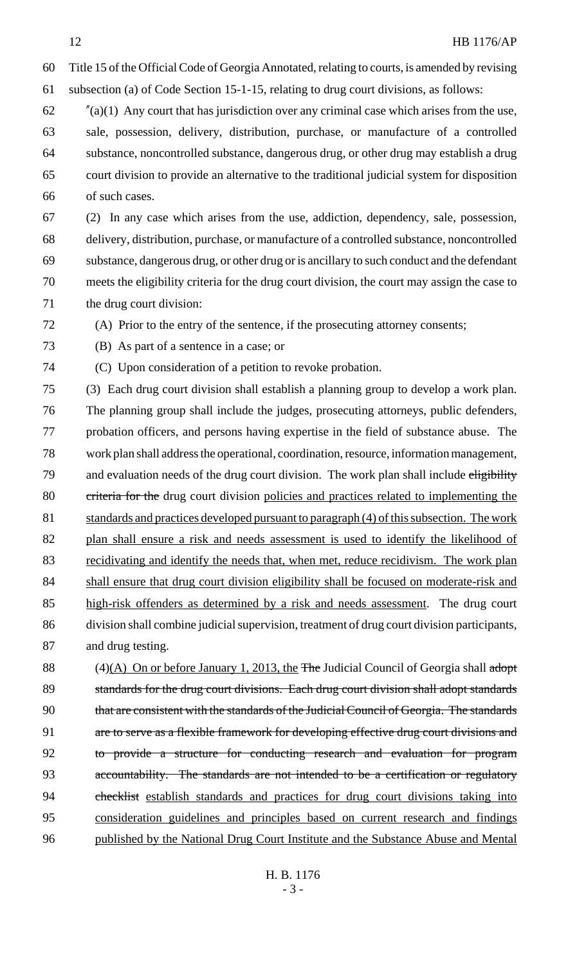Title 15 of the Official Code of Georgia Annotated, relating to courts, is amended by revising

subsection (a) of Code Section 15-1-15, relating to drug court divisions, as follows:

 $\frac{f''(a)}{1}$  Any court that has jurisdiction over any criminal case which arises from the use, sale, possession, delivery, distribution, purchase, or manufacture of a controlled substance, noncontrolled substance, dangerous drug, or other drug may establish a drug court division to provide an alternative to the traditional judicial system for disposition of such cases.

 (2) In any case which arises from the use, addiction, dependency, sale, possession, delivery, distribution, purchase, or manufacture of a controlled substance, noncontrolled substance, dangerous drug, or other drug or is ancillary to such conduct and the defendant meets the eligibility criteria for the drug court division, the court may assign the case to the drug court division:

(A) Prior to the entry of the sentence, if the prosecuting attorney consents;

(B) As part of a sentence in a case; or

(C) Upon consideration of a petition to revoke probation.

 (3) Each drug court division shall establish a planning group to develop a work plan. The planning group shall include the judges, prosecuting attorneys, public defenders, probation officers, and persons having expertise in the field of substance abuse. The work plan shall address the operational, coordination, resource, information management, 79 and evaluation needs of the drug court division. The work plan shall include eligibility 80 criteria for the drug court division policies and practices related to implementing the 81 standards and practices developed pursuant to paragraph (4) of this subsection. The work 82 plan shall ensure a risk and needs assessment is used to identify the likelihood of 83 recidivating and identify the needs that, when met, reduce recidivism. The work plan shall ensure that drug court division eligibility shall be focused on moderate-risk and high-risk offenders as determined by a risk and needs assessment. The drug court division shall combine judicial supervision, treatment of drug court division participants, and drug testing.

88 (4)(A) On or before January 1, 2013, the The Judicial Council of Georgia shall adopt 89 standards for the drug court divisions. Each drug court division shall adopt standards that are consistent with the standards of the Judicial Council of Georgia. The standards 91 are to serve as a flexible framework for developing effective drug court divisions and to provide a structure for conducting research and evaluation for program accountability. The standards are not intended to be a certification or regulatory 94 checklist establish standards and practices for drug court divisions taking into consideration guidelines and principles based on current research and findings published by the National Drug Court Institute and the Substance Abuse and Mental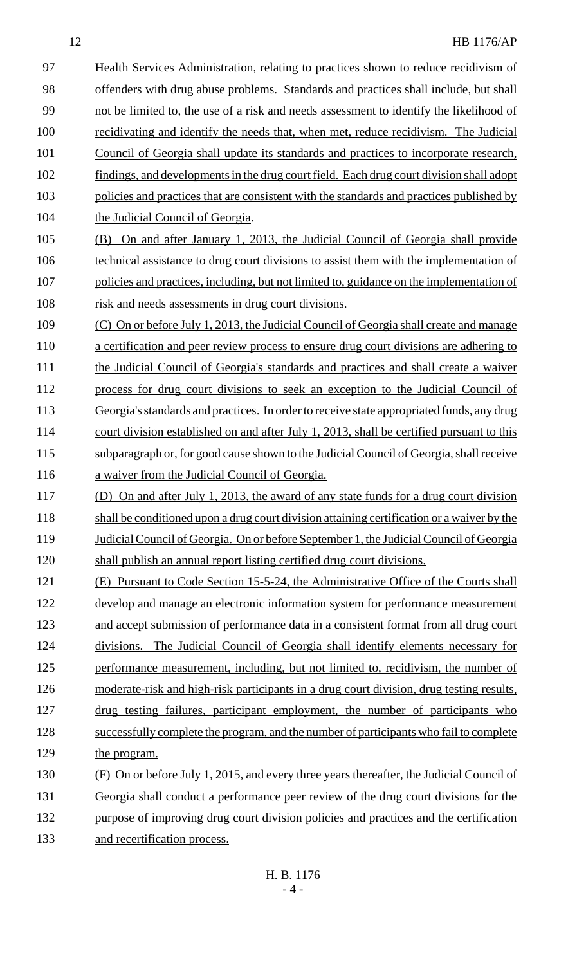12 HB 1176/AP 97 Health Services Administration, relating to practices shown to reduce recidivism of 98 offenders with drug abuse problems. Standards and practices shall include, but shall 99 not be limited to, the use of a risk and needs assessment to identify the likelihood of 100 recidivating and identify the needs that, when met, reduce recidivism. The Judicial 101 Council of Georgia shall update its standards and practices to incorporate research, 102 findings, and developments in the drug court field. Each drug court division shall adopt 103 policies and practices that are consistent with the standards and practices published by 104 the Judicial Council of Georgia. 105 (B) On and after January 1, 2013, the Judicial Council of Georgia shall provide 106 technical assistance to drug court divisions to assist them with the implementation of 107 policies and practices, including, but not limited to, guidance on the implementation of 108 risk and needs assessments in drug court divisions. 109 (C) On or before July 1, 2013, the Judicial Council of Georgia shall create and manage 110 a certification and peer review process to ensure drug court divisions are adhering to 111 the Judicial Council of Georgia's standards and practices and shall create a waiver 112 process for drug court divisions to seek an exception to the Judicial Council of 113 Georgia's standards and practices. In order to receive state appropriated funds, any drug 114 court division established on and after July 1, 2013, shall be certified pursuant to this 115 subparagraph or, for good cause shown to the Judicial Council of Georgia, shall receive 116 a waiver from the Judicial Council of Georgia. 117 (D) On and after July 1, 2013, the award of any state funds for a drug court division 118 shall be conditioned upon a drug court division attaining certification or a waiver by the 119 Judicial Council of Georgia. On or before September 1, the Judicial Council of Georgia 120 shall publish an annual report listing certified drug court divisions. 121 (E) Pursuant to Code Section 15-5-24, the Administrative Office of the Courts shall 122 develop and manage an electronic information system for performance measurement 123 and accept submission of performance data in a consistent format from all drug court 124 divisions. The Judicial Council of Georgia shall identify elements necessary for 125 performance measurement, including, but not limited to, recidivism, the number of 126 moderate-risk and high-risk participants in a drug court division, drug testing results, 127 drug testing failures, participant employment, the number of participants who 128 successfully complete the program, and the number of participants who fail to complete 129 the program. 130 (F) On or before July 1, 2015, and every three years thereafter, the Judicial Council of

131 Georgia shall conduct a performance peer review of the drug court divisions for the 132 purpose of improving drug court division policies and practices and the certification 133 and recertification process.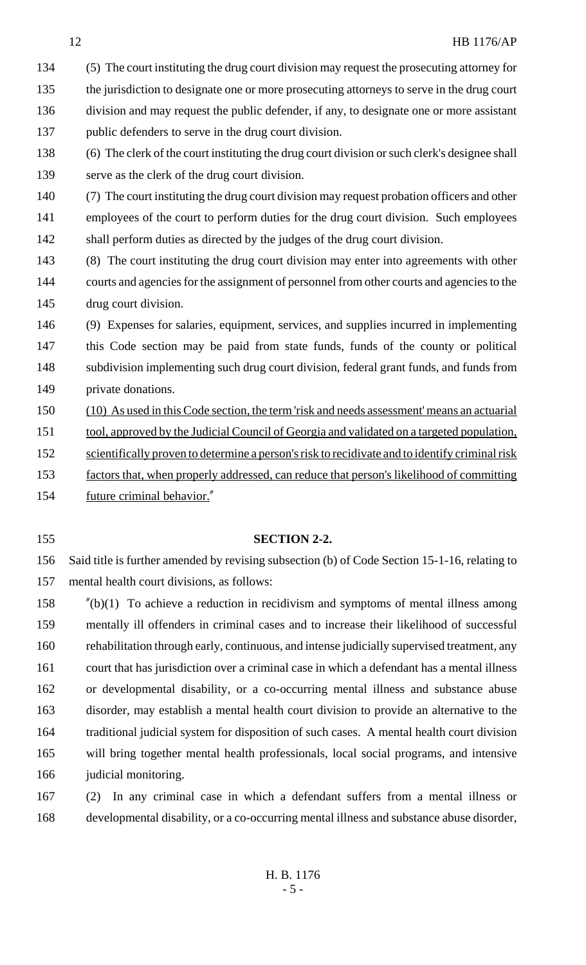(5) The court instituting the drug court division may request the prosecuting attorney for 135 the jurisdiction to designate one or more prosecuting attorneys to serve in the drug court division and may request the public defender, if any, to designate one or more assistant public defenders to serve in the drug court division.

 (6) The clerk of the court instituting the drug court division or such clerk's designee shall serve as the clerk of the drug court division.

 (7) The court instituting the drug court division may request probation officers and other employees of the court to perform duties for the drug court division. Such employees shall perform duties as directed by the judges of the drug court division.

- (8) The court instituting the drug court division may enter into agreements with other courts and agencies for the assignment of personnel from other courts and agencies to the drug court division.
- (9) Expenses for salaries, equipment, services, and supplies incurred in implementing this Code section may be paid from state funds, funds of the county or political subdivision implementing such drug court division, federal grant funds, and funds from private donations.
- (10) As used in this Code section, the term 'risk and needs assessment' means an actuarial
- 151 tool, approved by the Judicial Council of Georgia and validated on a targeted population,
- 152 scientifically proven to determine a person's risk to recidivate and to identify criminal risk
- factors that, when properly addressed, can reduce that person's likelihood of committing

future criminal behavior."

# **SECTION 2-2.**

 Said title is further amended by revising subsection (b) of Code Section 15-1-16, relating to mental health court divisions, as follows:

- "(b)(1) To achieve a reduction in recidivism and symptoms of mental illness among mentally ill offenders in criminal cases and to increase their likelihood of successful rehabilitation through early, continuous, and intense judicially supervised treatment, any court that has jurisdiction over a criminal case in which a defendant has a mental illness or developmental disability, or a co-occurring mental illness and substance abuse disorder, may establish a mental health court division to provide an alternative to the traditional judicial system for disposition of such cases. A mental health court division will bring together mental health professionals, local social programs, and intensive 166 judicial monitoring.
- (2) In any criminal case in which a defendant suffers from a mental illness or developmental disability, or a co-occurring mental illness and substance abuse disorder,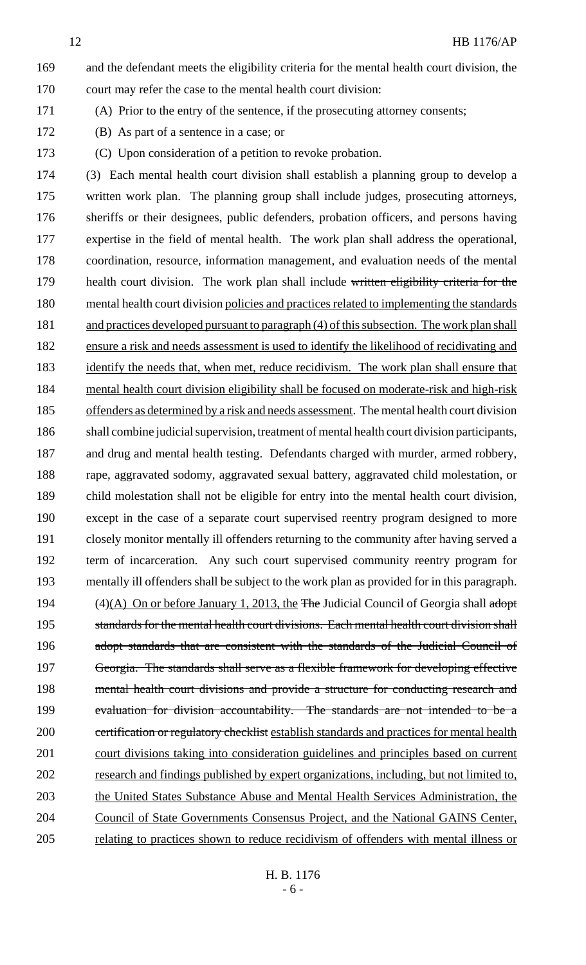and the defendant meets the eligibility criteria for the mental health court division, the court may refer the case to the mental health court division:

(A) Prior to the entry of the sentence, if the prosecuting attorney consents;

- (B) As part of a sentence in a case; or
- (C) Upon consideration of a petition to revoke probation.

 (3) Each mental health court division shall establish a planning group to develop a written work plan. The planning group shall include judges, prosecuting attorneys, sheriffs or their designees, public defenders, probation officers, and persons having expertise in the field of mental health. The work plan shall address the operational, coordination, resource, information management, and evaluation needs of the mental 179 health court division. The work plan shall include written eligibility criteria for the mental health court division policies and practices related to implementing the standards 181 and practices developed pursuant to paragraph (4) of this subsection. The work plan shall ensure a risk and needs assessment is used to identify the likelihood of recidivating and 183 identify the needs that, when met, reduce recidivism. The work plan shall ensure that mental health court division eligibility shall be focused on moderate-risk and high-risk 185 offenders as determined by a risk and needs assessment. The mental health court division shall combine judicial supervision, treatment of mental health court division participants, and drug and mental health testing. Defendants charged with murder, armed robbery, rape, aggravated sodomy, aggravated sexual battery, aggravated child molestation, or child molestation shall not be eligible for entry into the mental health court division, except in the case of a separate court supervised reentry program designed to more closely monitor mentally ill offenders returning to the community after having served a term of incarceration. Any such court supervised community reentry program for mentally ill offenders shall be subject to the work plan as provided for in this paragraph. 194 (4)(A) On or before January 1, 2013, the The Judicial Council of Georgia shall adopt 195 standards for the mental health court divisions. Each mental health court division shall 196 adopt standards that are consistent with the standards of the Judicial Council of Georgia. The standards shall serve as a flexible framework for developing effective 198 mental health court divisions and provide a structure for conducting research and evaluation for division accountability. The standards are not intended to be a 200 certification or regulatory checklist establish standards and practices for mental health court divisions taking into consideration guidelines and principles based on current research and findings published by expert organizations, including, but not limited to, 203 the United States Substance Abuse and Mental Health Services Administration, the Council of State Governments Consensus Project, and the National GAINS Center, relating to practices shown to reduce recidivism of offenders with mental illness or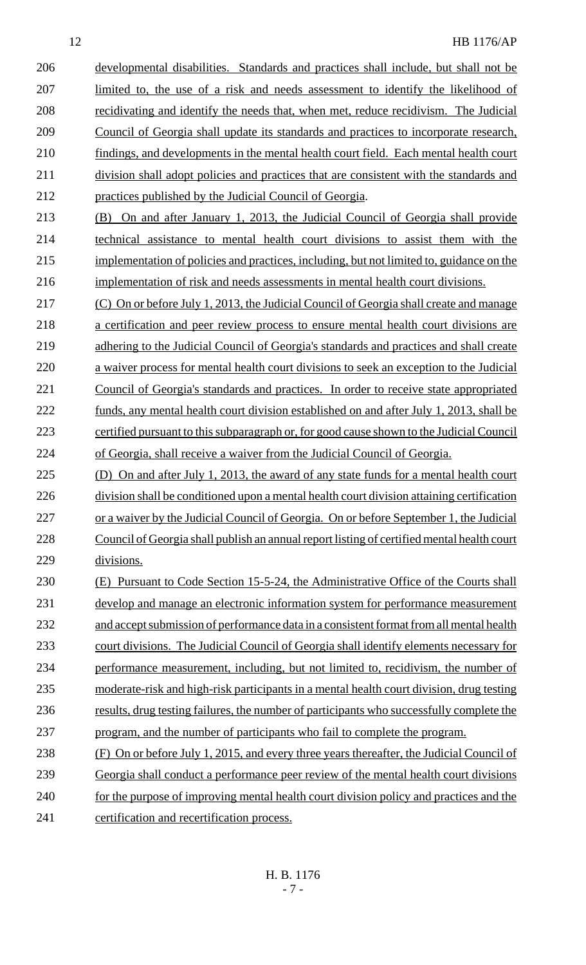developmental disabilities. Standards and practices shall include, but shall not be limited to, the use of a risk and needs assessment to identify the likelihood of recidivating and identify the needs that, when met, reduce recidivism. The Judicial Council of Georgia shall update its standards and practices to incorporate research, 210 findings, and developments in the mental health court field. Each mental health court division shall adopt policies and practices that are consistent with the standards and practices published by the Judicial Council of Georgia.

 (B) On and after January 1, 2013, the Judicial Council of Georgia shall provide technical assistance to mental health court divisions to assist them with the implementation of policies and practices, including, but not limited to, guidance on the implementation of risk and needs assessments in mental health court divisions.

 (C) On or before July 1, 2013, the Judicial Council of Georgia shall create and manage a certification and peer review process to ensure mental health court divisions are 219 adhering to the Judicial Council of Georgia's standards and practices and shall create a waiver process for mental health court divisions to seek an exception to the Judicial 221 Council of Georgia's standards and practices. In order to receive state appropriated funds, any mental health court division established on and after July 1, 2013, shall be certified pursuant to this subparagraph or, for good cause shown to the Judicial Council of Georgia, shall receive a waiver from the Judicial Council of Georgia.

 (D) On and after July 1, 2013, the award of any state funds for a mental health court division shall be conditioned upon a mental health court division attaining certification 227 or a waiver by the Judicial Council of Georgia. On or before September 1, the Judicial Council of Georgia shall publish an annual report listing of certified mental health court divisions.

230 (E) Pursuant to Code Section 15-5-24, the Administrative Office of the Courts shall develop and manage an electronic information system for performance measurement 232 and accept submission of performance data in a consistent format from all mental health 233 court divisions. The Judicial Council of Georgia shall identify elements necessary for performance measurement, including, but not limited to, recidivism, the number of moderate-risk and high-risk participants in a mental health court division, drug testing results, drug testing failures, the number of participants who successfully complete the program, and the number of participants who fail to complete the program.

 (F) On or before July 1, 2015, and every three years thereafter, the Judicial Council of Georgia shall conduct a performance peer review of the mental health court divisions 240 for the purpose of improving mental health court division policy and practices and the certification and recertification process.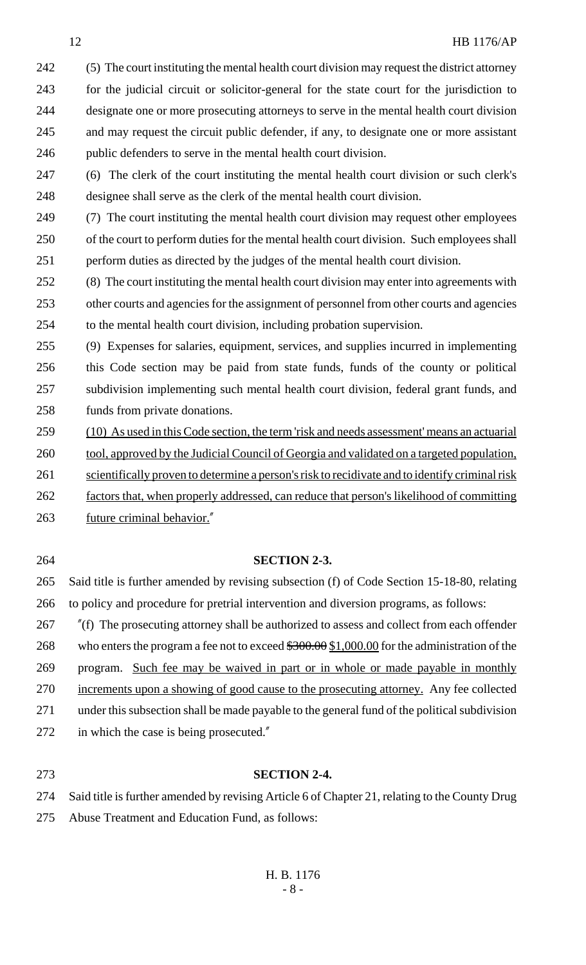(5) The court instituting the mental health court division may request the district attorney for the judicial circuit or solicitor-general for the state court for the jurisdiction to designate one or more prosecuting attorneys to serve in the mental health court division and may request the circuit public defender, if any, to designate one or more assistant public defenders to serve in the mental health court division.

 (6) The clerk of the court instituting the mental health court division or such clerk's designee shall serve as the clerk of the mental health court division.

 (7) The court instituting the mental health court division may request other employees of the court to perform duties for the mental health court division. Such employees shall perform duties as directed by the judges of the mental health court division.

 (8) The court instituting the mental health court division may enter into agreements with other courts and agencies for the assignment of personnel from other courts and agencies to the mental health court division, including probation supervision.

 (9) Expenses for salaries, equipment, services, and supplies incurred in implementing this Code section may be paid from state funds, funds of the county or political subdivision implementing such mental health court division, federal grant funds, and funds from private donations.

- (10) As used in this Code section, the term 'risk and needs assessment' means an actuarial 260 tool, approved by the Judicial Council of Georgia and validated on a targeted population,
- 
- 261 scientifically proven to determine a person's risk to recidivate and to identify criminal risk
- factors that, when properly addressed, can reduce that person's likelihood of committing future criminal behavior."

# **SECTION 2-3.**

 Said title is further amended by revising subsection (f) of Code Section 15-18-80, relating to policy and procedure for pretrial intervention and diversion programs, as follows:

 "(f) The prosecuting attorney shall be authorized to assess and collect from each offender 268 who enters the program a fee not to exceed  $$300.00 \, $1,000.00$  for the administration of the program. Such fee may be waived in part or in whole or made payable in monthly increments upon a showing of good cause to the prosecuting attorney. Any fee collected under this subsection shall be made payable to the general fund of the political subdivision in which the case is being prosecuted."

# **SECTION 2-4.**

 Said title is further amended by revising Article 6 of Chapter 21, relating to the County Drug Abuse Treatment and Education Fund, as follows: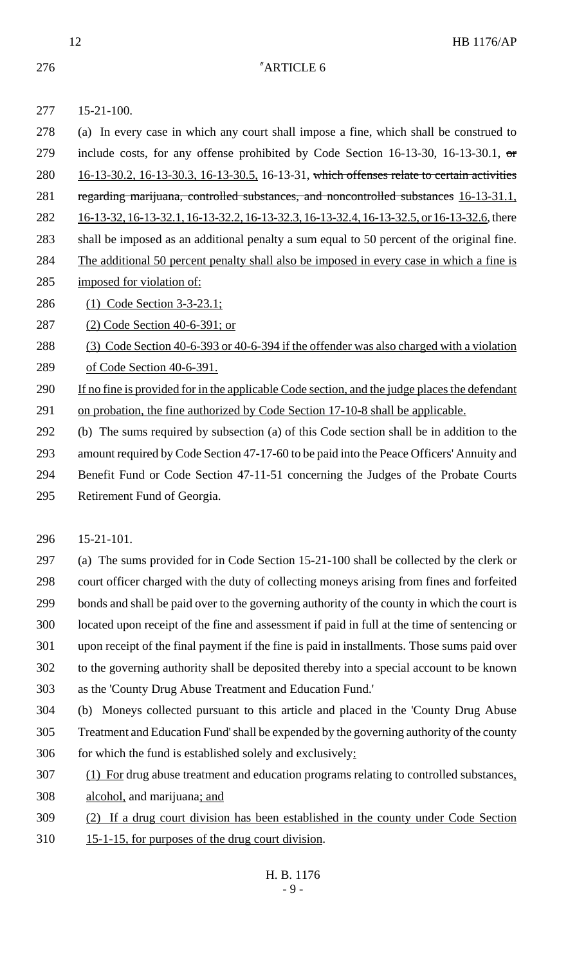"ARTICLE 6

 15-21-100. (a) In every case in which any court shall impose a fine, which shall be construed to 279 include costs, for any offense prohibited by Code Section 16-13-30, 16-13-30.1,  $\sigma$  16-13-30.2, 16-13-30.3, 16-13-30.5, 16-13-31, which offenses relate to certain activities regarding marijuana, controlled substances, and noncontrolled substances 16-13-31.1, 282 16-13-32, 16-13-32.1, 16-13-32.2, 16-13-32.3, 16-13-32.4, 16-13-32.5, or 16-13-32.6, there shall be imposed as an additional penalty a sum equal to 50 percent of the original fine. The additional 50 percent penalty shall also be imposed in every case in which a fine is imposed for violation of: (1) Code Section 3-3-23.1; (2) Code Section 40-6-391; or (3) Code Section 40-6-393 or 40-6-394 if the offender was also charged with a violation of Code Section 40-6-391. 290 If no fine is provided for in the applicable Code section, and the judge places the defendant 291 on probation, the fine authorized by Code Section 17-10-8 shall be applicable. (b) The sums required by subsection (a) of this Code section shall be in addition to the

amount required by Code Section 47-17-60 to be paid into the Peace Officers' Annuity and

 Benefit Fund or Code Section 47-11-51 concerning the Judges of the Probate Courts Retirement Fund of Georgia.

15-21-101.

 (a) The sums provided for in Code Section 15-21-100 shall be collected by the clerk or court officer charged with the duty of collecting moneys arising from fines and forfeited bonds and shall be paid over to the governing authority of the county in which the court is located upon receipt of the fine and assessment if paid in full at the time of sentencing or upon receipt of the final payment if the fine is paid in installments. Those sums paid over to the governing authority shall be deposited thereby into a special account to be known as the 'County Drug Abuse Treatment and Education Fund.'

 (b) Moneys collected pursuant to this article and placed in the 'County Drug Abuse Treatment and Education Fund' shall be expended by the governing authority of the county for which the fund is established solely and exclusively:

- (1) For drug abuse treatment and education programs relating to controlled substances, alcohol, and marijuana; and
- (2) If a drug court division has been established in the county under Code Section
- 15-1-15, for purposes of the drug court division.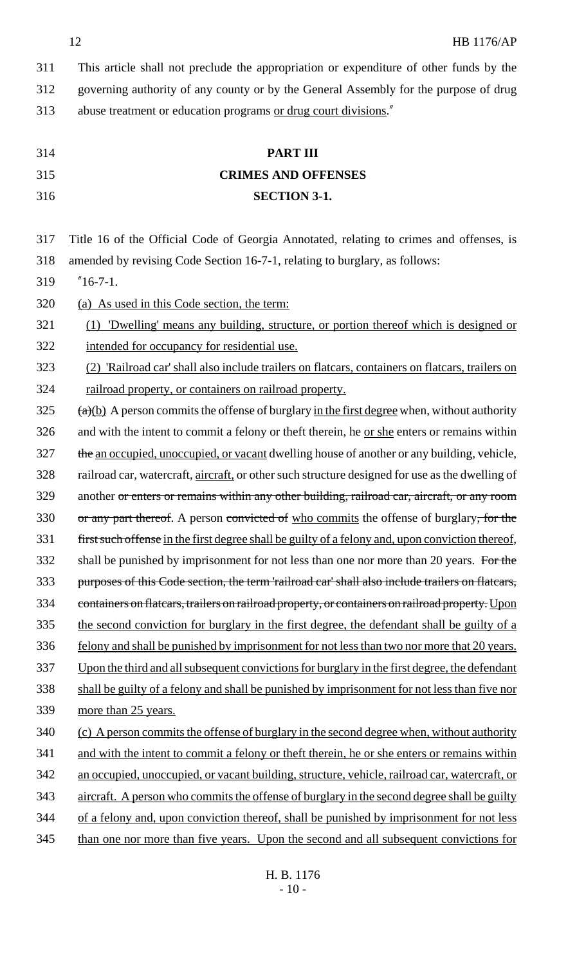|     | 12<br><b>HB 1176/AP</b>                                                                              |
|-----|------------------------------------------------------------------------------------------------------|
| 311 | This article shall not preclude the appropriation or expenditure of other funds by the               |
| 312 | governing authority of any county or by the General Assembly for the purpose of drug                 |
| 313 | abuse treatment or education programs or drug court divisions."                                      |
|     |                                                                                                      |
| 314 | <b>PART III</b>                                                                                      |
| 315 | <b>CRIMES AND OFFENSES</b>                                                                           |
| 316 | <b>SECTION 3-1.</b>                                                                                  |
|     |                                                                                                      |
| 317 | Title 16 of the Official Code of Georgia Annotated, relating to crimes and offenses, is              |
| 318 | amended by revising Code Section 16-7-1, relating to burglary, as follows:                           |
| 319 | $^{"}16-7-1.$                                                                                        |
| 320 | (a) As used in this Code section, the term:                                                          |
| 321 | (1) 'Dwelling' means any building, structure, or portion thereof which is designed or                |
| 322 | intended for occupancy for residential use.                                                          |
| 323 | (2) 'Railroad car' shall also include trailers on flatcars, containers on flatcars, trailers on      |
| 324 | railroad property, or containers on railroad property.                                               |
| 325 | $\frac{a}{b}$ ) A person commits the offense of burglary in the first degree when, without authority |
| 326 | and with the intent to commit a felony or theft therein, he or she enters or remains within          |
| 327 | the an occupied, unoccupied, or vacant dwelling house of another or any building, vehicle,           |
| 328 | railroad car, watercraft, aircraft, or other such structure designed for use as the dwelling of      |
| 329 | another or enters or remains within any other building, railroad car, aircraft, or any room          |
| 330 | or any part thereof. A person convicted of who commits the offense of burglary, for the              |
| 331 | first such offense in the first degree shall be guilty of a felony and, upon conviction thereof,     |
| 332 | shall be punished by imprisonment for not less than one nor more than 20 years. For the              |
| 333 | purposes of this Code section, the term 'railroad car' shall also include trailers on flatcars,      |
| 334 | containers on flatcars, trailers on railroad property, or containers on railroad property. Upon      |
| 335 | the second conviction for burglary in the first degree, the defendant shall be guilty of a           |
| 336 | felony and shall be punished by imprisonment for not less than two nor more that 20 years.           |
| 337 | Upon the third and all subsequent convictions for burglary in the first degree, the defendant        |
| 338 | shall be guilty of a felony and shall be punished by imprisonment for not less than five nor         |
| 339 | more than 25 years.                                                                                  |
| 340 | (c) A person commits the offense of burglary in the second degree when, without authority            |
| 341 | and with the intent to commit a felony or theft therein, he or she enters or remains within          |
| 342 | an occupied, unoccupied, or vacant building, structure, vehicle, railroad car, watercraft, or        |
| 343 | aircraft. A person who commits the offense of burglary in the second degree shall be guilty          |
| 344 | of a felony and, upon conviction thereof, shall be punished by imprisonment for not less             |
| 345 | than one nor more than five years. Upon the second and all subsequent convictions for                |
|     |                                                                                                      |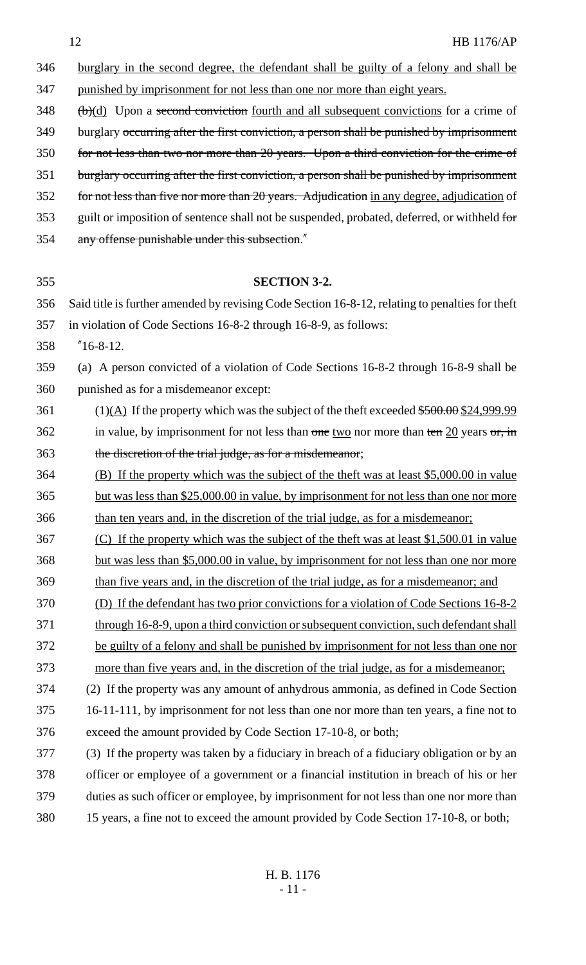burglary in the second degree, the defendant shall be guilty of a felony and shall be punished by imprisonment for not less than one nor more than eight years.

(b)(d) Upon a second conviction fourth and all subsequent convictions for a crime of

349 burglary occurring after the first conviction, a person shall be punished by imprisonment

for not less than two nor more than 20 years. Upon a third conviction for the crime of

burglary occurring after the first conviction, a person shall be punished by imprisonment

352 for not less than five nor more than 20 years. Adjudication in any degree, adjudication of

353 guilt or imposition of sentence shall not be suspended, probated, deferred, or withheld for

any offense punishable under this subsection."

| 355 | <b>SECTION 3-2.</b>                                                                                   |
|-----|-------------------------------------------------------------------------------------------------------|
| 356 | Said title is further amended by revising Code Section 16-8-12, relating to penalties for theft       |
| 357 | in violation of Code Sections 16-8-2 through 16-8-9, as follows:                                      |
| 358 | $"16-8-12.$                                                                                           |
| 359 | (a) A person convicted of a violation of Code Sections 16-8-2 through 16-8-9 shall be                 |
| 360 | punished as for a misdemeanor except:                                                                 |
| 361 | $(1)(\underline{A})$ If the property which was the subject of the theft exceeded \$500.00 \$24,999.99 |
| 362 | in value, by imprisonment for not less than one two nor more than ten $20$ years or, in               |
| 363 | the discretion of the trial judge, as for a misdemeanor;                                              |
| 364 | (B) If the property which was the subject of the theft was at least \$5,000.00 in value               |
| 365 | but was less than \$25,000.00 in value, by imprisonment for not less than one nor more                |
| 366 | than ten years and, in the discretion of the trial judge, as for a misdemeanor;                       |
| 367 | (C) If the property which was the subject of the theft was at least \$1,500.01 in value               |
| 368 | but was less than \$5,000.00 in value, by imprisonment for not less than one nor more                 |
| 369 | than five years and, in the discretion of the trial judge, as for a misdemeanor; and                  |
| 370 | (D) If the defendant has two prior convictions for a violation of Code Sections 16-8-2                |
| 371 | through 16-8-9, upon a third conviction or subsequent conviction, such defendant shall                |
| 372 | be guilty of a felony and shall be punished by imprisonment for not less than one nor                 |
| 373 | more than five years and, in the discretion of the trial judge, as for a misdemeanor;                 |
| 374 | (2) If the property was any amount of anhydrous ammonia, as defined in Code Section                   |
| 375 | 16-11-111, by imprisonment for not less than one nor more than ten years, a fine not to               |
| 376 | exceed the amount provided by Code Section 17-10-8, or both;                                          |
| 377 | (3) If the property was taken by a fiduciary in breach of a fiduciary obligation or by an             |
| 378 | officer or employee of a government or a financial institution in breach of his or her                |
| 379 | duties as such officer or employee, by imprisonment for not less than one nor more than               |
| 380 | 15 years, a fine not to exceed the amount provided by Code Section 17-10-8, or both;                  |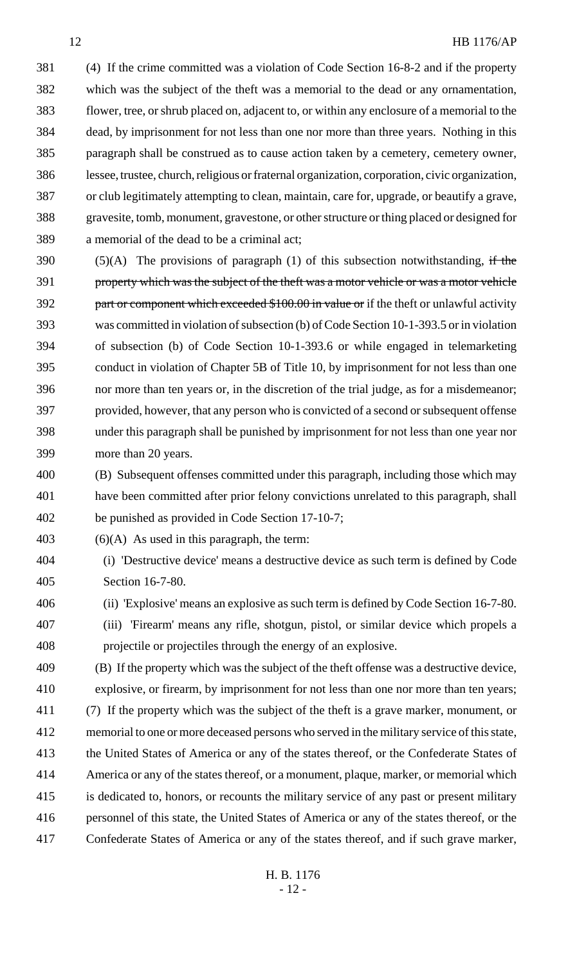(4) If the crime committed was a violation of Code Section 16-8-2 and if the property which was the subject of the theft was a memorial to the dead or any ornamentation, flower, tree, or shrub placed on, adjacent to, or within any enclosure of a memorial to the dead, by imprisonment for not less than one nor more than three years. Nothing in this paragraph shall be construed as to cause action taken by a cemetery, cemetery owner, lessee, trustee, church, religious or fraternal organization, corporation, civic organization, or club legitimately attempting to clean, maintain, care for, upgrade, or beautify a grave, gravesite, tomb, monument, gravestone, or other structure or thing placed or designed for a memorial of the dead to be a criminal act;

390 (5)(A) The provisions of paragraph (1) of this subsection notwithstanding, if the property which was the subject of the theft was a motor vehicle or was a motor vehicle 392 part or component which exceeded \$100.00 in value or if the theft or unlawful activity was committed in violation of subsection (b) of Code Section 10-1-393.5 or in violation of subsection (b) of Code Section 10-1-393.6 or while engaged in telemarketing conduct in violation of Chapter 5B of Title 10, by imprisonment for not less than one nor more than ten years or, in the discretion of the trial judge, as for a misdemeanor; provided, however, that any person who is convicted of a second or subsequent offense under this paragraph shall be punished by imprisonment for not less than one year nor more than 20 years.

 (B) Subsequent offenses committed under this paragraph, including those which may have been committed after prior felony convictions unrelated to this paragraph, shall be punished as provided in Code Section 17-10-7;

(6)(A) As used in this paragraph, the term:

 (i) 'Destructive device' means a destructive device as such term is defined by Code Section 16-7-80.

(ii) 'Explosive' means an explosive as such term is defined by Code Section 16-7-80.

 (iii) 'Firearm' means any rifle, shotgun, pistol, or similar device which propels a projectile or projectiles through the energy of an explosive.

 (B) If the property which was the subject of the theft offense was a destructive device, explosive, or firearm, by imprisonment for not less than one nor more than ten years; (7) If the property which was the subject of the theft is a grave marker, monument, or memorial to one or more deceased persons who served in the military service of this state, the United States of America or any of the states thereof, or the Confederate States of America or any of the states thereof, or a monument, plaque, marker, or memorial which is dedicated to, honors, or recounts the military service of any past or present military personnel of this state, the United States of America or any of the states thereof, or the Confederate States of America or any of the states thereof, and if such grave marker,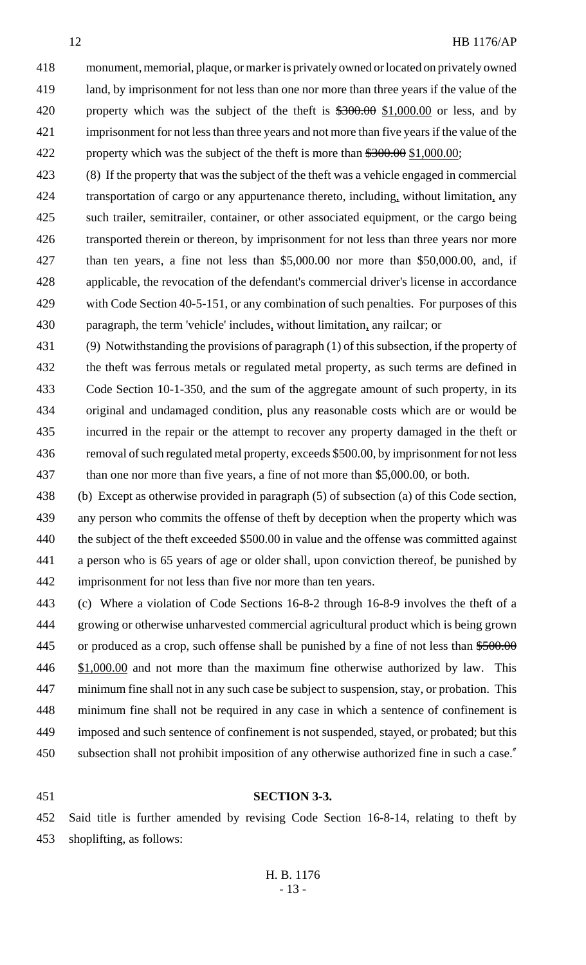monument, memorial, plaque, or marker is privately owned or located on privately owned land, by imprisonment for not less than one nor more than three years if the value of the 420 property which was the subject of the theft is  $\frac{$300.00}{$1,000.00}$  or less, and by imprisonment for not less than three years and not more than five years if the value of the 422 property which was the subject of the theft is more than  $\frac{$300.00}{$1,000.00}$ ;

 (8) If the property that was the subject of the theft was a vehicle engaged in commercial transportation of cargo or any appurtenance thereto, including, without limitation, any such trailer, semitrailer, container, or other associated equipment, or the cargo being 426 transported therein or thereon, by imprisonment for not less than three years nor more than ten years, a fine not less than \$5,000.00 nor more than \$50,000.00, and, if applicable, the revocation of the defendant's commercial driver's license in accordance 429 with Code Section 40-5-151, or any combination of such penalties. For purposes of this paragraph, the term 'vehicle' includes, without limitation, any railcar; or

 (9) Notwithstanding the provisions of paragraph (1) of this subsection, if the property of the theft was ferrous metals or regulated metal property, as such terms are defined in Code Section 10-1-350, and the sum of the aggregate amount of such property, in its original and undamaged condition, plus any reasonable costs which are or would be incurred in the repair or the attempt to recover any property damaged in the theft or removal of such regulated metal property, exceeds \$500.00, by imprisonment for not less than one nor more than five years, a fine of not more than \$5,000.00, or both.

 (b) Except as otherwise provided in paragraph (5) of subsection (a) of this Code section, any person who commits the offense of theft by deception when the property which was the subject of the theft exceeded \$500.00 in value and the offense was committed against a person who is 65 years of age or older shall, upon conviction thereof, be punished by imprisonment for not less than five nor more than ten years.

 (c) Where a violation of Code Sections 16-8-2 through 16-8-9 involves the theft of a growing or otherwise unharvested commercial agricultural product which is being grown 445 or produced as a crop, such offense shall be punished by a fine of not less than  $$500.00$ 446 \$1,000.00 and not more than the maximum fine otherwise authorized by law. This minimum fine shall not in any such case be subject to suspension, stay, or probation. This minimum fine shall not be required in any case in which a sentence of confinement is imposed and such sentence of confinement is not suspended, stayed, or probated; but this subsection shall not prohibit imposition of any otherwise authorized fine in such a case."

#### **SECTION 3-3.**

 Said title is further amended by revising Code Section 16-8-14, relating to theft by shoplifting, as follows: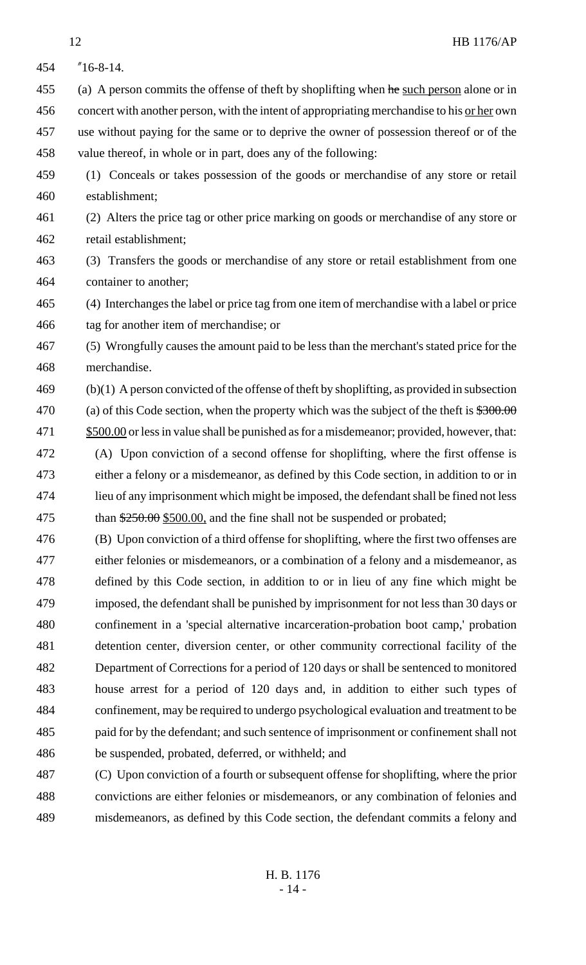- "16-8-14. 455 (a) A person commits the offense of theft by shoplifting when he such person alone or in 456 concert with another person, with the intent of appropriating merchandise to his <u>or her</u> own use without paying for the same or to deprive the owner of possession thereof or of the value thereof, in whole or in part, does any of the following: (1) Conceals or takes possession of the goods or merchandise of any store or retail establishment; (2) Alters the price tag or other price marking on goods or merchandise of any store or retail establishment; (3) Transfers the goods or merchandise of any store or retail establishment from one container to another; (4) Interchanges the label or price tag from one item of merchandise with a label or price tag for another item of merchandise; or (5) Wrongfully causes the amount paid to be less than the merchant's stated price for the merchandise. (b)(1) A person convicted of the offense of theft by shoplifting, as provided in subsection 470 (a) of this Code section, when the property which was the subject of the theft is  $$300.00$  \$500.00 or less in value shall be punished as for a misdemeanor; provided, however, that: (A) Upon conviction of a second offense for shoplifting, where the first offense is either a felony or a misdemeanor, as defined by this Code section, in addition to or in lieu of any imprisonment which might be imposed, the defendant shall be fined not less 475 than  $\frac{$250.00}{$500.00}$ , and the fine shall not be suspended or probated; (B) Upon conviction of a third offense for shoplifting, where the first two offenses are either felonies or misdemeanors, or a combination of a felony and a misdemeanor, as defined by this Code section, in addition to or in lieu of any fine which might be imposed, the defendant shall be punished by imprisonment for not less than 30 days or confinement in a 'special alternative incarceration-probation boot camp,' probation detention center, diversion center, or other community correctional facility of the Department of Corrections for a period of 120 days or shall be sentenced to monitored house arrest for a period of 120 days and, in addition to either such types of confinement, may be required to undergo psychological evaluation and treatment to be paid for by the defendant; and such sentence of imprisonment or confinement shall not be suspended, probated, deferred, or withheld; and (C) Upon conviction of a fourth or subsequent offense for shoplifting, where the prior
- convictions are either felonies or misdemeanors, or any combination of felonies and misdemeanors, as defined by this Code section, the defendant commits a felony and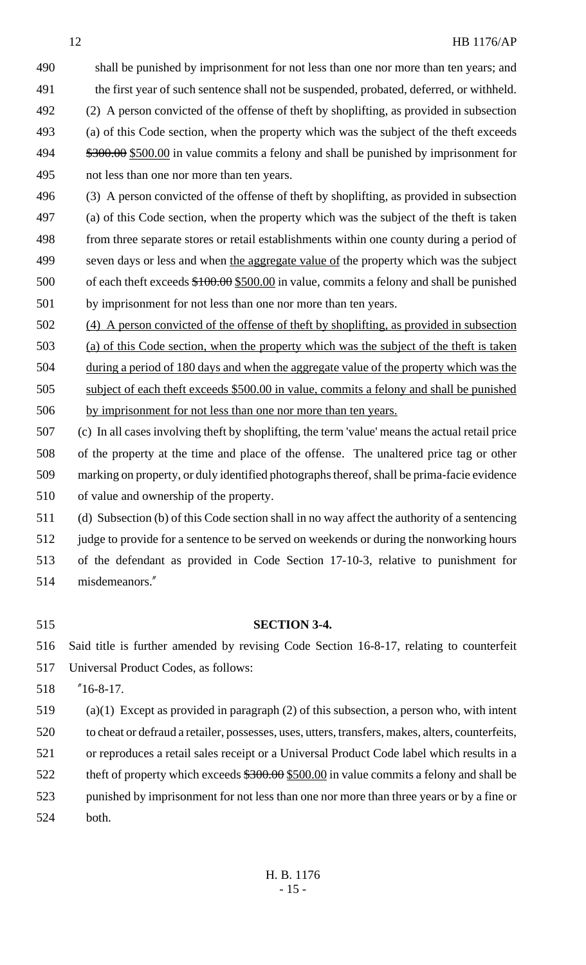shall be punished by imprisonment for not less than one nor more than ten years; and the first year of such sentence shall not be suspended, probated, deferred, or withheld. (2) A person convicted of the offense of theft by shoplifting, as provided in subsection (a) of this Code section, when the property which was the subject of the theft exceeds  $\frac{$300.00}{$500.00}$  in value commits a felony and shall be punished by imprisonment for not less than one nor more than ten years.

 (3) A person convicted of the offense of theft by shoplifting, as provided in subsection (a) of this Code section, when the property which was the subject of the theft is taken from three separate stores or retail establishments within one county during a period of 499 seven days or less and when the aggregate value of the property which was the subject of each theft exceeds \$100.00 \$500.00 in value, commits a felony and shall be punished by imprisonment for not less than one nor more than ten years.

 (4) A person convicted of the offense of theft by shoplifting, as provided in subsection (a) of this Code section, when the property which was the subject of the theft is taken during a period of 180 days and when the aggregate value of the property which was the subject of each theft exceeds \$500.00 in value, commits a felony and shall be punished by imprisonment for not less than one nor more than ten years.

 (c) In all cases involving theft by shoplifting, the term 'value' means the actual retail price of the property at the time and place of the offense. The unaltered price tag or other marking on property, or duly identified photographs thereof, shall be prima-facie evidence of value and ownership of the property.

(d) Subsection (b) of this Code section shall in no way affect the authority of a sentencing

judge to provide for a sentence to be served on weekends or during the nonworking hours

- of the defendant as provided in Code Section 17-10-3, relative to punishment for
- misdemeanors."
- 

# **SECTION 3-4.**

Said title is further amended by revising Code Section 16-8-17, relating to counterfeit

Universal Product Codes, as follows:

"16-8-17.

(a)(1) Except as provided in paragraph (2) of this subsection, a person who, with intent

to cheat or defraud a retailer, possesses, uses, utters, transfers, makes, alters, counterfeits,

or reproduces a retail sales receipt or a Universal Product Code label which results in a

- 522 theft of property which exceeds  $$300.00 \text{ m}$  value commits a felony and shall be
- punished by imprisonment for not less than one nor more than three years or by a fine or both.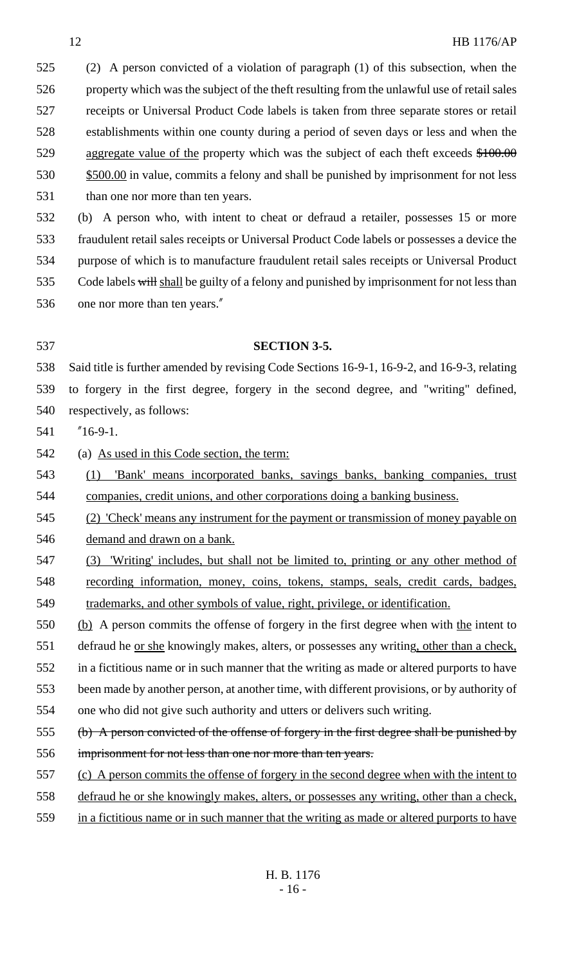(2) A person convicted of a violation of paragraph (1) of this subsection, when the property which was the subject of the theft resulting from the unlawful use of retail sales receipts or Universal Product Code labels is taken from three separate stores or retail establishments within one county during a period of seven days or less and when the 529 aggregate value of the property which was the subject of each theft exceeds  $$100.00$ 530 \$500.00 in value, commits a felony and shall be punished by imprisonment for not less 531 than one nor more than ten years.

 (b) A person who, with intent to cheat or defraud a retailer, possesses 15 or more fraudulent retail sales receipts or Universal Product Code labels or possesses a device the purpose of which is to manufacture fraudulent retail sales receipts or Universal Product 535 Code labels will shall be guilty of a felony and punished by imprisonment for not less than one nor more than ten years."

# **SECTION 3-5.**

 Said title is further amended by revising Code Sections 16-9-1, 16-9-2, and 16-9-3, relating to forgery in the first degree, forgery in the second degree, and "writing" defined, respectively, as follows:

"16-9-1.

(a) As used in this Code section, the term:

 (1) 'Bank' means incorporated banks, savings banks, banking companies, trust companies, credit unions, and other corporations doing a banking business.

 (2) 'Check' means any instrument for the payment or transmission of money payable on demand and drawn on a bank.

 (3) 'Writing' includes, but shall not be limited to, printing or any other method of recording information, money, coins, tokens, stamps, seals, credit cards, badges, trademarks, and other symbols of value, right, privilege, or identification.

550 (b) A person commits the offense of forgery in the first degree when with the intent to

551 defraud he <u>or she</u> knowingly makes, alters, or possesses any writing, other than a check,

in a fictitious name or in such manner that the writing as made or altered purports to have

been made by another person, at another time, with different provisions, or by authority of

one who did not give such authority and utters or delivers such writing.

- 555 (b) A person convicted of the offense of forgery in the first degree shall be punished by
- imprisonment for not less than one nor more than ten years.
- (c) A person commits the offense of forgery in the second degree when with the intent to
- defraud he or she knowingly makes, alters, or possesses any writing, other than a check,
- in a fictitious name or in such manner that the writing as made or altered purports to have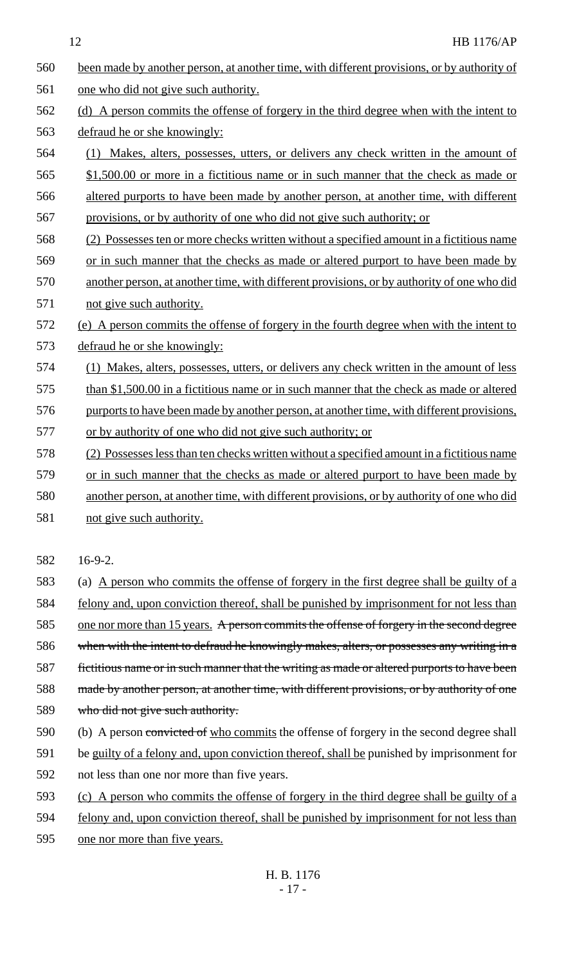| 560 | been made by another person, at another time, with different provisions, or by authority of |
|-----|---------------------------------------------------------------------------------------------|
| 561 | one who did not give such authority.                                                        |
| 562 | (d) A person commits the offense of forgery in the third degree when with the intent to     |
| 563 | defraud he or she knowingly:                                                                |
| 564 | (1) Makes, alters, possesses, utters, or delivers any check written in the amount of        |
| 565 | \$1,500.00 or more in a fictitious name or in such manner that the check as made or         |
| 566 | altered purports to have been made by another person, at another time, with different       |
| 567 | provisions, or by authority of one who did not give such authority; or                      |
| 568 | (2) Possesses ten or more checks written without a specified amount in a fictitious name    |
| 569 | or in such manner that the checks as made or altered purport to have been made by           |
| 570 | another person, at another time, with different provisions, or by authority of one who did  |
| 571 | not give such authority.                                                                    |
| 572 | (e) A person commits the offense of forgery in the fourth degree when with the intent to    |
| 573 | defraud he or she knowingly:                                                                |
| 574 | (1) Makes, alters, possesses, utters, or delivers any check written in the amount of less   |
| 575 | than \$1,500.00 in a fictitious name or in such manner that the check as made or altered    |
| 576 | purports to have been made by another person, at another time, with different provisions,   |
| 577 | or by authority of one who did not give such authority; or                                  |
| 578 | (2) Possesses less than ten checks written without a specified amount in a fictitious name  |
| 579 | or in such manner that the checks as made or altered purport to have been made by           |
| 580 | another person, at another time, with different provisions, or by authority of one who did  |
| 581 | not give such authority.                                                                    |
|     |                                                                                             |
| 582 | $16-9-2.$                                                                                   |
| 583 | A person who commits the offense of forgery in the first degree shall be guilty of a<br>(a) |
| 584 | felony and, upon conviction thereof, shall be punished by imprisonment for not less than    |
| 585 | one nor more than 15 years. A person commits the offense of forgery in the second degree    |

- 586 when with the intent to defraud he knowingly makes, alters, or possesses any writing in a 587 fictitious name or in such manner that the writing as made or altered purports to have been
- 588 made by another person, at another time, with different provisions, or by authority of one
- 589 who did not give such authority.
- 590 (b) A person convicted of who commits the offense of forgery in the second degree shall
- 591 be guilty of a felony and, upon conviction thereof, shall be punished by imprisonment for 592 not less than one nor more than five years.
- 593 (c) A person who commits the offense of forgery in the third degree shall be guilty of a
- 594 felony and, upon conviction thereof, shall be punished by imprisonment for not less than
- 595 one nor more than five years.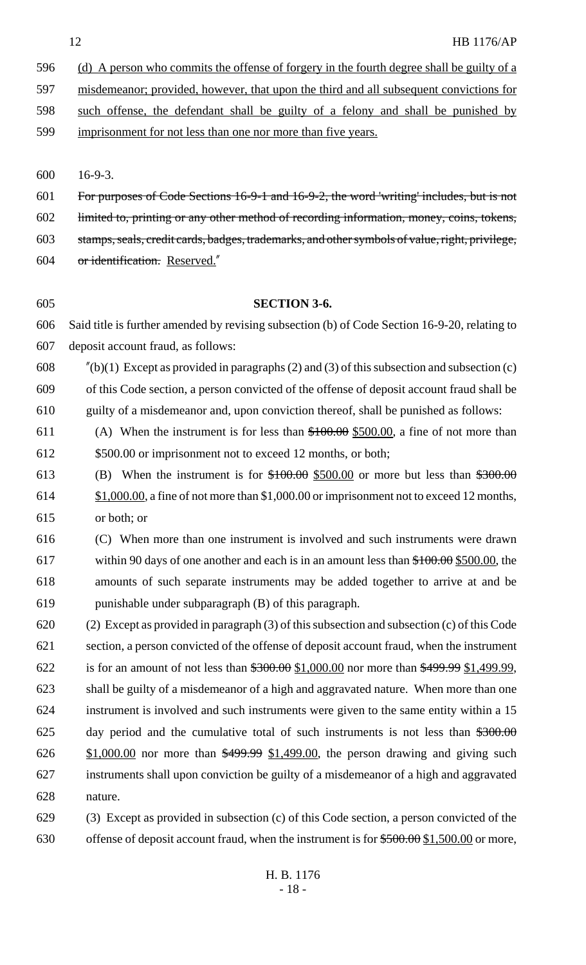596 (d) A person who commits the offense of forgery in the fourth degree shall be guilty of a

misdemeanor; provided, however, that upon the third and all subsequent convictions for

such offense, the defendant shall be guilty of a felony and shall be punished by

imprisonment for not less than one nor more than five years.

16-9-3.

For purposes of Code Sections 16-9-1 and 16-9-2, the word 'writing' includes, but is not

limited to, printing or any other method of recording information, money, coins, tokens,

stamps, seals, credit cards, badges, trademarks, and other symbols of value, right, privilege,

or identification. Reserved."

# **SECTION 3-6.**

 Said title is further amended by revising subsection (b) of Code Section 16-9-20, relating to deposit account fraud, as follows:

608  $\frac{\pi}{60}(b)(1)$  Except as provided in paragraphs (2) and (3) of this subsection and subsection (c)

 of this Code section, a person convicted of the offense of deposit account fraud shall be guilty of a misdemeanor and, upon conviction thereof, shall be punished as follows:

611 (A) When the instrument is for less than  $$100.00$  \$500.00, a fine of not more than 612 \$500.00 or imprisonment not to exceed 12 months, or both;

613 (B) When the instrument is for  $$100.00$  \$500.00 or more but less than  $$300.00$  \$1,000.00, a fine of not more than \$1,000.00 or imprisonment not to exceed 12 months, or both; or

 (C) When more than one instrument is involved and such instruments were drawn within 90 days of one another and each is in an amount less than \$100.00 \$500.00, the amounts of such separate instruments may be added together to arrive at and be punishable under subparagraph (B) of this paragraph.

 (2) Except as provided in paragraph (3) of this subsection and subsection (c) of this Code section, a person convicted of the offense of deposit account fraud, when the instrument 622 is for an amount of not less than  $\$300.00 \ \& 1,000.00$  nor more than  $\$499.99 \ \& 1,499.99$ , shall be guilty of a misdemeanor of a high and aggravated nature. When more than one instrument is involved and such instruments were given to the same entity within a 15 625 day period and the cumulative total of such instruments is not less than  $*300.00$  $626 \frac{$1,000.00}{9}$  nor more than  $$499.99 \frac{$1,499.00}{9}$ , the person drawing and giving such instruments shall upon conviction be guilty of a misdemeanor of a high and aggravated nature.

 (3) Except as provided in subsection (c) of this Code section, a person convicted of the 630 offense of deposit account fraud, when the instrument is for  $$500.00 \text{ }\Omega$ , 500.00 or more,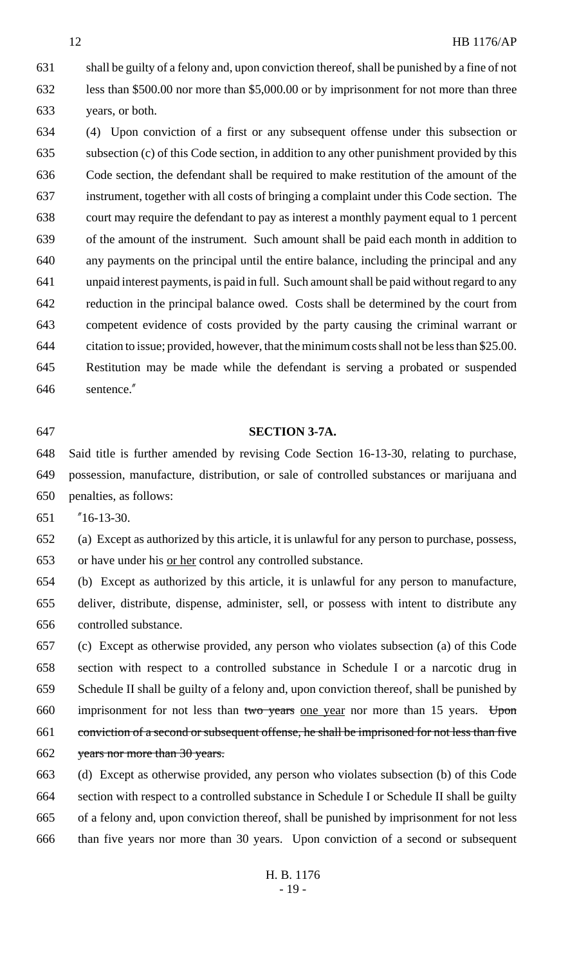shall be guilty of a felony and, upon conviction thereof, shall be punished by a fine of not less than \$500.00 nor more than \$5,000.00 or by imprisonment for not more than three years, or both.

 (4) Upon conviction of a first or any subsequent offense under this subsection or subsection (c) of this Code section, in addition to any other punishment provided by this Code section, the defendant shall be required to make restitution of the amount of the instrument, together with all costs of bringing a complaint under this Code section. The court may require the defendant to pay as interest a monthly payment equal to 1 percent of the amount of the instrument. Such amount shall be paid each month in addition to any payments on the principal until the entire balance, including the principal and any unpaid interest payments, is paid in full. Such amount shall be paid without regard to any reduction in the principal balance owed. Costs shall be determined by the court from competent evidence of costs provided by the party causing the criminal warrant or citation to issue; provided, however, that the minimum costs shall not be less than \$25.00. Restitution may be made while the defendant is serving a probated or suspended sentence."

### **SECTION 3-7A.**

 Said title is further amended by revising Code Section 16-13-30, relating to purchase, possession, manufacture, distribution, or sale of controlled substances or marijuana and penalties, as follows:

"16-13-30.

 (a) Except as authorized by this article, it is unlawful for any person to purchase, possess, or have under his or her control any controlled substance.

 (b) Except as authorized by this article, it is unlawful for any person to manufacture, deliver, distribute, dispense, administer, sell, or possess with intent to distribute any controlled substance.

 (c) Except as otherwise provided, any person who violates subsection (a) of this Code section with respect to a controlled substance in Schedule I or a narcotic drug in Schedule II shall be guilty of a felony and, upon conviction thereof, shall be punished by 660 imprisonment for not less than two years one year nor more than 15 years. Upon conviction of a second or subsequent offense, he shall be imprisoned for not less than five years nor more than 30 years.

 (d) Except as otherwise provided, any person who violates subsection (b) of this Code section with respect to a controlled substance in Schedule I or Schedule II shall be guilty of a felony and, upon conviction thereof, shall be punished by imprisonment for not less than five years nor more than 30 years. Upon conviction of a second or subsequent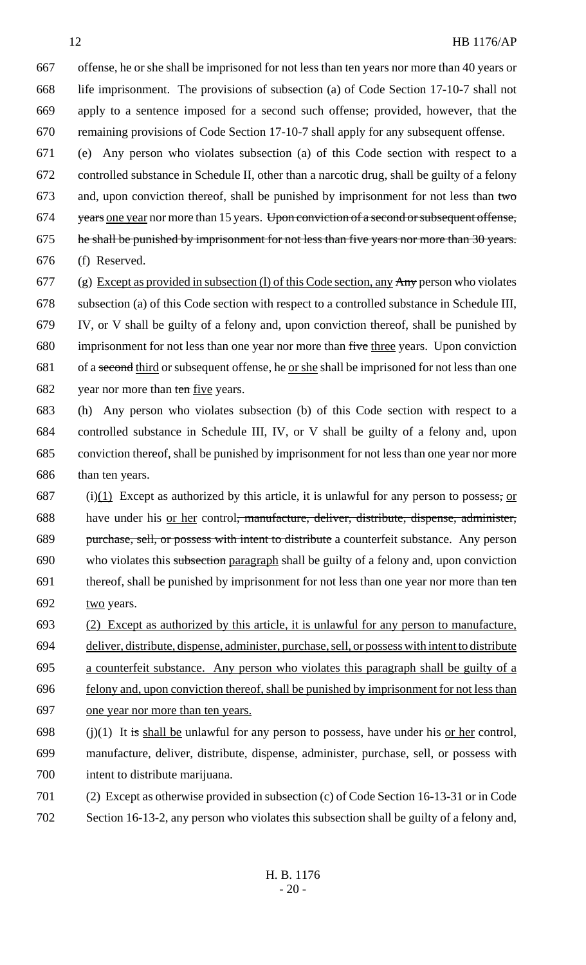offense, he or she shall be imprisoned for not less than ten years nor more than 40 years or life imprisonment. The provisions of subsection (a) of Code Section 17-10-7 shall not apply to a sentence imposed for a second such offense; provided, however, that the remaining provisions of Code Section 17-10-7 shall apply for any subsequent offense.

 (e) Any person who violates subsection (a) of this Code section with respect to a controlled substance in Schedule II, other than a narcotic drug, shall be guilty of a felony 673 and, upon conviction thereof, shall be punished by imprisonment for not less than  $t$ wo 674 years one year nor more than 15 years. Upon conviction of a second or subsequent offense, 675 he shall be punished by imprisonment for not less than five years nor more than 30 years. (f) Reserved.

677 (g) Except as provided in subsection (l) of this Code section, any  $\overrightarrow{Any}$  person who violates subsection (a) of this Code section with respect to a controlled substance in Schedule III, IV, or V shall be guilty of a felony and, upon conviction thereof, shall be punished by imprisonment for not less than one year nor more than five three years. Upon conviction 681 of a second third or subsequent offense, he <u>or she</u> shall be imprisoned for not less than one 682 year nor more than ten five years.

- (h) Any person who violates subsection (b) of this Code section with respect to a controlled substance in Schedule III, IV, or V shall be guilty of a felony and, upon conviction thereof, shall be punished by imprisonment for not less than one year nor more than ten years.
- 687 (i)(1) Except as authorized by this article, it is unlawful for any person to possess; or have under his or her control, manufacture, deliver, distribute, dispense, administer, 689 purchase, sell, or possess with intent to distribute a counterfeit substance. Any person who violates this subsection paragraph shall be guilty of a felony and, upon conviction 691 thereof, shall be punished by imprisonment for not less than one year nor more than ten 692 two years.
- (2) Except as authorized by this article, it is unlawful for any person to manufacture,
- deliver, distribute, dispense, administer, purchase, sell, or possess with intent to distribute
- a counterfeit substance. Any person who violates this paragraph shall be guilty of a
- felony and, upon conviction thereof, shall be punished by imprisonment for not less than one year nor more than ten years.
- 698 (j)(1) It is shall be unlawful for any person to possess, have under his <u>or her</u> control, manufacture, deliver, distribute, dispense, administer, purchase, sell, or possess with intent to distribute marijuana.
- (2) Except as otherwise provided in subsection (c) of Code Section 16-13-31 or in Code Section 16-13-2, any person who violates this subsection shall be guilty of a felony and,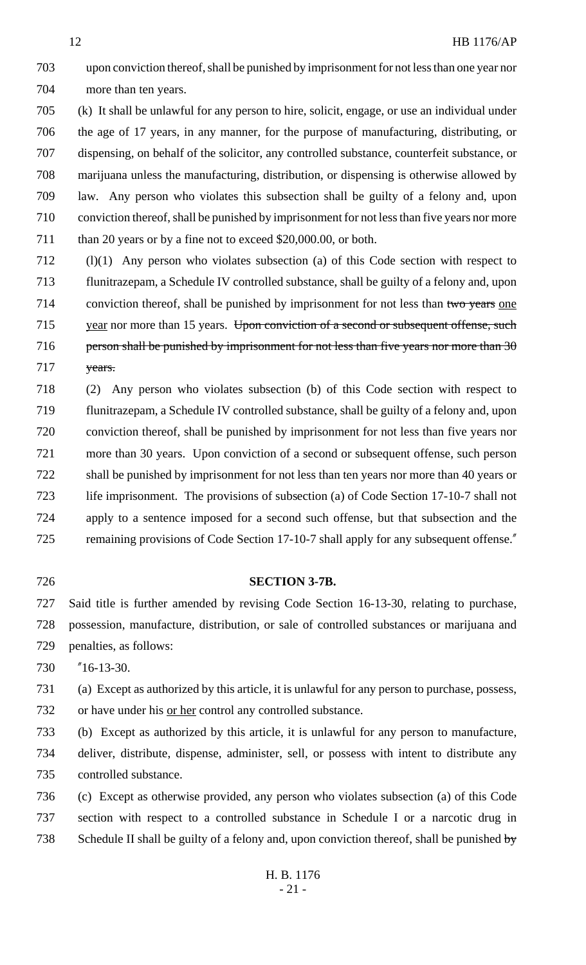upon conviction thereof, shall be punished by imprisonment for not less than one year nor more than ten years.

 (k) It shall be unlawful for any person to hire, solicit, engage, or use an individual under the age of 17 years, in any manner, for the purpose of manufacturing, distributing, or dispensing, on behalf of the solicitor, any controlled substance, counterfeit substance, or marijuana unless the manufacturing, distribution, or dispensing is otherwise allowed by law. Any person who violates this subsection shall be guilty of a felony and, upon conviction thereof, shall be punished by imprisonment for not less than five years nor more 711 than 20 years or by a fine not to exceed \$20,000.00, or both.

 (l)(1) Any person who violates subsection (a) of this Code section with respect to flunitrazepam, a Schedule IV controlled substance, shall be guilty of a felony and, upon 714 conviction thereof, shall be punished by imprisonment for not less than two years one 715 year nor more than 15 years. Upon conviction of a second or subsequent offense, such 716 person shall be punished by imprisonment for not less than five years nor more than 717 years.

 (2) Any person who violates subsection (b) of this Code section with respect to flunitrazepam, a Schedule IV controlled substance, shall be guilty of a felony and, upon conviction thereof, shall be punished by imprisonment for not less than five years nor more than 30 years. Upon conviction of a second or subsequent offense, such person shall be punished by imprisonment for not less than ten years nor more than 40 years or life imprisonment. The provisions of subsection (a) of Code Section 17-10-7 shall not apply to a sentence imposed for a second such offense, but that subsection and the 725 remaining provisions of Code Section 17-10-7 shall apply for any subsequent offense."

## **SECTION 3-7B.**

 Said title is further amended by revising Code Section 16-13-30, relating to purchase, possession, manufacture, distribution, or sale of controlled substances or marijuana and penalties, as follows:

"16-13-30.

 (a) Except as authorized by this article, it is unlawful for any person to purchase, possess, or have under his or her control any controlled substance.

 (b) Except as authorized by this article, it is unlawful for any person to manufacture, deliver, distribute, dispense, administer, sell, or possess with intent to distribute any controlled substance.

 (c) Except as otherwise provided, any person who violates subsection (a) of this Code section with respect to a controlled substance in Schedule I or a narcotic drug in 738 Schedule II shall be guilty of a felony and, upon conviction thereof, shall be punished by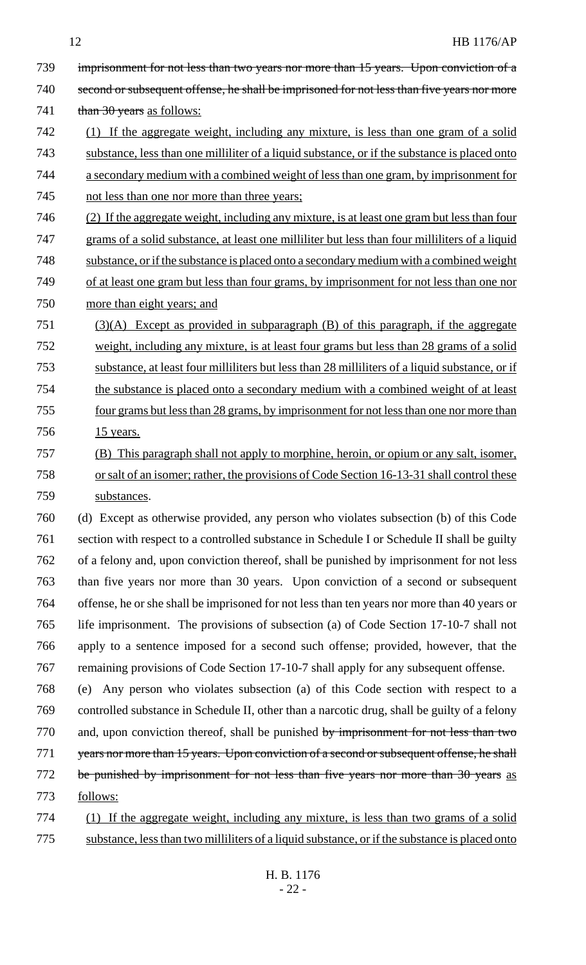|     | <b>HB 1176/AP</b><br>12                                                                        |
|-----|------------------------------------------------------------------------------------------------|
| 739 | imprisonment for not less than two years nor more than 15 years. Upon conviction of a          |
| 740 | second or subsequent offense, he shall be imprisoned for not less than five years nor more     |
| 741 | than 30 years as follows:                                                                      |
| 742 | (1) If the aggregate weight, including any mixture, is less than one gram of a solid           |
| 743 | substance, less than one milliliter of a liquid substance, or if the substance is placed onto  |
| 744 | a secondary medium with a combined weight of less than one gram, by imprisonment for           |
| 745 | not less than one nor more than three years;                                                   |
| 746 | (2) If the aggregate weight, including any mixture, is at least one gram but less than four    |
| 747 | grams of a solid substance, at least one milliliter but less than four milliliters of a liquid |
| 748 | substance, or if the substance is placed onto a secondary medium with a combined weight        |
| 749 | of at least one gram but less than four grams, by imprisonment for not less than one nor       |
| 750 | more than eight years; and                                                                     |
| 751 | $(3)(A)$ Except as provided in subparagraph $(B)$ of this paragraph, if the aggregate          |
| 752 | weight, including any mixture, is at least four grams but less than 28 grams of a solid        |
| 753 | substance, at least four milliliters but less than 28 milliliters of a liquid substance, or if |
| 754 | the substance is placed onto a secondary medium with a combined weight of at least             |
| 755 | four grams but less than 28 grams, by imprisonment for not less than one nor more than         |
| 756 | <u>15 years.</u>                                                                               |
| 757 | (B) This paragraph shall not apply to morphine, heroin, or opium or any salt, isomer,          |
| 758 | or salt of an isomer; rather, the provisions of Code Section 16-13-31 shall control these      |
| 759 | substances.                                                                                    |
| 760 | (d) Except as otherwise provided, any person who violates subsection (b) of this Code          |
| 761 | section with respect to a controlled substance in Schedule I or Schedule II shall be guilty    |
| 762 | of a felony and, upon conviction thereof, shall be punished by imprisonment for not less       |
| 763 | than five years nor more than 30 years. Upon conviction of a second or subsequent              |
| 764 | offense, he or she shall be imprisoned for not less than ten years nor more than 40 years or   |
| 765 | life imprisonment. The provisions of subsection (a) of Code Section 17-10-7 shall not          |
| 766 | apply to a sentence imposed for a second such offense; provided, however, that the             |
| 767 | remaining provisions of Code Section 17-10-7 shall apply for any subsequent offense.           |
| 768 | Any person who violates subsection (a) of this Code section with respect to a<br>(e)           |
| 769 | controlled substance in Schedule II, other than a narcotic drug, shall be guilty of a felony   |
| 770 | and, upon conviction thereof, shall be punished by imprisonment for not less than two          |
| 771 | years nor more than 15 years. Upon conviction of a second or subsequent offense, he shall      |
| 772 | be punished by imprisonment for not less than five years nor more than 30 years as             |
| 773 | follows:                                                                                       |
| 774 | (1) If the aggregate weight, including any mixture, is less than two grams of a solid          |

775 substance, less than two milliliters of a liquid substance, or if the substance is placed onto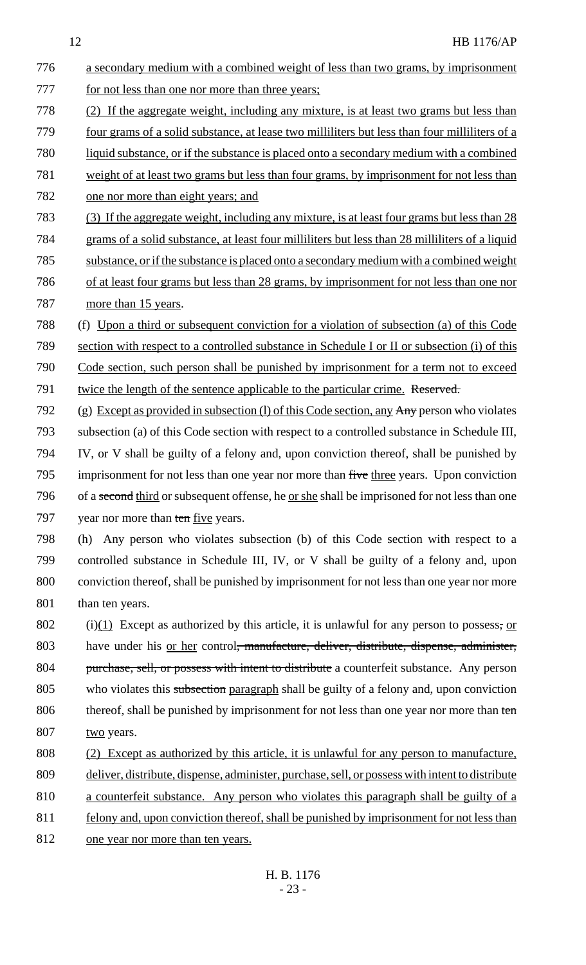776 a secondary medium with a combined weight of less than two grams, by imprisonment 777 for not less than one nor more than three years; 778 (2) If the aggregate weight, including any mixture, is at least two grams but less than 779 four grams of a solid substance, at lease two milliliters but less than four milliliters of a 780 liquid substance, or if the substance is placed onto a secondary medium with a combined 781 weight of at least two grams but less than four grams, by imprisonment for not less than 782 one nor more than eight years; and 783 (3) If the aggregate weight, including any mixture, is at least four grams but less than 28 784 grams of a solid substance, at least four milliliters but less than 28 milliliters of a liquid 785 substance, or if the substance is placed onto a secondary medium with a combined weight 786 of at least four grams but less than 28 grams, by imprisonment for not less than one nor 787 more than 15 years. 788 (f) Upon a third or subsequent conviction for a violation of subsection (a) of this Code 789 section with respect to a controlled substance in Schedule I or II or subsection (i) of this 790 Code section, such person shall be punished by imprisonment for a term not to exceed 791 twice the length of the sentence applicable to the particular crime. Reserved. 792 (g) Except as provided in subsection (l) of this Code section, any  $\text{Any}$  person who violates 793 subsection (a) of this Code section with respect to a controlled substance in Schedule III, 794 IV, or V shall be guilty of a felony and, upon conviction thereof, shall be punished by 795 imprisonment for not less than one year nor more than five three years. Upon conviction 796 of a second third or subsequent offense, he <u>or she</u> shall be imprisoned for not less than one 797 year nor more than ten five years. 798 (h) Any person who violates subsection (b) of this Code section with respect to a 799 controlled substance in Schedule III, IV, or V shall be guilty of a felony and, upon 800 conviction thereof, shall be punished by imprisonment for not less than one year nor more 801 than ten years. 802 (i)(1) Except as authorized by this article, it is unlawful for any person to possess, or 803 have under his <u>or her</u> control<del>, manufacture, deliver, distribute, dispense, administer,</del> 804 purchase, sell, or possess with intent to distribute a counterfeit substance. Any person 805 who violates this subsection paragraph shall be guilty of a felony and, upon conviction 806 thereof, shall be punished by imprisonment for not less than one year nor more than ten 807 two years. 808 (2) Except as authorized by this article, it is unlawful for any person to manufacture, 809 deliver, distribute, dispense, administer, purchase, sell, or possess with intent to distribute 810 a counterfeit substance. Any person who violates this paragraph shall be guilty of a 811 felony and, upon conviction thereof, shall be punished by imprisonment for not less than 812 one year nor more than ten years.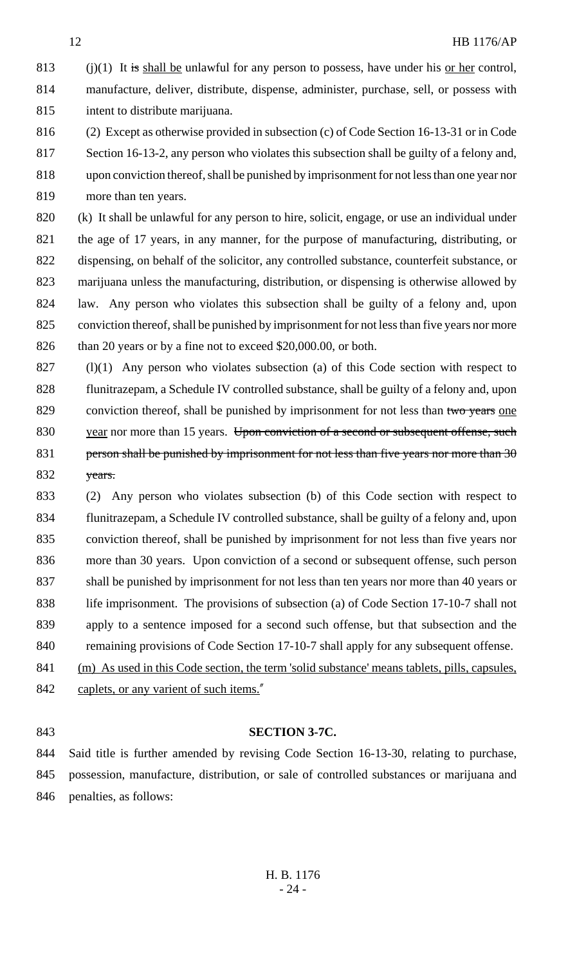813 (i)(1) It is shall be unlawful for any person to possess, have under his or her control, manufacture, deliver, distribute, dispense, administer, purchase, sell, or possess with intent to distribute marijuana.

 (2) Except as otherwise provided in subsection (c) of Code Section 16-13-31 or in Code Section 16-13-2, any person who violates this subsection shall be guilty of a felony and, upon conviction thereof, shall be punished by imprisonment for not less than one year nor more than ten years.

 (k) It shall be unlawful for any person to hire, solicit, engage, or use an individual under the age of 17 years, in any manner, for the purpose of manufacturing, distributing, or dispensing, on behalf of the solicitor, any controlled substance, counterfeit substance, or marijuana unless the manufacturing, distribution, or dispensing is otherwise allowed by law. Any person who violates this subsection shall be guilty of a felony and, upon conviction thereof, shall be punished by imprisonment for not less than five years nor more 826 than 20 years or by a fine not to exceed \$20,000.00, or both.

- (l)(1) Any person who violates subsection (a) of this Code section with respect to flunitrazepam, a Schedule IV controlled substance, shall be guilty of a felony and, upon 829 conviction thereof, shall be punished by imprisonment for not less than two years one 830 year nor more than 15 years. Upon conviction of a second or subsequent offense, such 831 person shall be punished by imprisonment for not less than five years nor more than  $3\theta$ 832 years.
- (2) Any person who violates subsection (b) of this Code section with respect to flunitrazepam, a Schedule IV controlled substance, shall be guilty of a felony and, upon conviction thereof, shall be punished by imprisonment for not less than five years nor more than 30 years. Upon conviction of a second or subsequent offense, such person shall be punished by imprisonment for not less than ten years nor more than 40 years or 838 life imprisonment. The provisions of subsection (a) of Code Section 17-10-7 shall not apply to a sentence imposed for a second such offense, but that subsection and the 840 remaining provisions of Code Section 17-10-7 shall apply for any subsequent offense.
- (m) As used in this Code section, the term 'solid substance' means tablets, pills, capsules,
- 842 caplets, or any varient of such items."
- 

#### **SECTION 3-7C.**

 Said title is further amended by revising Code Section 16-13-30, relating to purchase, possession, manufacture, distribution, or sale of controlled substances or marijuana and penalties, as follows: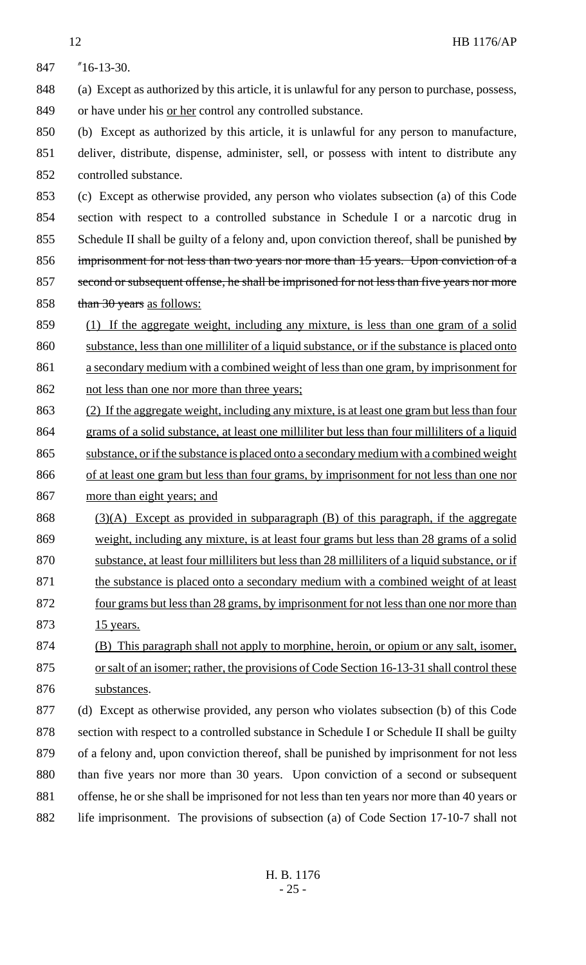"16-13-30. (a) Except as authorized by this article, it is unlawful for any person to purchase, possess, 849 or have under his <u>or her</u> control any controlled substance. (b) Except as authorized by this article, it is unlawful for any person to manufacture, deliver, distribute, dispense, administer, sell, or possess with intent to distribute any controlled substance. (c) Except as otherwise provided, any person who violates subsection (a) of this Code section with respect to a controlled substance in Schedule I or a narcotic drug in 855 Schedule II shall be guilty of a felony and, upon conviction thereof, shall be punished by imprisonment for not less than two years nor more than 15 years. Upon conviction of a 857 second or subsequent offense, he shall be imprisoned for not less than five years nor more 858 than 30 years as follows: (1) If the aggregate weight, including any mixture, is less than one gram of a solid substance, less than one milliliter of a liquid substance, or if the substance is placed onto a secondary medium with a combined weight of less than one gram, by imprisonment for 862 not less than one nor more than three years; (2) If the aggregate weight, including any mixture, is at least one gram but less than four grams of a solid substance, at least one milliliter but less than four milliliters of a liquid substance, or if the substance is placed onto a secondary medium with a combined weight 866 of at least one gram but less than four grams, by imprisonment for not less than one nor more than eight years; and 868 (3)(A) Except as provided in subparagraph (B) of this paragraph, if the aggregate weight, including any mixture, is at least four grams but less than 28 grams of a solid substance, at least four milliliters but less than 28 milliliters of a liquid substance, or if 871 the substance is placed onto a secondary medium with a combined weight of at least four grams but less than 28 grams, by imprisonment for not less than one nor more than 873 15 years. (B) This paragraph shall not apply to morphine, heroin, or opium or any salt, isomer, 875 or salt of an isomer; rather, the provisions of Code Section 16-13-31 shall control these substances. (d) Except as otherwise provided, any person who violates subsection (b) of this Code 878 section with respect to a controlled substance in Schedule I or Schedule II shall be guilty of a felony and, upon conviction thereof, shall be punished by imprisonment for not less than five years nor more than 30 years. Upon conviction of a second or subsequent offense, he or she shall be imprisoned for not less than ten years nor more than 40 years or 882 life imprisonment. The provisions of subsection (a) of Code Section 17-10-7 shall not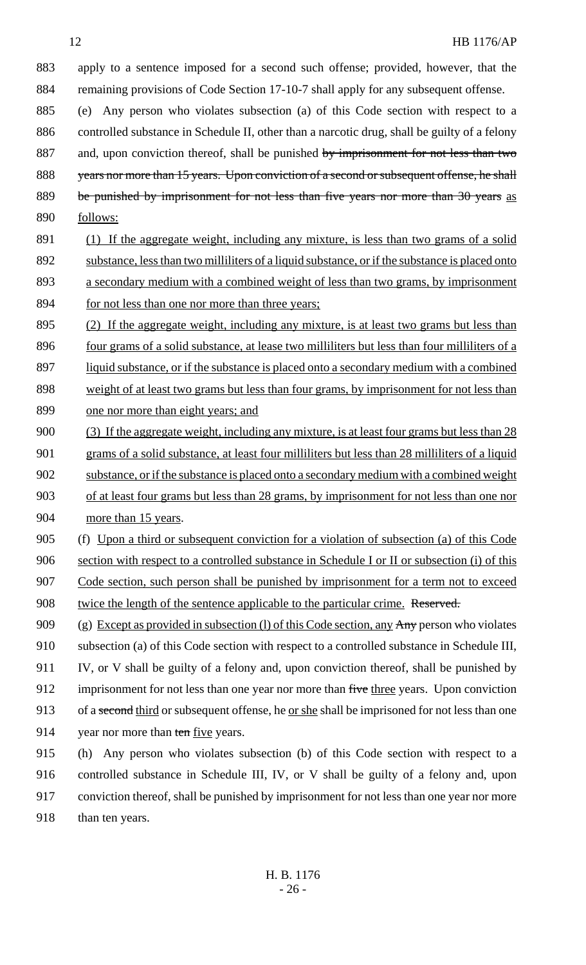883 apply to a sentence imposed for a second such offense; provided, however, that the 884 remaining provisions of Code Section 17-10-7 shall apply for any subsequent offense.

885 (e) Any person who violates subsection (a) of this Code section with respect to a 886 controlled substance in Schedule II, other than a narcotic drug, shall be guilty of a felony 887 and, upon conviction thereof, shall be punished by imprisonment for not less than two 888 years nor more than 15 years. Upon conviction of a second or subsequent offense, he shall 889 be punished by imprisonment for not less than five years nor more than 30 years as 890 follows:

- 891 (1) If the aggregate weight, including any mixture, is less than two grams of a solid 892 substance, less than two milliliters of a liquid substance, or if the substance is placed onto 893 a secondary medium with a combined weight of less than two grams, by imprisonment 894 for not less than one nor more than three years;
- 895 (2) If the aggregate weight, including any mixture, is at least two grams but less than 896 four grams of a solid substance, at lease two milliliters but less than four milliliters of a 897 liquid substance, or if the substance is placed onto a secondary medium with a combined 898 weight of at least two grams but less than four grams, by imprisonment for not less than 899 one nor more than eight years; and
- 900 (3) If the aggregate weight, including any mixture, is at least four grams but less than 28 901 grams of a solid substance, at least four milliliters but less than 28 milliliters of a liquid 902 substance, or if the substance is placed onto a secondary medium with a combined weight 903 of at least four grams but less than 28 grams, by imprisonment for not less than one nor 904 more than 15 years.
- 905 (f) Upon a third or subsequent conviction for a violation of subsection (a) of this Code

906 section with respect to a controlled substance in Schedule I or II or subsection (i) of this

907 Code section, such person shall be punished by imprisonment for a term not to exceed 908 twice the length of the sentence applicable to the particular crime. Reserved.

- 909 (g) Except as provided in subsection (l) of this Code section, any  $\text{Any}$  person who violates 910 subsection (a) of this Code section with respect to a controlled substance in Schedule III, 911 IV, or V shall be guilty of a felony and, upon conviction thereof, shall be punished by 912 imprisonment for not less than one year nor more than five three years. Upon conviction 913 of a second third or subsequent offense, he <u>or she</u> shall be imprisoned for not less than one 914 year nor more than ten five years.
- 915 (h) Any person who violates subsection (b) of this Code section with respect to a 916 controlled substance in Schedule III, IV, or V shall be guilty of a felony and, upon 917 conviction thereof, shall be punished by imprisonment for not less than one year nor more 918 than ten years.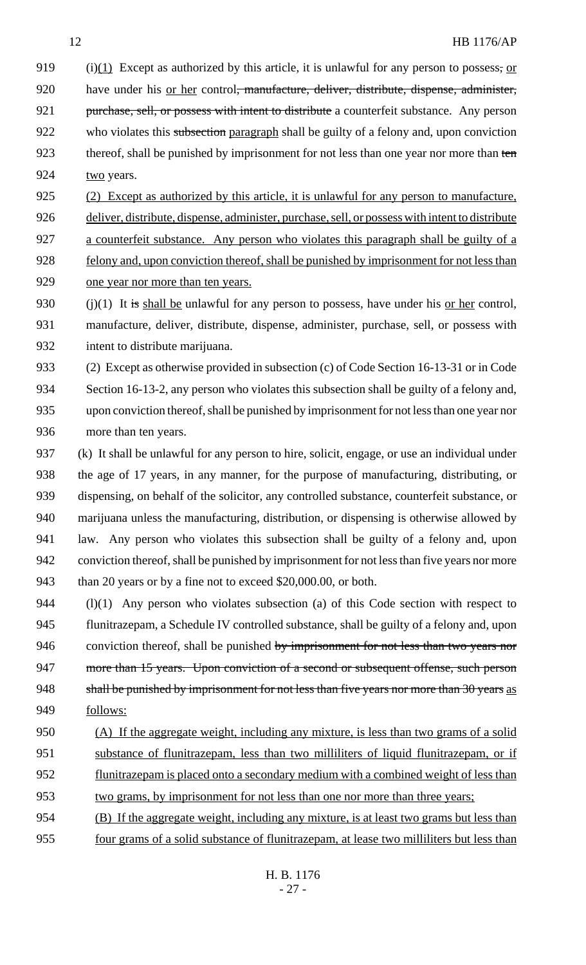(i)(1) Except as authorized by this article, it is unlawful for any person to possess, or 920 have under his <u>or her</u> control<del>, manufacture, deliver, distribute, dispense, administer,</del> 921 purchase, sell, or possess with intent to distribute a counterfeit substance. Any person 922 who violates this subsection paragraph shall be guilty of a felony and, upon conviction 923 thereof, shall be punished by imprisonment for not less than one year nor more than ten 924 two years.

(2) Except as authorized by this article, it is unlawful for any person to manufacture,

 deliver, distribute, dispense, administer, purchase, sell, or possess with intent to distribute a counterfeit substance. Any person who violates this paragraph shall be guilty of a felony and, upon conviction thereof, shall be punished by imprisonment for not less than one year nor more than ten years.

930 (i)(1) It is shall be unlawful for any person to possess, have under his or her control, manufacture, deliver, distribute, dispense, administer, purchase, sell, or possess with intent to distribute marijuana.

 (2) Except as otherwise provided in subsection (c) of Code Section 16-13-31 or in Code Section 16-13-2, any person who violates this subsection shall be guilty of a felony and, upon conviction thereof, shall be punished by imprisonment for not less than one year nor more than ten years.

 (k) It shall be unlawful for any person to hire, solicit, engage, or use an individual under the age of 17 years, in any manner, for the purpose of manufacturing, distributing, or dispensing, on behalf of the solicitor, any controlled substance, counterfeit substance, or marijuana unless the manufacturing, distribution, or dispensing is otherwise allowed by law. Any person who violates this subsection shall be guilty of a felony and, upon conviction thereof, shall be punished by imprisonment for not less than five years nor more than 20 years or by a fine not to exceed \$20,000.00, or both.

 (l)(1) Any person who violates subsection (a) of this Code section with respect to flunitrazepam, a Schedule IV controlled substance, shall be guilty of a felony and, upon 946 conviction thereof, shall be punished by imprisonment for not less than two years nor 947 more than 15 years. Upon conviction of a second or subsequent offense, such person 948 shall be punished by imprisonment for not less than five years nor more than 30 years as follows:

- (A) If the aggregate weight, including any mixture, is less than two grams of a solid 951 substance of flunitrazepam, less than two milliliters of liquid flunitrazepam, or if flunitrazepam is placed onto a secondary medium with a combined weight of less than two grams, by imprisonment for not less than one nor more than three years;
- (B) If the aggregate weight, including any mixture, is at least two grams but less than four grams of a solid substance of flunitrazepam, at lease two milliliters but less than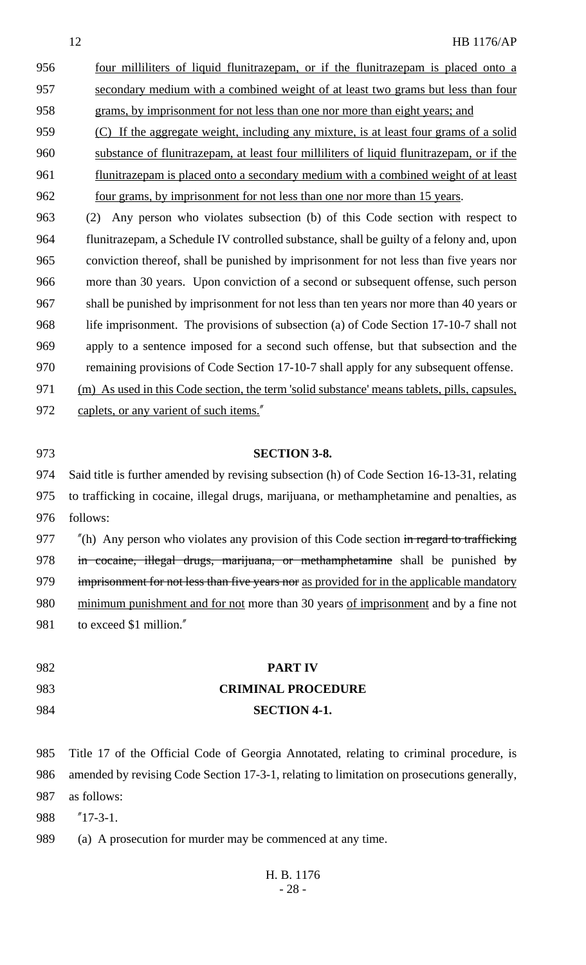956 four milliliters of liquid flunitrazepam, or if the flunitrazepam is placed onto a secondary medium with a combined weight of at least two grams but less than four grams, by imprisonment for not less than one nor more than eight years; and

 (C) If the aggregate weight, including any mixture, is at least four grams of a solid substance of flunitrazepam, at least four milliliters of liquid flunitrazepam, or if the 961 flunitrazepam is placed onto a secondary medium with a combined weight of at least 962 four grams, by imprisonment for not less than one nor more than 15 years.

 (2) Any person who violates subsection (b) of this Code section with respect to flunitrazepam, a Schedule IV controlled substance, shall be guilty of a felony and, upon conviction thereof, shall be punished by imprisonment for not less than five years nor more than 30 years. Upon conviction of a second or subsequent offense, such person shall be punished by imprisonment for not less than ten years nor more than 40 years or life imprisonment. The provisions of subsection (a) of Code Section 17-10-7 shall not apply to a sentence imposed for a second such offense, but that subsection and the remaining provisions of Code Section 17-10-7 shall apply for any subsequent offense.

- (m) As used in this Code section, the term 'solid substance' means tablets, pills, capsules, 972 caplets, or any varient of such items."
- 

#### **SECTION 3-8.**

 Said title is further amended by revising subsection (h) of Code Section 16-13-31, relating to trafficking in cocaine, illegal drugs, marijuana, or methamphetamine and penalties, as follows:

977 "(h) Any person who violates any provision of this Code section in regard to trafficking 978 in cocaine, illegal drugs, marijuana, or methamphetamine shall be punished by 979 imprisonment for not less than five years nor as provided for in the applicable mandatory minimum punishment and for not more than 30 years of imprisonment and by a fine not 981 to exceed \$1 million."

 **PART IV CRIMINAL PROCEDURE SECTION 4-1.**

 Title 17 of the Official Code of Georgia Annotated, relating to criminal procedure, is amended by revising Code Section 17-3-1, relating to limitation on prosecutions generally, as follows:

"17-3-1.

(a) A prosecution for murder may be commenced at any time.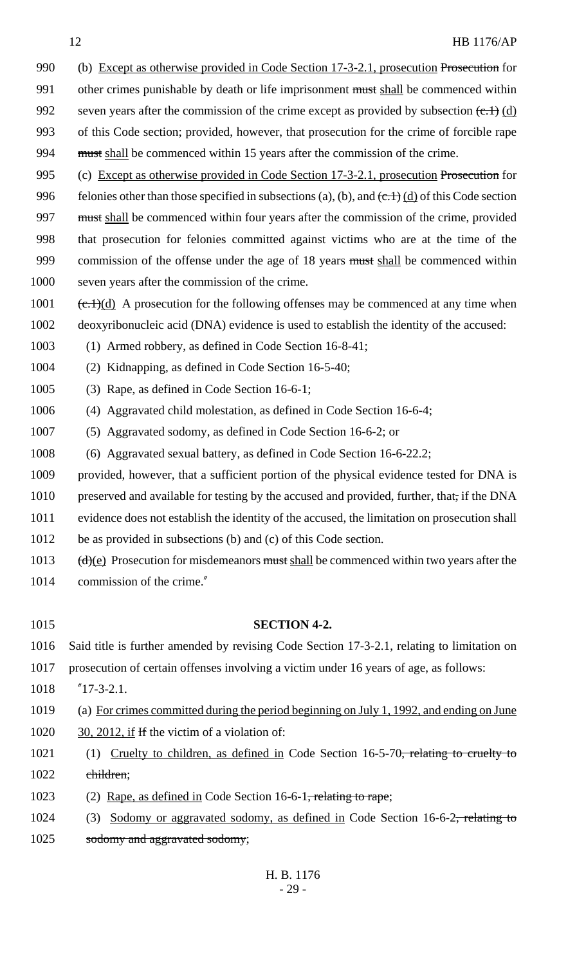- 990 (b) Except as otherwise provided in Code Section 17-3-2.1, prosecution Prosecution for 991 other crimes punishable by death or life imprisonment must shall be commenced within 992 seven years after the commission of the crime except as provided by subsection  $(\text{c.1})$  (d) 993 of this Code section; provided, however, that prosecution for the crime of forcible rape 994 must shall be commenced within 15 years after the commission of the crime.
- 995 (c) Except as otherwise provided in Code Section 17-3-2.1, prosecution Prosecution for 996 felonies other than those specified in subsections (a), (b), and  $(\text{c.1})$  (d) of this Code section 997 must shall be commenced within four years after the commission of the crime, provided 998 that prosecution for felonies committed against victims who are at the time of the 999 commission of the offense under the age of 18 years must shall be commenced within 1000 seven years after the commission of the crime.
- 1001  $(\text{c.1})(d)$  A prosecution for the following offenses may be commenced at any time when 1002 deoxyribonucleic acid (DNA) evidence is used to establish the identity of the accused:
- 1003 (1) Armed robbery, as defined in Code Section 16-8-41;
- 1004 (2) Kidnapping, as defined in Code Section 16-5-40;
- 1005 (3) Rape, as defined in Code Section 16-6-1;
- 1006 (4) Aggravated child molestation, as defined in Code Section 16-6-4;
- 1007 (5) Aggravated sodomy, as defined in Code Section 16-6-2; or
- 1008 (6) Aggravated sexual battery, as defined in Code Section 16-6-22.2;
- 1009 provided, however, that a sufficient portion of the physical evidence tested for DNA is
- 1010 preserved and available for testing by the accused and provided, further, that, if the DNA
- 1011 evidence does not establish the identity of the accused, the limitation on prosecution shall
- 1012 be as provided in subsections (b) and (c) of this Code section.
- 1013  $(d)(e)$  Prosecution for misdemeanors must shall be commenced within two years after the 1014 commission of the crime."
- 

# 1015 **SECTION 4-2.**

- 1016 Said title is further amended by revising Code Section 17-3-2.1, relating to limitation on
- 1017 prosecution of certain offenses involving a victim under 16 years of age, as follows:
- 1018 "17-3-2.1.
- 1019 (a) For crimes committed during the period beginning on July 1, 1992, and ending on June 1020  $\frac{30,2012, \text{ if } H \text{ the victim of a violation of:}}{}$
- 1021 (1) Cruelty to children, as defined in Code Section 16-5-70, relating to cruelty to 1022 children;
- 1023 (2) Rape, as defined in Code Section 16-6-1<del>, relating to rape</del>;
- 1024 (3) Sodomy or aggravated sodomy, as defined in Code Section 16-6-2, relating to 1025 sodomy and aggravated sodomy;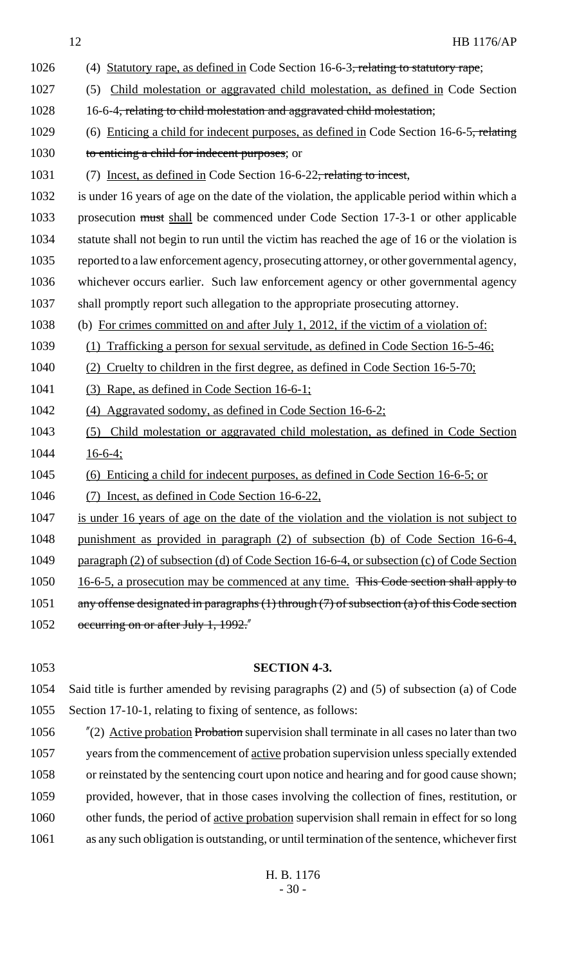1026 (4) Statutory rape, as defined in Code Section 16-6-3<del>, relating to statutory rape</del>; 1027 (5) Child molestation or aggravated child molestation, as defined in Code Section 1028 16-6-4, relating to child molestation and aggravated child molestation; 1029 (6) Enticing a child for indecent purposes, as defined in Code Section 16-6-5, relating 1030 to enticing a child for indecent purposes; or 1031 (7) Incest, as defined in Code Section 16-6-22, relating to incest, 1032 is under 16 years of age on the date of the violation, the applicable period within which a 1033 prosecution must shall be commenced under Code Section 17-3-1 or other applicable 1034 statute shall not begin to run until the victim has reached the age of 16 or the violation is 1035 reported to a law enforcement agency, prosecuting attorney, or other governmental agency, 1036 whichever occurs earlier. Such law enforcement agency or other governmental agency 1037 shall promptly report such allegation to the appropriate prosecuting attorney. 1038 (b) For crimes committed on and after July 1, 2012, if the victim of a violation of: 1039 (1) Trafficking a person for sexual servitude, as defined in Code Section 16-5-46; 1040 (2) Cruelty to children in the first degree, as defined in Code Section 16-5-70; 1041 (3) Rape, as defined in Code Section 16-6-1; 1042 (4) Aggravated sodomy, as defined in Code Section 16-6-2; 1043 (5) Child molestation or aggravated child molestation, as defined in Code Section 1044 16-6-4; 1045 (6) Enticing a child for indecent purposes, as defined in Code Section 16-6-5; or 1046 (7) Incest, as defined in Code Section 16-6-22, 1047 is under 16 years of age on the date of the violation and the violation is not subject to 1048 punishment as provided in paragraph (2) of subsection (b) of Code Section 16-6-4, 1049 paragraph (2) of subsection (d) of Code Section 16-6-4, or subsection (c) of Code Section 1050 16-6-5, a prosecution may be commenced at any time. This Code section shall apply to 1051 any offense designated in paragraphs (1) through (7) of subsection (a) of this Code section 1052 occurring on or after July 1, 1992."

1054 Said title is further amended by revising paragraphs (2) and (5) of subsection (a) of Code 1055 Section 17-10-1, relating to fixing of sentence, as follows:

1053 **SECTION 4-3.**

1056 "(2) Active probation Probation supervision shall terminate in all cases no later than two 1057 years from the commencement of active probation supervision unless specially extended 1058 or reinstated by the sentencing court upon notice and hearing and for good cause shown; 1059 provided, however, that in those cases involving the collection of fines, restitution, or 1060 other funds, the period of active probation supervision shall remain in effect for so long 1061 as any such obligation is outstanding, or until termination of the sentence, whichever first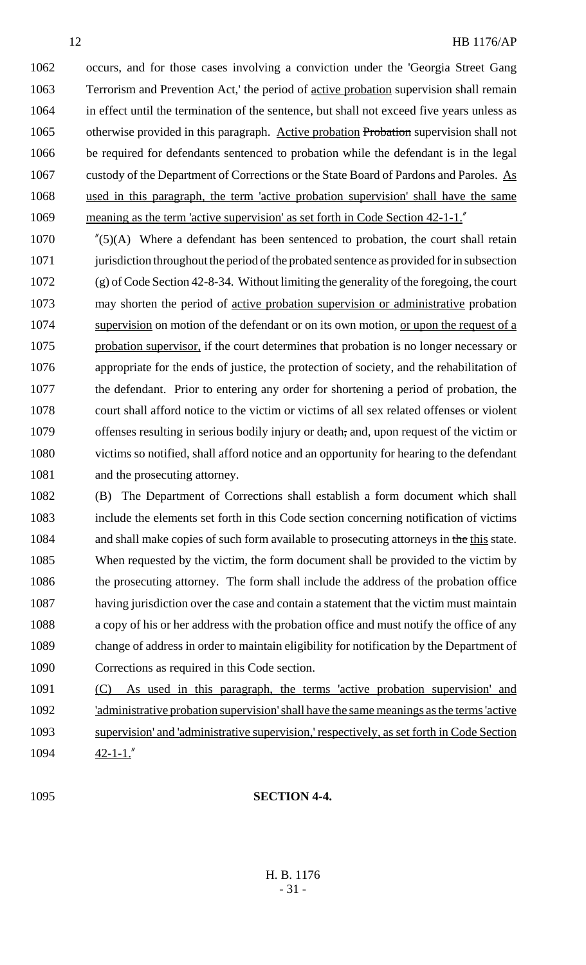occurs, and for those cases involving a conviction under the 'Georgia Street Gang Terrorism and Prevention Act,' the period of active probation supervision shall remain in effect until the termination of the sentence, but shall not exceed five years unless as 1065 otherwise provided in this paragraph. Active probation Probation supervision shall not be required for defendants sentenced to probation while the defendant is in the legal 1067 custody of the Department of Corrections or the State Board of Pardons and Paroles. As used in this paragraph, the term 'active probation supervision' shall have the same meaning as the term 'active supervision' as set forth in Code Section 42-1-1."

 "(5)(A) Where a defendant has been sentenced to probation, the court shall retain 1071 jurisdiction throughout the period of the probated sentence as provided for in subsection (g) of Code Section 42-8-34. Without limiting the generality of the foregoing, the court may shorten the period of active probation supervision or administrative probation 1074 supervision on motion of the defendant or on its own motion, <u>or upon the request of a</u> probation supervisor, if the court determines that probation is no longer necessary or appropriate for the ends of justice, the protection of society, and the rehabilitation of the defendant. Prior to entering any order for shortening a period of probation, the court shall afford notice to the victim or victims of all sex related offenses or violent offenses resulting in serious bodily injury or death, and, upon request of the victim or victims so notified, shall afford notice and an opportunity for hearing to the defendant 1081 and the prosecuting attorney.

 (B) The Department of Corrections shall establish a form document which shall include the elements set forth in this Code section concerning notification of victims 1084 and shall make copies of such form available to prosecuting attorneys in the this state. When requested by the victim, the form document shall be provided to the victim by the prosecuting attorney. The form shall include the address of the probation office having jurisdiction over the case and contain a statement that the victim must maintain a copy of his or her address with the probation office and must notify the office of any change of address in order to maintain eligibility for notification by the Department of Corrections as required in this Code section.

 (C) As used in this paragraph, the terms 'active probation supervision' and 'administrative probation supervision' shall have the same meanings as the terms 'active supervision' and 'administrative supervision,' respectively, as set forth in Code Section 42-1-1."

# **SECTION 4-4.**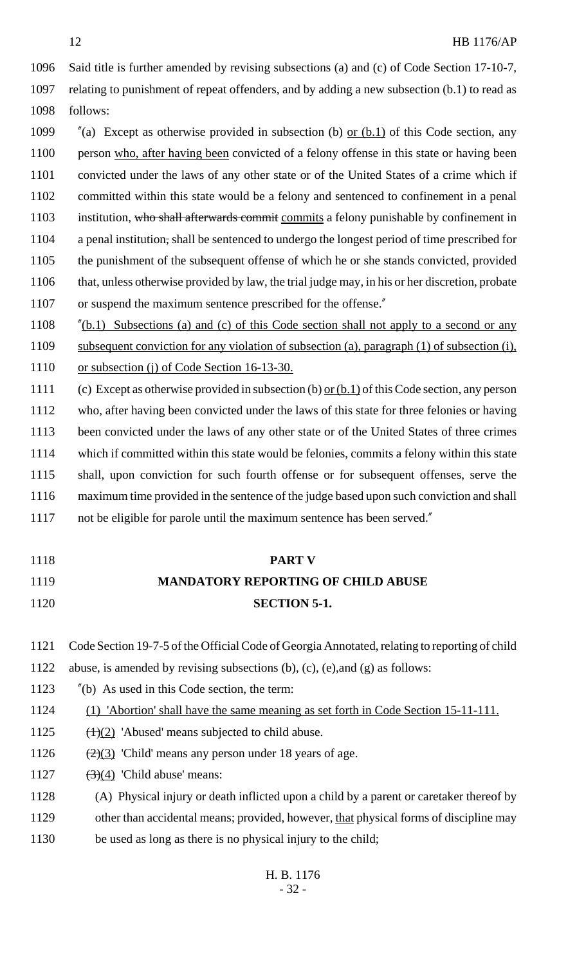Said title is further amended by revising subsections (a) and (c) of Code Section 17-10-7, relating to punishment of repeat offenders, and by adding a new subsection (b.1) to read as follows:

 $\%$  (a) Except as otherwise provided in subsection (b) or (b.1) of this Code section, any person who, after having been convicted of a felony offense in this state or having been convicted under the laws of any other state or of the United States of a crime which if committed within this state would be a felony and sentenced to confinement in a penal 1103 institution, who shall afterwards commit commits a felony punishable by confinement in a penal institution, shall be sentenced to undergo the longest period of time prescribed for the punishment of the subsequent offense of which he or she stands convicted, provided that, unless otherwise provided by law, the trial judge may, in his or her discretion, probate 1107 or suspend the maximum sentence prescribed for the offense."

1108 "(b.1) Subsections (a) and (c) of this Code section shall not apply to a second or any subsequent conviction for any violation of subsection (a), paragraph (1) of subsection (i), 1110 or subsection (j) of Code Section 16-13-30.

 (c) Except as otherwise provided in subsection (b) or (b.1) of this Code section, any person who, after having been convicted under the laws of this state for three felonies or having been convicted under the laws of any other state or of the United States of three crimes which if committed within this state would be felonies, commits a felony within this state shall, upon conviction for such fourth offense or for subsequent offenses, serve the maximum time provided in the sentence of the judge based upon such conviction and shall not be eligible for parole until the maximum sentence has been served."

| 1118 | <b>PART V</b>                                                                                 |
|------|-----------------------------------------------------------------------------------------------|
| 1119 | <b>MANDATORY REPORTING OF CHILD ABUSE</b>                                                     |
| 1120 | <b>SECTION 5-1.</b>                                                                           |
|      |                                                                                               |
| 1121 | Code Section 19-7-5 of the Official Code of Georgia Annotated, relating to reporting of child |
| 1122 | abuse, is amended by revising subsections (b), (c), (e), and (g) as follows:                  |
| 1123 | $''$ (b) As used in this Code section, the term:                                              |
| 1124 | (1) 'Abortion' shall have the same meaning as set forth in Code Section 15-11-111.            |
| 1125 | $(\pm)(2)$ 'Abused' means subjected to child abuse.                                           |
| 1126 | $\left(\frac{2}{2}\right)$ 'Child' means any person under 18 years of age.                    |
|      |                                                                                               |

- 1127  $(3)(4)$  'Child abuse' means:
- (A) Physical injury or death inflicted upon a child by a parent or caretaker thereof by
- other than accidental means; provided, however, that physical forms of discipline may
- 1130 be used as long as there is no physical injury to the child;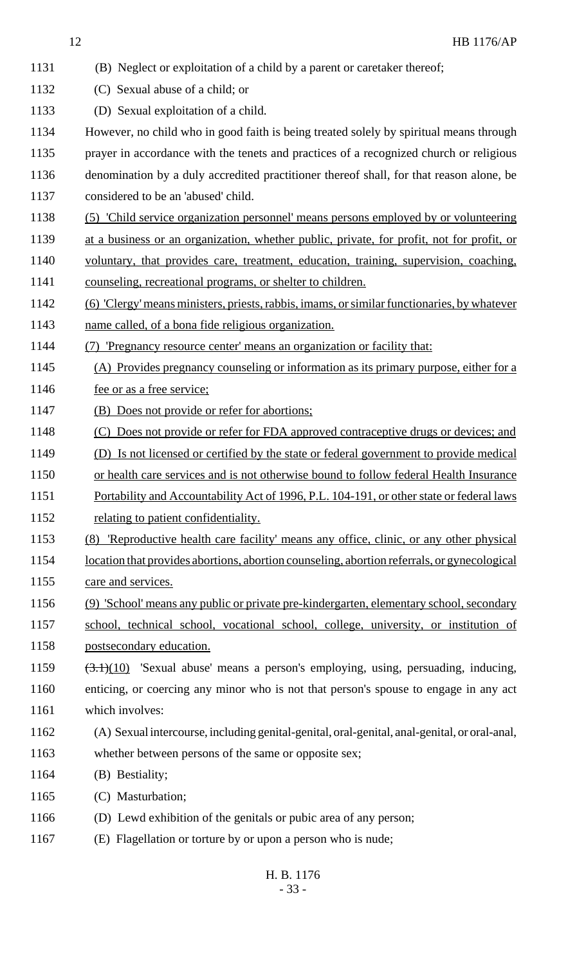(B) Neglect or exploitation of a child by a parent or caretaker thereof; (C) Sexual abuse of a child; or (D) Sexual exploitation of a child. However, no child who in good faith is being treated solely by spiritual means through prayer in accordance with the tenets and practices of a recognized church or religious denomination by a duly accredited practitioner thereof shall, for that reason alone, be considered to be an 'abused' child. (5) 'Child service organization personnel' means persons employed by or volunteering at a business or an organization, whether public, private, for profit, not for profit, or voluntary, that provides care, treatment, education, training, supervision, coaching, counseling, recreational programs, or shelter to children. (6) 'Clergy' means ministers, priests, rabbis, imams, or similar functionaries, by whatever name called, of a bona fide religious organization. (7) 'Pregnancy resource center' means an organization or facility that: (A) Provides pregnancy counseling or information as its primary purpose, either for a 1146 fee or as a free service; (B) Does not provide or refer for abortions; 1148 (C) Does not provide or refer for FDA approved contraceptive drugs or devices; and (D) Is not licensed or certified by the state or federal government to provide medical or health care services and is not otherwise bound to follow federal Health Insurance 1151 Portability and Accountability Act of 1996, P.L. 104-191, or other state or federal laws 1152 relating to patient confidentiality. (8) 'Reproductive health care facility' means any office, clinic, or any other physical location that provides abortions, abortion counseling, abortion referrals, or gynecological 1155 care and services. (9) 'School' means any public or private pre-kindergarten, elementary school, secondary school, technical school, vocational school, college, university, or institution of postsecondary education. (3.1)(10) 'Sexual abuse' means a person's employing, using, persuading, inducing, enticing, or coercing any minor who is not that person's spouse to engage in any act which involves: (A) Sexual intercourse, including genital-genital, oral-genital, anal-genital, or oral-anal, whether between persons of the same or opposite sex; (B) Bestiality; (C) Masturbation; (D) Lewd exhibition of the genitals or pubic area of any person; (E) Flagellation or torture by or upon a person who is nude;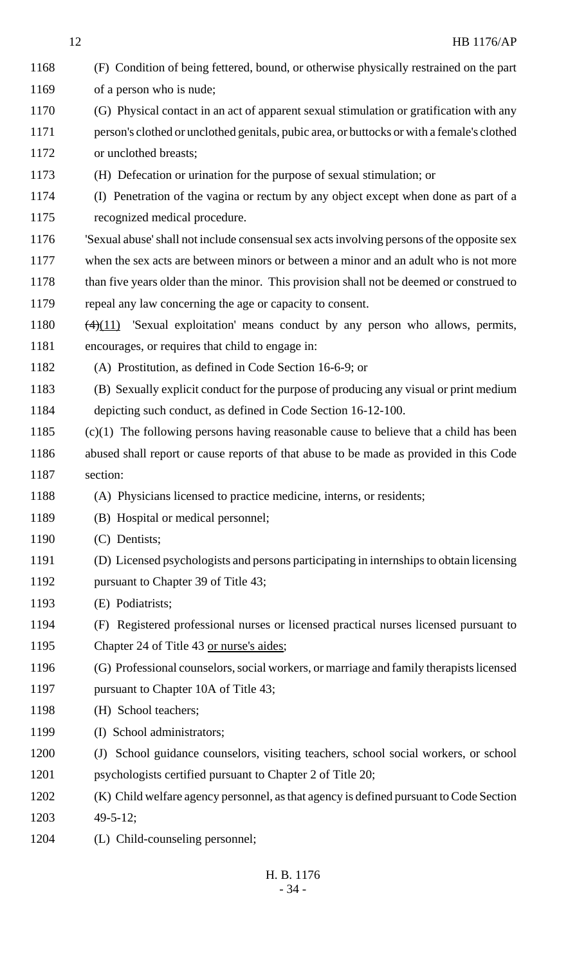| 1168 | (F) Condition of being fettered, bound, or otherwise physically restrained on the part      |
|------|---------------------------------------------------------------------------------------------|
| 1169 | of a person who is nude;                                                                    |
| 1170 | (G) Physical contact in an act of apparent sexual stimulation or gratification with any     |
| 1171 | person's clothed or unclothed genitals, pubic area, or buttocks or with a female's clothed  |
| 1172 | or unclothed breasts;                                                                       |
| 1173 | (H) Defecation or urination for the purpose of sexual stimulation; or                       |
| 1174 | (I) Penetration of the vagina or rectum by any object except when done as part of a         |
| 1175 | recognized medical procedure.                                                               |
| 1176 | 'Sexual abuse' shall not include consensual sex acts involving persons of the opposite sex  |
| 1177 | when the sex acts are between minors or between a minor and an adult who is not more        |
| 1178 | than five years older than the minor. This provision shall not be deemed or construed to    |
| 1179 | repeal any law concerning the age or capacity to consent.                                   |
| 1180 | $\frac{4(4)(11)}{2}$ 'Sexual exploitation' means conduct by any person who allows, permits, |
| 1181 | encourages, or requires that child to engage in:                                            |
| 1182 | (A) Prostitution, as defined in Code Section 16-6-9; or                                     |
| 1183 | (B) Sexually explicit conduct for the purpose of producing any visual or print medium       |
| 1184 | depicting such conduct, as defined in Code Section 16-12-100.                               |
| 1185 | $(c)(1)$ The following persons having reasonable cause to believe that a child has been     |
| 1186 | abused shall report or cause reports of that abuse to be made as provided in this Code      |
| 1187 | section:                                                                                    |
| 1188 | (A) Physicians licensed to practice medicine, interns, or residents;                        |
| 1189 | (B) Hospital or medical personnel;                                                          |
| 1190 | (C) Dentists;                                                                               |
| 1191 | (D) Licensed psychologists and persons participating in internships to obtain licensing     |
| 1192 | pursuant to Chapter 39 of Title 43;                                                         |
| 1193 | (E) Podiatrists;                                                                            |
| 1194 | (F) Registered professional nurses or licensed practical nurses licensed pursuant to        |
| 1195 | Chapter 24 of Title 43 or nurse's aides;                                                    |
| 1196 | (G) Professional counselors, social workers, or marriage and family therapists licensed     |
| 1197 | pursuant to Chapter 10A of Title 43;                                                        |
| 1198 | (H) School teachers;                                                                        |
| 1199 | (I) School administrators;                                                                  |
| 1200 | (J) School guidance counselors, visiting teachers, school social workers, or school         |
| 1201 | psychologists certified pursuant to Chapter 2 of Title 20;                                  |
| 1202 | (K) Child welfare agency personnel, as that agency is defined pursuant to Code Section      |
| 1203 | $49 - 5 - 12$ ;                                                                             |
| 1204 | (L) Child-counseling personnel;                                                             |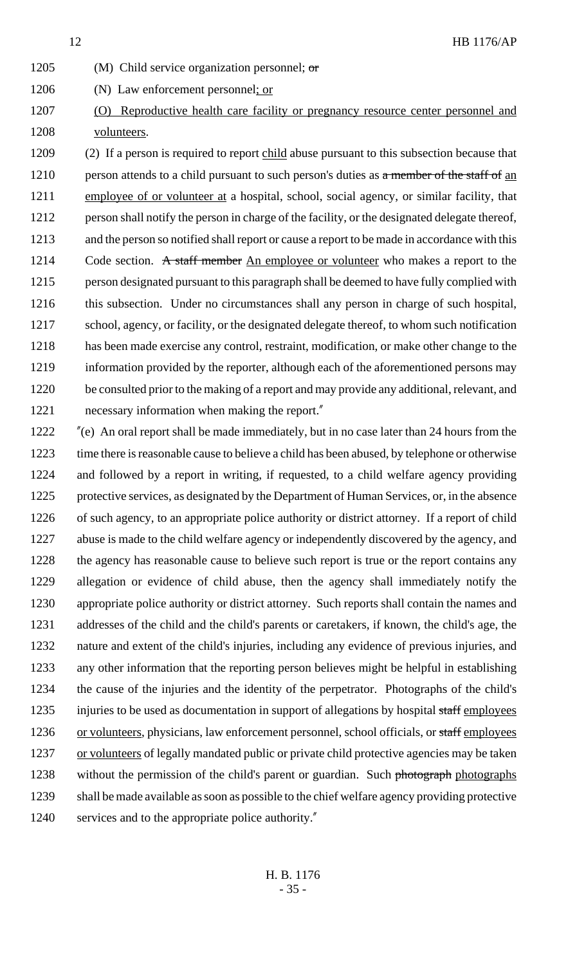- 1205 (M) Child service organization personnel;  $\sigma$ r
- (N) Law enforcement personnel; or
- (O) Reproductive health care facility or pregnancy resource center personnel and volunteers.

 (2) If a person is required to report child abuse pursuant to this subsection because that 1210 person attends to a child pursuant to such person's duties as  $\alpha$  member of the staff of an employee of or volunteer at a hospital, school, social agency, or similar facility, that person shall notify the person in charge of the facility, or the designated delegate thereof, and the person so notified shall report or cause a report to be made in accordance with this 1214 Code section. A staff member An employee or volunteer who makes a report to the person designated pursuant to this paragraph shall be deemed to have fully complied with this subsection. Under no circumstances shall any person in charge of such hospital, school, agency, or facility, or the designated delegate thereof, to whom such notification has been made exercise any control, restraint, modification, or make other change to the information provided by the reporter, although each of the aforementioned persons may be consulted prior to the making of a report and may provide any additional, relevant, and 1221 necessary information when making the report."

 "(e) An oral report shall be made immediately, but in no case later than 24 hours from the time there is reasonable cause to believe a child has been abused, by telephone or otherwise and followed by a report in writing, if requested, to a child welfare agency providing protective services, as designated by the Department of Human Services, or, in the absence 1226 of such agency, to an appropriate police authority or district attorney. If a report of child abuse is made to the child welfare agency or independently discovered by the agency, and 1228 the agency has reasonable cause to believe such report is true or the report contains any allegation or evidence of child abuse, then the agency shall immediately notify the appropriate police authority or district attorney. Such reports shall contain the names and addresses of the child and the child's parents or caretakers, if known, the child's age, the nature and extent of the child's injuries, including any evidence of previous injuries, and any other information that the reporting person believes might be helpful in establishing the cause of the injuries and the identity of the perpetrator. Photographs of the child's 1235 injuries to be used as documentation in support of allegations by hospital staff employees 1236 or volunteers, physicians, law enforcement personnel, school officials, or staff employees 1237 or volunteers of legally mandated public or private child protective agencies may be taken 1238 without the permission of the child's parent or guardian. Such photograph photographs shall be made available as soon as possible to the chief welfare agency providing protective services and to the appropriate police authority."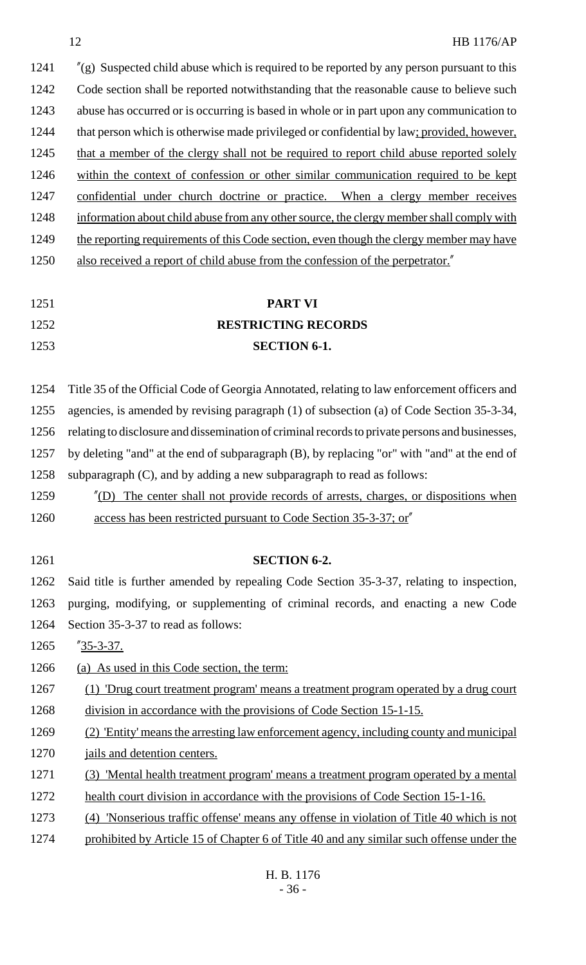1241 "(g) Suspected child abuse which is required to be reported by any person pursuant to this 1242 Code section shall be reported notwithstanding that the reasonable cause to believe such 1243 abuse has occurred or is occurring is based in whole or in part upon any communication to 1244 that person which is otherwise made privileged or confidential by law; provided, however, 1245 that a member of the clergy shall not be required to report child abuse reported solely 1246 within the context of confession or other similar communication required to be kept 1247 confidential under church doctrine or practice. When a clergy member receives 1248 information about child abuse from any other source, the clergy member shall comply with 1249 the reporting requirements of this Code section, even though the clergy member may have 1250 also received a report of child abuse from the confession of the perpetrator.

# 1251 **PART VI** 1252 **RESTRICTING RECORDS** 1253 **SECTION 6-1.**

 Title 35 of the Official Code of Georgia Annotated, relating to law enforcement officers and agencies, is amended by revising paragraph (1) of subsection (a) of Code Section 35-3-34, relating to disclosure and dissemination of criminal records to private persons and businesses, by deleting "and" at the end of subparagraph (B), by replacing "or" with "and" at the end of subparagraph (C), and by adding a new subparagraph to read as follows:

- 1259 "(D) The center shall not provide records of arrests, charges, or dispositions when 1260 access has been restricted pursuant to Code Section 35-3-37; or
- 

# 1261 **SECTION 6-2.**

1262 Said title is further amended by repealing Code Section 35-3-37, relating to inspection, 1263 purging, modifying, or supplementing of criminal records, and enacting a new Code 1264 Section 35-3-37 to read as follows:

1265 "35-3-37.

1266 (a) As used in this Code section, the term:

1267 (1) 'Drug court treatment program' means a treatment program operated by a drug court 1268 division in accordance with the provisions of Code Section 15-1-15.

- 1269 (2) 'Entity' means the arresting law enforcement agency, including county and municipal 1270 jails and detention centers.
- 1271 (3) 'Mental health treatment program' means a treatment program operated by a mental
- 1272 health court division in accordance with the provisions of Code Section 15-1-16.
- 1273 (4) 'Nonserious traffic offense' means any offense in violation of Title 40 which is not
- 1274 prohibited by Article 15 of Chapter 6 of Title 40 and any similar such offense under the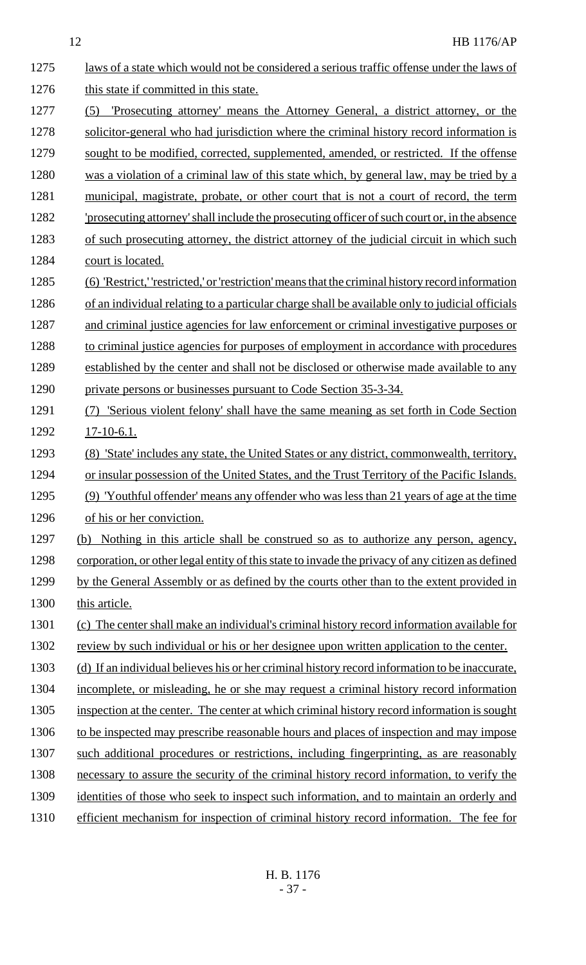| 1275 | laws of a state which would not be considered a serious traffic offense under the laws of         |
|------|---------------------------------------------------------------------------------------------------|
| 1276 | this state if committed in this state.                                                            |
| 1277 | <u>'Prosecuting attorney' means the Attorney General, a district attorney, or the</u><br>(5)      |
| 1278 | solicitor-general who had jurisdiction where the criminal history record information is           |
| 1279 | sought to be modified, corrected, supplemented, amended, or restricted. If the offense            |
| 1280 | was a violation of a criminal law of this state which, by general law, may be tried by a          |
| 1281 | municipal, magistrate, probate, or other court that is not a court of record, the term            |
| 1282 | 'prosecuting attorney' shall include the prosecuting officer of such court or, in the absence     |
| 1283 | of such prosecuting attorney, the district attorney of the judicial circuit in which such         |
| 1284 | court is located.                                                                                 |
| 1285 | (6) 'Restrict,' 'restricted,' or 'restriction' means that the criminal history record information |
| 1286 | of an individual relating to a particular charge shall be available only to judicial officials    |
| 1287 | and criminal justice agencies for law enforcement or criminal investigative purposes or           |
| 1288 | to criminal justice agencies for purposes of employment in accordance with procedures             |
| 1289 | established by the center and shall not be disclosed or otherwise made available to any           |
| 1290 | private persons or businesses pursuant to Code Section 35-3-34.                                   |
| 1291 | <u>'Serious violent felony' shall have the same meaning as set forth in Code Section</u>          |
| 1292 | $17-10-6.1$ .                                                                                     |
| 1293 | (8) 'State' includes any state, the United States or any district, commonwealth, territory,       |
| 1294 | or insular possession of the United States, and the Trust Territory of the Pacific Islands.       |
| 1295 | (9) 'Youthful offender' means any offender who was less than 21 years of age at the time          |
| 1296 | of his or her conviction.                                                                         |
| 1297 | Nothing in this article shall be construed so as to authorize any person, agency,<br>(b)          |
| 1298 | corporation, or other legal entity of this state to invade the privacy of any citizen as defined  |
| 1299 | by the General Assembly or as defined by the courts other than to the extent provided in          |
| 1300 | this article.                                                                                     |
| 1301 | (c) The center shall make an individual's criminal history record information available for       |
| 1302 | review by such individual or his or her designee upon written application to the center.          |
| 1303 | (d) If an individual believes his or her criminal history record information to be inaccurate,    |
| 1304 | incomplete, or misleading, he or she may request a criminal history record information            |
| 1305 | inspection at the center. The center at which criminal history record information is sought       |
| 1306 | to be inspected may prescribe reasonable hours and places of inspection and may impose            |
| 1307 | such additional procedures or restrictions, including fingerprinting, as are reasonably           |
| 1308 | necessary to assure the security of the criminal history record information, to verify the        |
| 1309 | identities of those who seek to inspect such information, and to maintain an orderly and          |
| 1310 | efficient mechanism for inspection of criminal history record information. The fee for            |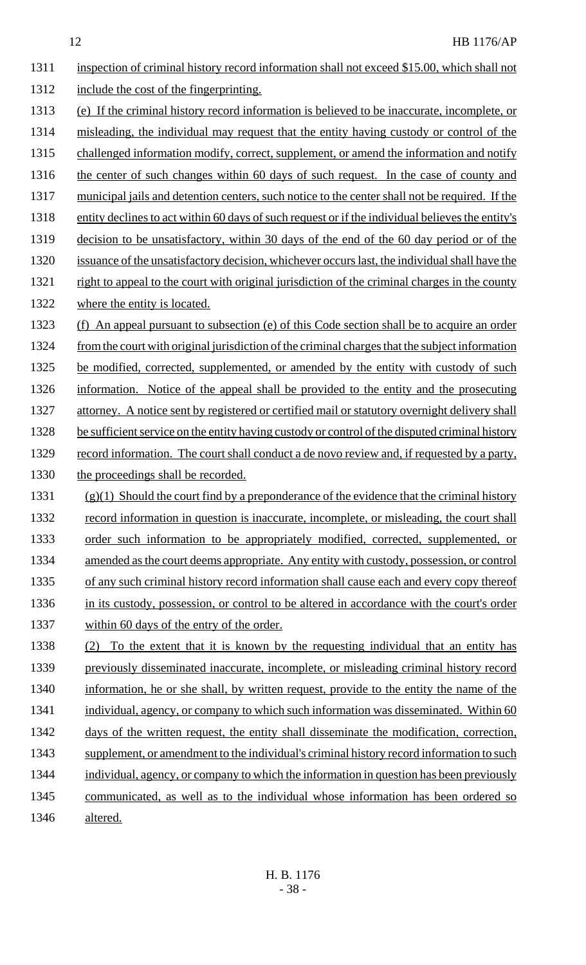1311 inspection of criminal history record information shall not exceed \$15.00, which shall not 1312 include the cost of the fingerprinting. 1313 (e) If the criminal history record information is believed to be inaccurate, incomplete, or 1314 misleading, the individual may request that the entity having custody or control of the 1315 challenged information modify, correct, supplement, or amend the information and notify 1316 the center of such changes within 60 days of such request. In the case of county and 1317 municipal jails and detention centers, such notice to the center shall not be required. If the 1318 entity declines to act within 60 days of such request or if the individual believes the entity's 1319 decision to be unsatisfactory, within 30 days of the end of the 60 day period or of the 1320 issuance of the unsatisfactory decision, whichever occurs last, the individual shall have the 1321 right to appeal to the court with original jurisdiction of the criminal charges in the county 1322 where the entity is located. 1323 (f) An appeal pursuant to subsection (e) of this Code section shall be to acquire an order 1324 from the court with original jurisdiction of the criminal charges that the subject information 1325 be modified, corrected, supplemented, or amended by the entity with custody of such 1326 information. Notice of the appeal shall be provided to the entity and the prosecuting 1327 attorney. A notice sent by registered or certified mail or statutory overnight delivery shall 1328 be sufficient service on the entity having custody or control of the disputed criminal history 1329 record information. The court shall conduct a de novo review and, if requested by a party, 1330 the proceedings shall be recorded. 1331  $(g)(1)$  Should the court find by a preponderance of the evidence that the criminal history 1332 record information in question is inaccurate, incomplete, or misleading, the court shall 1333 order such information to be appropriately modified, corrected, supplemented, or 1334 amended as the court deems appropriate. Any entity with custody, possession, or control 1335 of any such criminal history record information shall cause each and every copy thereof 1336 in its custody, possession, or control to be altered in accordance with the court's order 1337 within 60 days of the entry of the order. 1338 (2) To the extent that it is known by the requesting individual that an entity has 1339 previously disseminated inaccurate, incomplete, or misleading criminal history record 1340 information, he or she shall, by written request, provide to the entity the name of the 1341 individual, agency, or company to which such information was disseminated. Within 60 1342 days of the written request, the entity shall disseminate the modification, correction, 1343 supplement, or amendment to the individual's criminal history record information to such 1344 individual, agency, or company to which the information in question has been previously 1345 communicated, as well as to the individual whose information has been ordered so

1346 altered.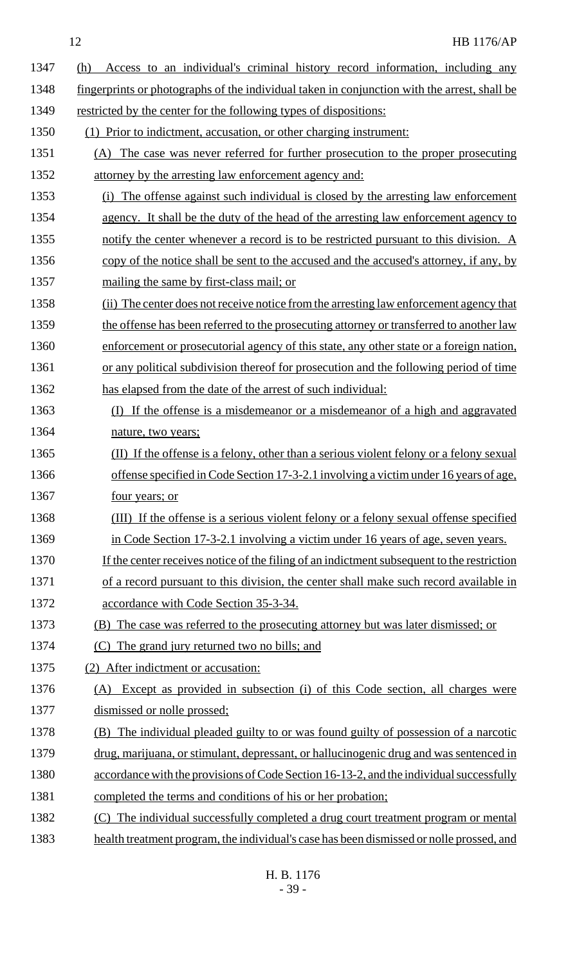| 1347 | Access to an individual's criminal history record information, including any<br>(h)          |
|------|----------------------------------------------------------------------------------------------|
| 1348 | fingerprints or photographs of the individual taken in conjunction with the arrest, shall be |
| 1349 | restricted by the center for the following types of dispositions:                            |
| 1350 | (1) Prior to indictment, accusation, or other charging instrument:                           |
| 1351 | (A) The case was never referred for further prosecution to the proper prosecuting            |
| 1352 | attorney by the arresting law enforcement agency and:                                        |
| 1353 | The offense against such individual is closed by the arresting law enforcement<br>(i)        |
| 1354 | agency. It shall be the duty of the head of the arresting law enforcement agency to          |
| 1355 | notify the center whenever a record is to be restricted pursuant to this division. A         |
| 1356 | copy of the notice shall be sent to the accused and the accused's attorney, if any, by       |
| 1357 | mailing the same by first-class mail; or                                                     |
| 1358 | (ii) The center does not receive notice from the arresting law enforcement agency that       |
| 1359 | the offense has been referred to the prosecuting attorney or transferred to another law      |
| 1360 | enforcement or prosecutorial agency of this state, any other state or a foreign nation,      |
| 1361 | or any political subdivision thereof for prosecution and the following period of time        |
| 1362 | has elapsed from the date of the arrest of such individual:                                  |
| 1363 | If the offense is a misdemeanor or a misdemeanor of a high and aggravated<br>(I)             |
| 1364 | nature, two years;                                                                           |
| 1365 | (II) If the offense is a felony, other than a serious violent felony or a felony sexual      |
| 1366 | offense specified in Code Section 17-3-2.1 involving a victim under 16 years of age,         |
| 1367 | <u>four years; or</u>                                                                        |
| 1368 | (III) If the offense is a serious violent felony or a felony sexual offense specified        |
| 1369 | in Code Section 17-3-2.1 involving a victim under 16 years of age, seven years.              |
| 1370 | If the center receives notice of the filing of an indictment subsequent to the restriction   |
| 1371 | of a record pursuant to this division, the center shall make such record available in        |
| 1372 | accordance with Code Section 35-3-34.                                                        |
| 1373 | (B) The case was referred to the prosecuting attorney but was later dismissed; or            |
| 1374 | (C) The grand jury returned two no bills; and                                                |
| 1375 | (2) After indictment or accusation:                                                          |
| 1376 | Except as provided in subsection (i) of this Code section, all charges were<br>(A)           |
| 1377 | dismissed or nolle prossed;                                                                  |
| 1378 | (B) The individual pleaded guilty to or was found guilty of possession of a narcotic         |
| 1379 | drug, marijuana, or stimulant, depressant, or hallucinogenic drug and was sentenced in       |
| 1380 | accordance with the provisions of Code Section 16-13-2, and the individual successfully      |
| 1381 | completed the terms and conditions of his or her probation;                                  |
| 1382 | (C) The individual successfully completed a drug court treatment program or mental           |
| 1383 | health treatment program, the individual's case has been dismissed or nolle prossed, and     |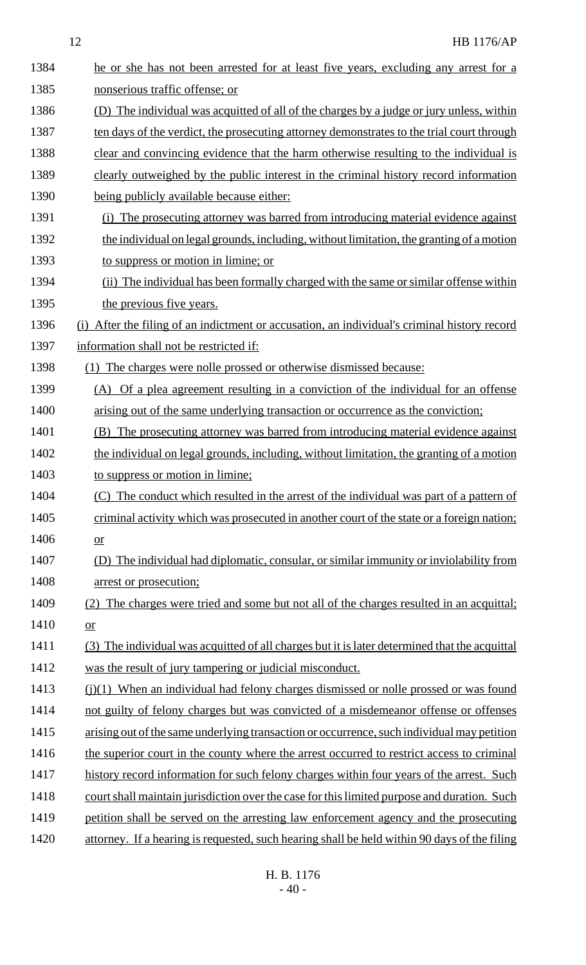| 1384 | he or she has not been arrested for at least five years, excluding any arrest for a             |
|------|-------------------------------------------------------------------------------------------------|
| 1385 | nonserious traffic offense; or                                                                  |
| 1386 | (D) The individual was acquitted of all of the charges by a judge or jury unless, within        |
| 1387 | ten days of the verdict, the prosecuting attorney demonstrates to the trial court through       |
| 1388 | clear and convincing evidence that the harm otherwise resulting to the individual is            |
| 1389 | clearly outweighed by the public interest in the criminal history record information            |
| 1390 | being publicly available because either:                                                        |
| 1391 | (i) The prosecuting attorney was barred from introducing material evidence against              |
| 1392 | the individual on legal grounds, including, without limitation, the granting of a motion        |
| 1393 | to suppress or motion in limine; or                                                             |
| 1394 | (ii) The individual has been formally charged with the same or similar offense within           |
| 1395 | the previous five years.                                                                        |
| 1396 | After the filing of an indictment or accusation, an individual's criminal history record<br>(i) |
| 1397 | information shall not be restricted if:                                                         |
| 1398 | The charges were nolle prossed or otherwise dismissed because:<br>(1)                           |
| 1399 | (A) Of a plea agreement resulting in a conviction of the individual for an offense              |
| 1400 | arising out of the same underlying transaction or occurrence as the conviction;                 |
| 1401 | (B) The prosecuting attorney was barred from introducing material evidence against              |
| 1402 | the individual on legal grounds, including, without limitation, the granting of a motion        |
| 1403 | to suppress or motion in limine;                                                                |
| 1404 | (C) The conduct which resulted in the arrest of the individual was part of a pattern of         |
| 1405 | criminal activity which was prosecuted in another court of the state or a foreign nation;       |
| 1406 | or                                                                                              |
| 1407 | The individual had diplomatic, consular, or similar immunity or inviolability from<br>(D)       |
| 1408 | arrest or prosecution;                                                                          |
| 1409 | The charges were tried and some but not all of the charges resulted in an acquittal;<br>(2)     |
| 1410 | $or$                                                                                            |
| 1411 | (3) The individual was acquitted of all charges but it is later determined that the acquittal   |
| 1412 | was the result of jury tampering or judicial misconduct.                                        |
| 1413 | $(i)(1)$ When an individual had felony charges dismissed or nolle prossed or was found          |
| 1414 | not guilty of felony charges but was convicted of a misdemeanor offense or offenses             |
| 1415 | arising out of the same underlying transaction or occurrence, such individual may petition      |
| 1416 | the superior court in the county where the arrest occurred to restrict access to criminal       |
| 1417 | history record information for such felony charges within four years of the arrest. Such        |
| 1418 | court shall maintain jurisdiction over the case for this limited purpose and duration. Such     |
| 1419 | petition shall be served on the arresting law enforcement agency and the prosecuting            |
| 1420 | attorney. If a hearing is requested, such hearing shall be held within 90 days of the filing    |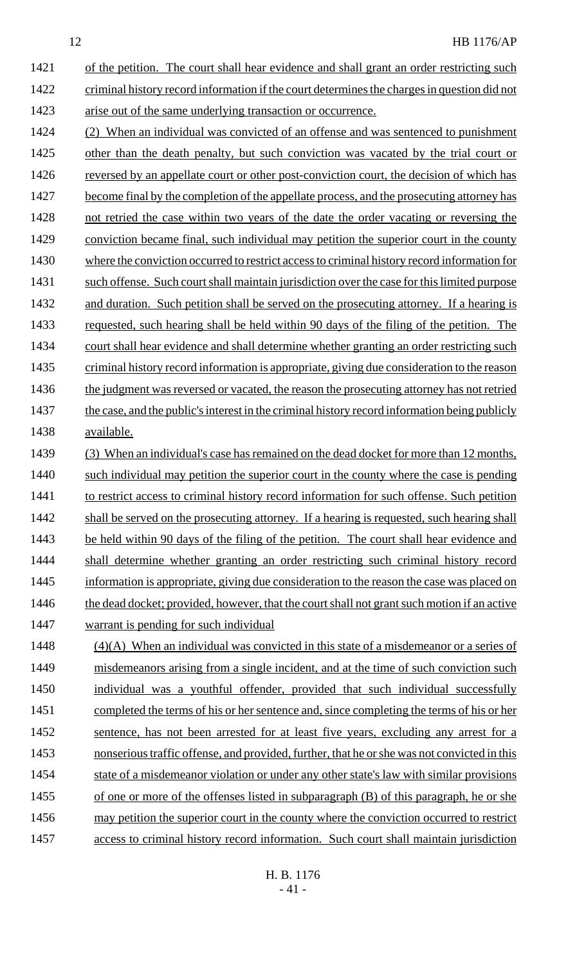1421 of the petition. The court shall hear evidence and shall grant an order restricting such 1422 criminal history record information if the court determines the charges in question did not 1423 arise out of the same underlying transaction or occurrence.

- 1424 (2) When an individual was convicted of an offense and was sentenced to punishment 1425 other than the death penalty, but such conviction was vacated by the trial court or 1426 reversed by an appellate court or other post-conviction court, the decision of which has 1427 become final by the completion of the appellate process, and the prosecuting attorney has 1428 not retried the case within two years of the date the order vacating or reversing the 1429 conviction became final, such individual may petition the superior court in the county 1430 where the conviction occurred to restrict access to criminal history record information for 1431 such offense. Such court shall maintain jurisdiction over the case for this limited purpose 1432 and duration. Such petition shall be served on the prosecuting attorney. If a hearing is 1433 requested, such hearing shall be held within 90 days of the filing of the petition. The 1434 court shall hear evidence and shall determine whether granting an order restricting such 1435 criminal history record information is appropriate, giving due consideration to the reason 1436 the judgment was reversed or vacated, the reason the prosecuting attorney has not retried 1437 the case, and the public's interest in the criminal history record information being publicly 1438 available.
- 1439 (3) When an individual's case has remained on the dead docket for more than 12 months, 1440 such individual may petition the superior court in the county where the case is pending 1441 to restrict access to criminal history record information for such offense. Such petition 1442 shall be served on the prosecuting attorney. If a hearing is requested, such hearing shall 1443 be held within 90 days of the filing of the petition. The court shall hear evidence and 1444 shall determine whether granting an order restricting such criminal history record 1445 information is appropriate, giving due consideration to the reason the case was placed on 1446 the dead docket; provided, however, that the court shall not grant such motion if an active 1447 warrant is pending for such individual

1448 (4)(A) When an individual was convicted in this state of a misdemeanor or a series of 1449 misdemeanors arising from a single incident, and at the time of such conviction such 1450 individual was a youthful offender, provided that such individual successfully 1451 completed the terms of his or her sentence and, since completing the terms of his or her 1452 sentence, has not been arrested for at least five years, excluding any arrest for a 1453 nonserious traffic offense, and provided, further, that he or she was not convicted in this 1454 state of a misdemeanor violation or under any other state's law with similar provisions 1455 of one or more of the offenses listed in subparagraph (B) of this paragraph, he or she 1456 may petition the superior court in the county where the conviction occurred to restrict 1457 access to criminal history record information. Such court shall maintain jurisdiction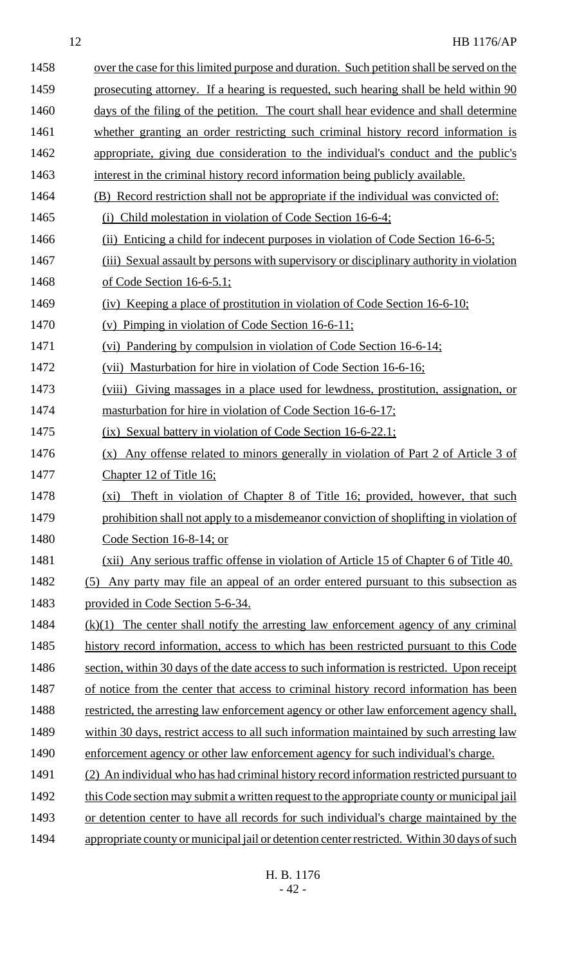| 1458 | over the case for this limited purpose and duration. Such petition shall be served on the   |
|------|---------------------------------------------------------------------------------------------|
| 1459 | prosecuting attorney. If a hearing is requested, such hearing shall be held within 90       |
| 1460 | days of the filing of the petition. The court shall hear evidence and shall determine       |
| 1461 | whether granting an order restricting such criminal history record information is           |
| 1462 | appropriate, giving due consideration to the individual's conduct and the public's          |
| 1463 | interest in the criminal history record information being publicly available.               |
| 1464 | (B) Record restriction shall not be appropriate if the individual was convicted of:         |
| 1465 | Child molestation in violation of Code Section 16-6-4;<br>(i)                               |
| 1466 | (ii) Enticing a child for indecent purposes in violation of Code Section 16-6-5;            |
| 1467 | (iii) Sexual assault by persons with supervisory or disciplinary authority in violation     |
| 1468 | of Code Section $16-6-5.1$ ;                                                                |
| 1469 | (iv) Keeping a place of prostitution in violation of Code Section 16-6-10;                  |
| 1470 | Pimping in violation of Code Section 16-6-11;<br>(v)                                        |
| 1471 | (vi) Pandering by compulsion in violation of Code Section 16-6-14;                          |
| 1472 | (vii) Masturbation for hire in violation of Code Section 16-6-16;                           |
| 1473 | (viii)<br>Giving massages in a place used for lewdness, prostitution, assignation, or       |
| 1474 | masturbation for hire in violation of Code Section 16-6-17;                                 |
| 1475 | (ix) Sexual battery in violation of Code Section 16-6-22.1;                                 |
| 1476 | Any offense related to minors generally in violation of Part 2 of Article 3 of<br>(x)       |
| 1477 | Chapter 12 of Title 16;                                                                     |
| 1478 | Theft in violation of Chapter 8 of Title 16; provided, however, that such<br>$(x_i)$        |
| 1479 | prohibition shall not apply to a misdemeanor conviction of shoplifting in violation of      |
| 1480 | Code Section 16-8-14; or                                                                    |
| 1481 | (xii) Any serious traffic offense in violation of Article 15 of Chapter 6 of Title 40.      |
| 1482 | Any party may file an appeal of an order entered pursuant to this subsection as<br>(5)      |
| 1483 | provided in Code Section 5-6-34.                                                            |
| 1484 | The center shall notify the arresting law enforcement agency of any criminal<br>(k)(1)      |
| 1485 | history record information, access to which has been restricted pursuant to this Code       |
| 1486 | section, within 30 days of the date access to such information is restricted. Upon receipt  |
| 1487 | of notice from the center that access to criminal history record information has been       |
| 1488 | restricted, the arresting law enforcement agency or other law enforcement agency shall,     |
| 1489 | within 30 days, restrict access to all such information maintained by such arresting law    |
| 1490 | enforcement agency or other law enforcement agency for such individual's charge.            |
| 1491 | (2) An individual who has had criminal history record information restricted pursuant to    |
| 1492 | this Code section may submit a written request to the appropriate county or municipal jail  |
| 1493 | or detention center to have all records for such individual's charge maintained by the      |
| 1494 | appropriate county or municipal jail or detention center restricted. Within 30 days of such |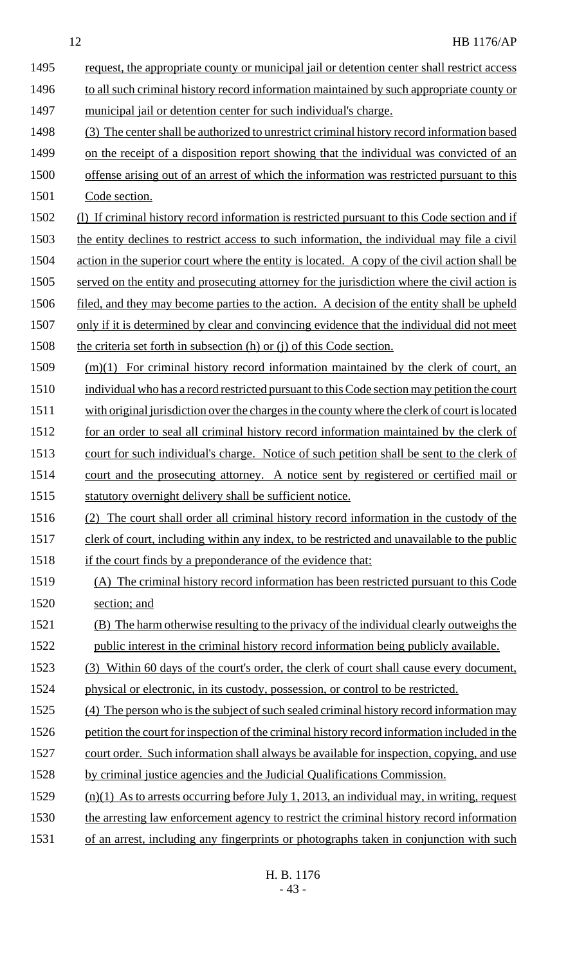| 1495 | request, the appropriate county or municipal jail or detention center shall restrict access       |
|------|---------------------------------------------------------------------------------------------------|
| 1496 | to all such criminal history record information maintained by such appropriate county or          |
| 1497 | municipal jail or detention center for such individual's charge.                                  |
| 1498 | (3) The center shall be authorized to unrestrict criminal history record information based        |
| 1499 | on the receipt of a disposition report showing that the individual was convicted of an            |
| 1500 | offense arising out of an arrest of which the information was restricted pursuant to this         |
| 1501 | Code section.                                                                                     |
| 1502 | (1) If criminal history record information is restricted pursuant to this Code section and if     |
| 1503 | the entity declines to restrict access to such information, the individual may file a civil       |
| 1504 | action in the superior court where the entity is located. A copy of the civil action shall be     |
| 1505 | served on the entity and prosecuting attorney for the jurisdiction where the civil action is      |
| 1506 | <u>filed, and they may become parties to the action. A decision of the entity shall be upheld</u> |
| 1507 | only if it is determined by clear and convincing evidence that the individual did not meet        |
| 1508 | the criteria set forth in subsection (h) or (j) of this Code section.                             |
| 1509 | $(m)(1)$ For criminal history record information maintained by the clerk of court, an             |
| 1510 | individual who has a record restricted pursuant to this Code section may petition the court       |
| 1511 | with original jurisdiction over the charges in the county where the clerk of court is located     |
| 1512 | for an order to seal all criminal history record information maintained by the clerk of           |
| 1513 | court for such individual's charge. Notice of such petition shall be sent to the clerk of         |
| 1514 | court and the prosecuting attorney. A notice sent by registered or certified mail or              |
| 1515 | statutory overnight delivery shall be sufficient notice.                                          |
| 1516 | (2) The court shall order all criminal history record information in the custody of the           |
| 1517 | clerk of court, including within any index, to be restricted and unavailable to the public        |
| 1518 | if the court finds by a preponderance of the evidence that:                                       |
| 1519 | (A) The criminal history record information has been restricted pursuant to this Code             |
| 1520 | section; and                                                                                      |
| 1521 | (B) The harm otherwise resulting to the privacy of the individual clearly outweighs the           |
| 1522 | public interest in the criminal history record information being publicly available.              |
| 1523 | (3) Within 60 days of the court's order, the clerk of court shall cause every document,           |
| 1524 | physical or electronic, in its custody, possession, or control to be restricted.                  |
| 1525 | (4) The person who is the subject of such sealed criminal history record information may          |
| 1526 | petition the court for inspection of the criminal history record information included in the      |
| 1527 | court order. Such information shall always be available for inspection, copying, and use          |
| 1528 | by criminal justice agencies and the Judicial Qualifications Commission.                          |
| 1529 | $(n)(1)$ As to arrests occurring before July 1, 2013, an individual may, in writing, request      |
| 1530 | the arresting law enforcement agency to restrict the criminal history record information          |
| 1531 | of an arrest, including any fingerprints or photographs taken in conjunction with such            |

H. B. 1176 - 43 -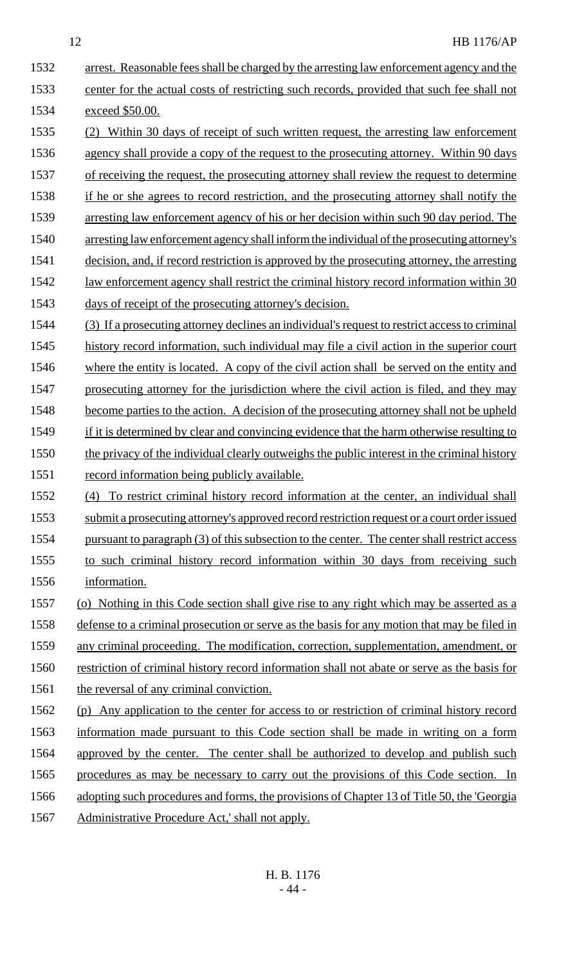1532 arrest. Reasonable fees shall be charged by the arresting law enforcement agency and the center for the actual costs of restricting such records, provided that such fee shall not exceed \$50.00. (2) Within 30 days of receipt of such written request, the arresting law enforcement agency shall provide a copy of the request to the prosecuting attorney. Within 90 days 1537 of receiving the request, the prosecuting attorney shall review the request to determine if he or she agrees to record restriction, and the prosecuting attorney shall notify the arresting law enforcement agency of his or her decision within such 90 day period. The arresting law enforcement agency shall inform the individual of the prosecuting attorney's 1541 decision, and, if record restriction is approved by the prosecuting attorney, the arresting law enforcement agency shall restrict the criminal history record information within 30 days of receipt of the prosecuting attorney's decision. (3) If a prosecuting attorney declines an individual's request to restrict access to criminal 1545 history record information, such individual may file a civil action in the superior court 1546 where the entity is located. A copy of the civil action shall be served on the entity and 1547 prosecuting attorney for the jurisdiction where the civil action is filed, and they may 1548 become parties to the action. A decision of the prosecuting attorney shall not be upheld if it is determined by clear and convincing evidence that the harm otherwise resulting to 1550 the privacy of the individual clearly outweighs the public interest in the criminal history record information being publicly available. (4) To restrict criminal history record information at the center, an individual shall 1553 submit a prosecuting attorney's approved record restriction request or a court order issued 1554 pursuant to paragraph (3) of this subsection to the center. The center shall restrict access to such criminal history record information within 30 days from receiving such information. (o) Nothing in this Code section shall give rise to any right which may be asserted as a defense to a criminal prosecution or serve as the basis for any motion that may be filed in any criminal proceeding. The modification, correction, supplementation, amendment, or restriction of criminal history record information shall not abate or serve as the basis for 1561 the reversal of any criminal conviction. (p) Any application to the center for access to or restriction of criminal history record information made pursuant to this Code section shall be made in writing on a form approved by the center. The center shall be authorized to develop and publish such procedures as may be necessary to carry out the provisions of this Code section. In adopting such procedures and forms, the provisions of Chapter 13 of Title 50, the 'Georgia Administrative Procedure Act,' shall not apply.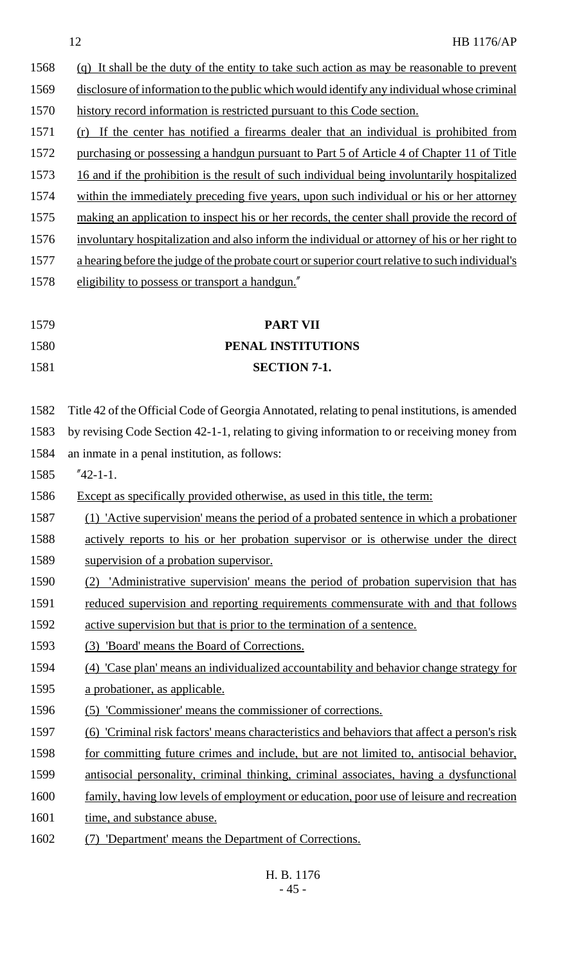|      | 12<br><b>HB 1176/AP</b>                                                                            |
|------|----------------------------------------------------------------------------------------------------|
| 1568 | (q) It shall be the duty of the entity to take such action as may be reasonable to prevent         |
| 1569 | disclosure of information to the public which would identify any individual whose criminal         |
| 1570 | history record information is restricted pursuant to this Code section.                            |
| 1571 | (r) If the center has notified a firearms dealer that an individual is prohibited from             |
| 1572 | purchasing or possessing a handgun pursuant to Part 5 of Article 4 of Chapter 11 of Title          |
| 1573 | 16 and if the prohibition is the result of such individual being involuntarily hospitalized        |
| 1574 | within the immediately preceding five years, upon such individual or his or her attorney           |
| 1575 | making an application to inspect his or her records, the center shall provide the record of        |
| 1576 | involuntary hospitalization and also inform the individual or attorney of his or her right to      |
| 1577 | a hearing before the judge of the probate court or superior court relative to such individual's    |
| 1578 | eligibility to possess or transport a handgun."                                                    |
|      |                                                                                                    |
| 1579 | <b>PART VII</b>                                                                                    |
| 1580 | PENAL INSTITUTIONS                                                                                 |
| 1581 | <b>SECTION 7-1.</b>                                                                                |
| 1582 | Title 42 of the Official Code of Georgia Annotated, relating to penal institutions, is amended     |
| 1583 | by revising Code Section 42-1-1, relating to giving information to or receiving money from         |
| 1584 | an inmate in a penal institution, as follows:                                                      |
| 1585 | $"42-1-1.$                                                                                         |
| 1586 | Except as specifically provided otherwise, as used in this title, the term:                        |
| 1587 | (1) 'Active supervision' means the period of a probated sentence in which a probationer            |
| 1588 | actively reports to his or her probation supervisor or is otherwise under the direct               |
| 1589 | supervision of a probation supervisor.                                                             |
| 1590 | <u>'Administrative supervision' means the period of probation supervision that has</u>             |
| 1591 | reduced supervision and reporting requirements commensurate with and that follows                  |
| 1592 | active supervision but that is prior to the termination of a sentence.                             |
| 1593 | 'Board' means the Board of Corrections.<br>(3)                                                     |
| 1594 | (4) 'Case plan' means an individualized accountability and behavior change strategy for            |
| 1595 | a probationer, as applicable.                                                                      |
| 1596 | (5) 'Commissioner' means the commissioner of corrections.                                          |
| 1597 | <u>(6) 'Criminal risk factors' means characteristics and behaviors that affect a person's risk</u> |
| 1598 | for committing future crimes and include, but are not limited to, antisocial behavior,             |
| 1599 | antisocial personality, criminal thinking, criminal associates, having a dysfunctional             |
| 1600 | family, having low levels of employment or education, poor use of leisure and recreation           |
| 1601 | time, and substance abuse.                                                                         |
| 1602 | 'Department' means the Department of Corrections.                                                  |
|      | H. B. 1176                                                                                         |
|      | - 45 -                                                                                             |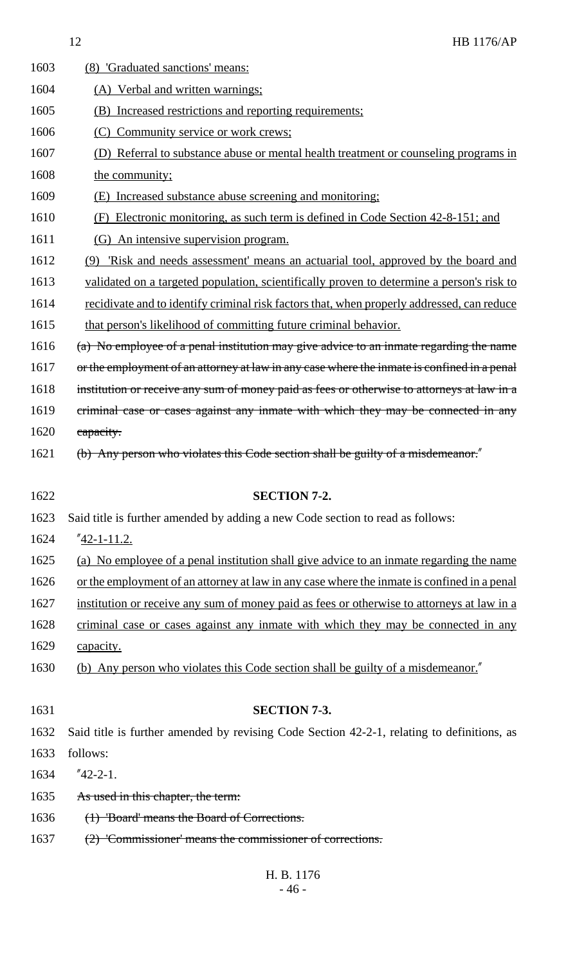| 1603 | (8) 'Graduated sanctions' means:                                                            |
|------|---------------------------------------------------------------------------------------------|
| 1604 | (A) Verbal and written warnings;                                                            |
| 1605 | (B) Increased restrictions and reporting requirements;                                      |
| 1606 | (C) Community service or work crews;                                                        |
| 1607 | (D) Referral to substance abuse or mental health treatment or counseling programs in        |
| 1608 | the community;                                                                              |
| 1609 | (E) Increased substance abuse screening and monitoring;                                     |
| 1610 | (F) Electronic monitoring, as such term is defined in Code Section 42-8-151; and            |
| 1611 | (G) An intensive supervision program.                                                       |
| 1612 | (9) 'Risk and needs assessment' means an actuarial tool, approved by the board and          |
| 1613 | validated on a targeted population, scientifically proven to determine a person's risk to   |
| 1614 | recidivate and to identify criminal risk factors that, when properly addressed, can reduce  |
| 1615 | that person's likelihood of committing future criminal behavior.                            |
| 1616 | (a) No employee of a penal institution may give advice to an inmate regarding the name      |
| 1617 | or the employment of an attorney at law in any case where the inmate is confined in a penal |
| 1618 | institution or receive any sum of money paid as fees or otherwise to attorneys at law in a  |
| 1619 | criminal case or cases against any inmate with which they may be connected in any           |
| 1620 | capacity.                                                                                   |
| 1621 | (b) Any person who violates this Code section shall be guilty of a misdemeanor."            |
|      |                                                                                             |
| 1622 | <b>SECTION 7-2.</b>                                                                         |
| 1623 | Said title is further amended by adding a new Code section to read as follows:              |
| 1624 | " <u>42-1-11.2.</u>                                                                         |
| 1625 | (a) No employee of a penal institution shall give advice to an inmate regarding the name    |
| 1626 | or the employment of an attorney at law in any case where the inmate is confined in a penal |
| 1627 | institution or receive any sum of money paid as fees or otherwise to attorneys at law in a  |
| 1628 | criminal case or cases against any inmate with which they may be connected in any           |
| 1629 | capacity.                                                                                   |
| 1630 | (b) Any person who violates this Code section shall be guilty of a misdemeanor."            |
|      |                                                                                             |
| 1631 | <b>SECTION 7-3.</b>                                                                         |
| 1632 | Said title is further amended by revising Code Section 42-2-1, relating to definitions, as  |
| 1633 | follows:                                                                                    |
| 1634 | $"42-2-1.$                                                                                  |
| 1635 | As used in this chapter, the term:                                                          |
| 1636 | (1) 'Board' means the Board of Corrections.                                                 |
| 1637 | (2) 'Commissioner' means the commissioner of corrections.                                   |
|      |                                                                                             |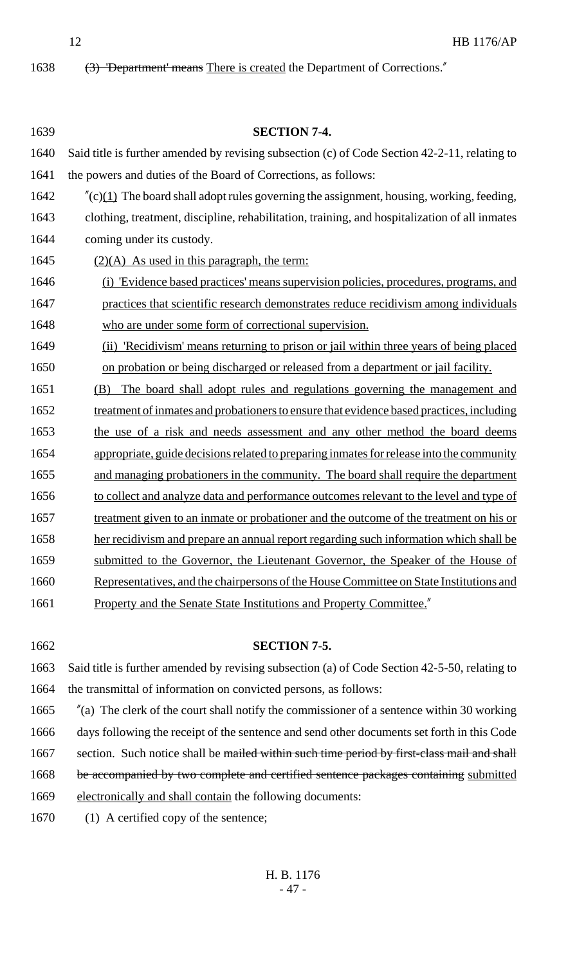1638 (3) 'Department' means There is created the Department of Corrections."

| 1639 | <b>SECTION 7-4.</b>                                                                            |
|------|------------------------------------------------------------------------------------------------|
| 1640 | Said title is further amended by revising subsection (c) of Code Section 42-2-11, relating to  |
| 1641 | the powers and duties of the Board of Corrections, as follows:                                 |
| 1642 | $\text{C}(c)$ The board shall adopt rules governing the assignment, housing, working, feeding, |
| 1643 | clothing, treatment, discipline, rehabilitation, training, and hospitalization of all inmates  |
| 1644 | coming under its custody.                                                                      |
| 1645 | $(2)(A)$ As used in this paragraph, the term:                                                  |
| 1646 | (i) 'Evidence based practices' means supervision policies, procedures, programs, and           |
| 1647 | practices that scientific research demonstrates reduce recidivism among individuals            |
| 1648 | who are under some form of correctional supervision.                                           |
| 1649 | 'Recidivism' means returning to prison or jail within three years of being placed<br>(ii)      |
| 1650 | on probation or being discharged or released from a department or jail facility.               |
| 1651 | The board shall adopt rules and regulations governing the management and<br>(B)                |
| 1652 | treatment of inmates and probationers to ensure that evidence based practices, including       |
| 1653 | the use of a risk and needs assessment and any other method the board deems                    |
| 1654 | appropriate, guide decisions related to preparing inmates for release into the community       |
| 1655 | and managing probationers in the community. The board shall require the department             |
| 1656 | to collect and analyze data and performance outcomes relevant to the level and type of         |
| 1657 | treatment given to an inmate or probationer and the outcome of the treatment on his or         |
| 1658 | her recidivism and prepare an annual report regarding such information which shall be          |
| 1659 | submitted to the Governor, the Lieutenant Governor, the Speaker of the House of                |
| 1660 | Representatives, and the chairpersons of the House Committee on State Institutions and         |
| 1661 | <b>Property and the Senate State Institutions and Property Committee.</b> "                    |
|      |                                                                                                |
| 1662 | <b>SECTION 7-5.</b>                                                                            |
| 1663 | Said title is further amended by revising subsection (a) of Code Section 42-5-50, relating to  |
| 1664 | the transmittal of information on convicted persons, as follows:                               |
| 1665 | $\alpha$ The clerk of the court shall notify the commissioner of a sentence within 30 working  |
| 1666 | days following the receipt of the sentence and send other documents set forth in this Code     |
| 1667 | section. Such notice shall be mailed within such time period by first-class mail and shall     |
| 1668 | be accompanied by two complete and certified sentence packages containing submitted            |
| 1669 | electronically and shall contain the following documents:                                      |

1670 (1) A certified copy of the sentence;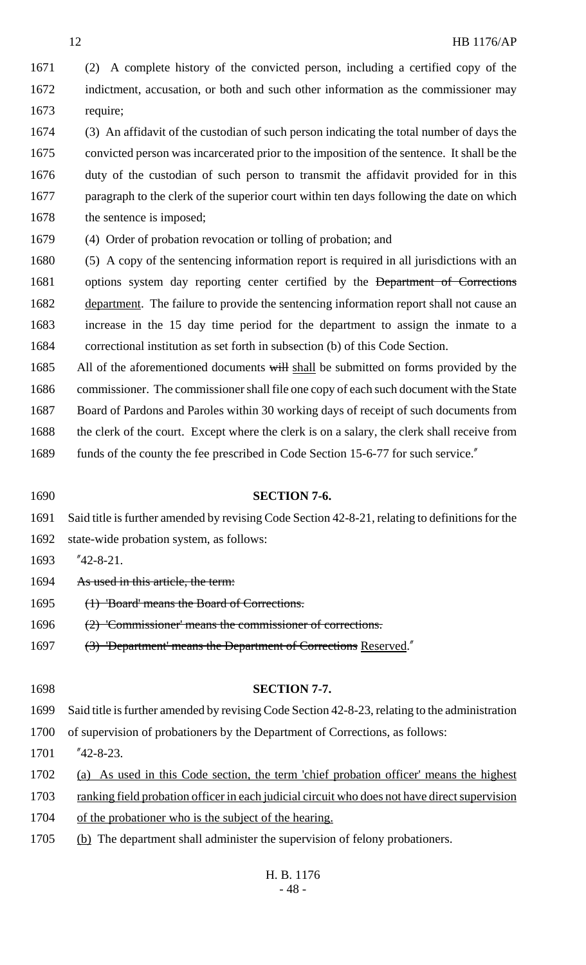(2) A complete history of the convicted person, including a certified copy of the indictment, accusation, or both and such other information as the commissioner may require;

 (3) An affidavit of the custodian of such person indicating the total number of days the convicted person was incarcerated prior to the imposition of the sentence. It shall be the duty of the custodian of such person to transmit the affidavit provided for in this 1677 paragraph to the clerk of the superior court within ten days following the date on which 1678 the sentence is imposed;

(4) Order of probation revocation or tolling of probation; and

 (5) A copy of the sentencing information report is required in all jurisdictions with an 1681 options system day reporting center certified by the <del>Department of Corrections</del> 1682 department. The failure to provide the sentencing information report shall not cause an increase in the 15 day time period for the department to assign the inmate to a correctional institution as set forth in subsection (b) of this Code Section.

1685 All of the aforementioned documents will shall be submitted on forms provided by the 1686 commissioner. The commissioner shall file one copy of each such document with the State Board of Pardons and Paroles within 30 working days of receipt of such documents from 1688 the clerk of the court. Except where the clerk is on a salary, the clerk shall receive from

- 1689 funds of the county the fee prescribed in Code Section 15-6-77 for such service."
- **SECTION 7-6.** Said title is further amended by revising Code Section 42-8-21, relating to definitions for the state-wide probation system, as follows: "42-8-21. 1694 As used in this article, the term: (1) 'Board' means the Board of Corrections. (2) 'Commissioner' means the commissioner of corrections. 1697 (3) 'Department' means the Department of Corrections Reserved." **SECTION 7-7.** Said title is further amended by revising Code Section 42-8-23, relating to the administration of supervision of probationers by the Department of Corrections, as follows: "42-8-23. (a) As used in this Code section, the term 'chief probation officer' means the highest 1703 ranking field probation officer in each judicial circuit who does not have direct supervision 1704 of the probationer who is the subject of the hearing. (b) The department shall administer the supervision of felony probationers.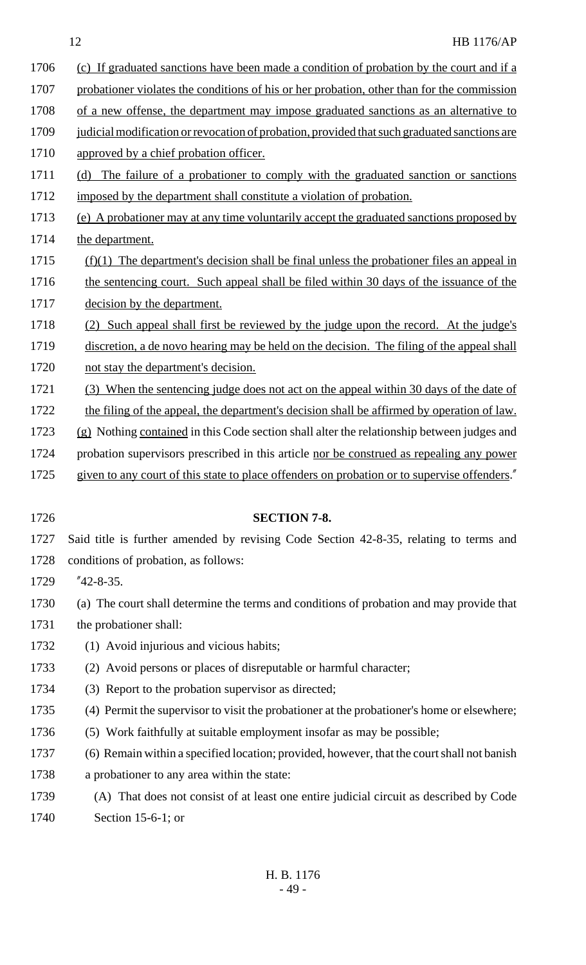- 1706 (c) If graduated sanctions have been made a condition of probation by the court and if a
- 1707 probationer violates the conditions of his or her probation, other than for the commission
- 1708 of a new offense, the department may impose graduated sanctions as an alternative to
- 1709 judicial modification or revocation of probation, provided that such graduated sanctions are 1710 approved by a chief probation officer.
- 1711 (d) The failure of a probationer to comply with the graduated sanction or sanctions
- 1712 imposed by the department shall constitute a violation of probation.
- 1713 (e) A probationer may at any time voluntarily accept the graduated sanctions proposed by
- 1714 the department.
	- 1715  $(f)(1)$  The department's decision shall be final unless the probationer files an appeal in
	- 1716 the sentencing court. Such appeal shall be filed within 30 days of the issuance of the 1717 decision by the department.
	- 1718 (2) Such appeal shall first be reviewed by the judge upon the record. At the judge's
	- 1719 discretion, a de novo hearing may be held on the decision. The filing of the appeal shall
	- 1720 not stay the department's decision.
	- 1721 (3) When the sentencing judge does not act on the appeal within 30 days of the date of
	- 1722 the filing of the appeal, the department's decision shall be affirmed by operation of law.
	- 1723 (g) Nothing contained in this Code section shall alter the relationship between judges and
	- 1724 probation supervisors prescribed in this article nor be construed as repealing any power
	- 1725 given to any court of this state to place offenders on probation or to supervise offenders."
- 1726 **SECTION 7-8.** 1727 Said title is further amended by revising Code Section 42-8-35, relating to terms and
	- 1728 conditions of probation, as follows:
	- 1729 "42-8-35.
	- 1730 (a) The court shall determine the terms and conditions of probation and may provide that
	- 1731 the probationer shall:
	- 1732 (1) Avoid injurious and vicious habits;
	- 1733 (2) Avoid persons or places of disreputable or harmful character;
	- 1734 (3) Report to the probation supervisor as directed;
	- 1735 (4) Permit the supervisor to visit the probationer at the probationer's home or elsewhere;
	- 1736 (5) Work faithfully at suitable employment insofar as may be possible;
	- 1737 (6) Remain within a specified location; provided, however, that the court shall not banish
	- 1738 a probationer to any area within the state:
	- 1739 (A) That does not consist of at least one entire judicial circuit as described by Code 1740 Section 15-6-1; or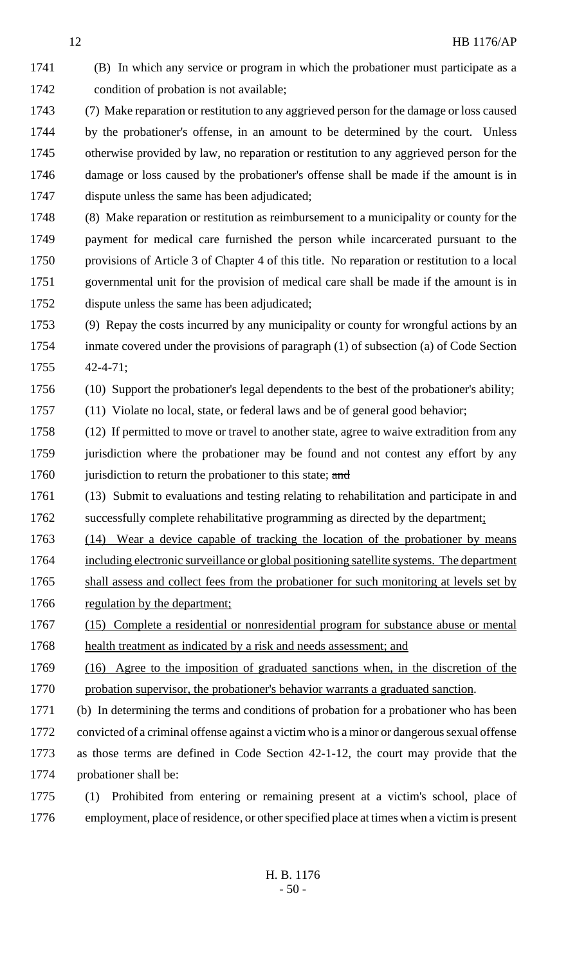condition of probation is not available; (7) Make reparation or restitution to any aggrieved person for the damage or loss caused by the probationer's offense, in an amount to be determined by the court. Unless otherwise provided by law, no reparation or restitution to any aggrieved person for the damage or loss caused by the probationer's offense shall be made if the amount is in dispute unless the same has been adjudicated;

(B) In which any service or program in which the probationer must participate as a

 (8) Make reparation or restitution as reimbursement to a municipality or county for the payment for medical care furnished the person while incarcerated pursuant to the provisions of Article 3 of Chapter 4 of this title. No reparation or restitution to a local governmental unit for the provision of medical care shall be made if the amount is in dispute unless the same has been adjudicated;

 (9) Repay the costs incurred by any municipality or county for wrongful actions by an inmate covered under the provisions of paragraph (1) of subsection (a) of Code Section 42-4-71;

(10) Support the probationer's legal dependents to the best of the probationer's ability;

(11) Violate no local, state, or federal laws and be of general good behavior;

 (12) If permitted to move or travel to another state, agree to waive extradition from any 1759 jurisdiction where the probationer may be found and not contest any effort by any 1760 jurisdiction to return the probationer to this state; and

 (13) Submit to evaluations and testing relating to rehabilitation and participate in and 1762 successfully complete rehabilitative programming as directed by the department;

(14) Wear a device capable of tracking the location of the probationer by means

- including electronic surveillance or global positioning satellite systems. The department 1765 shall assess and collect fees from the probationer for such monitoring at levels set by
- 1766 regulation by the department;
- (15) Complete a residential or nonresidential program for substance abuse or mental
- 1768 health treatment as indicated by a risk and needs assessment; and
- (16) Agree to the imposition of graduated sanctions when, in the discretion of the probation supervisor, the probationer's behavior warrants a graduated sanction.
- (b) In determining the terms and conditions of probation for a probationer who has been convicted of a criminal offense against a victim who is a minor or dangerous sexual offense as those terms are defined in Code Section 42-1-12, the court may provide that the probationer shall be:
- (1) Prohibited from entering or remaining present at a victim's school, place of employment, place of residence, or other specified place at times when a victim is present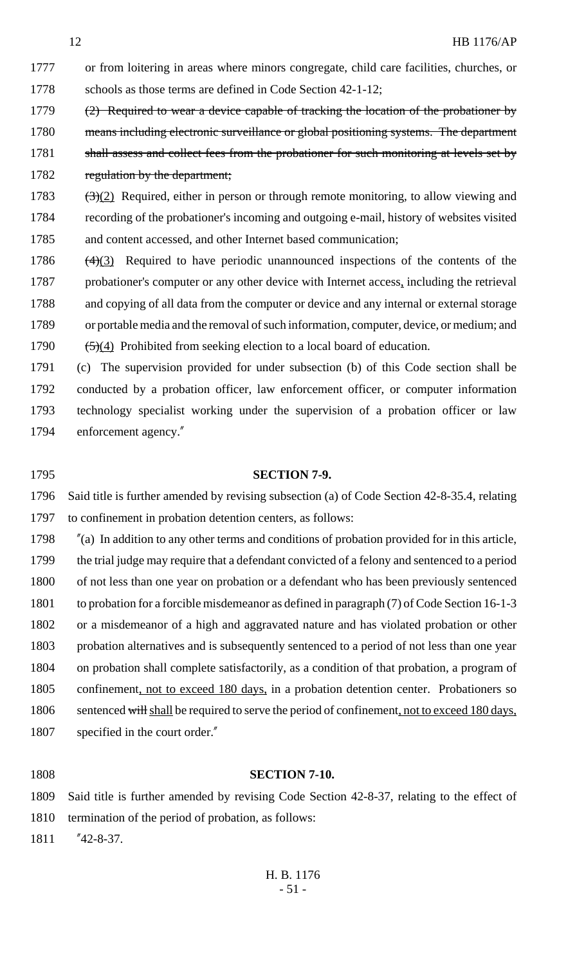- or from loitering in areas where minors congregate, child care facilities, churches, or 1778 schools as those terms are defined in Code Section 42-1-12; 1779 (2) Required to wear a device capable of tracking the location of the probationer by
- 1780 means including electronic surveillance or global positioning systems. The department 1781 shall assess and collect fees from the probationer for such monitoring at levels set by 1782 regulation by the department;
- 1783  $(3)(2)$  Required, either in person or through remote monitoring, to allow viewing and recording of the probationer's incoming and outgoing e-mail, history of websites visited and content accessed, and other Internet based communication;
- 1786  $(4)(3)$  Required to have periodic unannounced inspections of the contents of the probationer's computer or any other device with Internet access, including the retrieval 1788 and copying of all data from the computer or device and any internal or external storage or portable media and the removal of such information, computer, device, or medium; and 1790  $(5)(4)$  Prohibited from seeking election to a local board of education.
- (c) The supervision provided for under subsection (b) of this Code section shall be conducted by a probation officer, law enforcement officer, or computer information technology specialist working under the supervision of a probation officer or law enforcement agency."
- 

#### **SECTION 7-9.**

 Said title is further amended by revising subsection (a) of Code Section 42-8-35.4, relating to confinement in probation detention centers, as follows:

 "(a) In addition to any other terms and conditions of probation provided for in this article, the trial judge may require that a defendant convicted of a felony and sentenced to a period 1800 of not less than one year on probation or a defendant who has been previously sentenced to probation for a forcible misdemeanor as defined in paragraph (7) of Code Section 16-1-3 or a misdemeanor of a high and aggravated nature and has violated probation or other probation alternatives and is subsequently sentenced to a period of not less than one year on probation shall complete satisfactorily, as a condition of that probation, a program of confinement, not to exceed 180 days, in a probation detention center. Probationers so 1806 sentenced will shall be required to serve the period of confinement, not to exceed 180 days, 1807 specified in the court order."

#### **SECTION 7-10.**

 Said title is further amended by revising Code Section 42-8-37, relating to the effect of termination of the period of probation, as follows:

"42-8-37.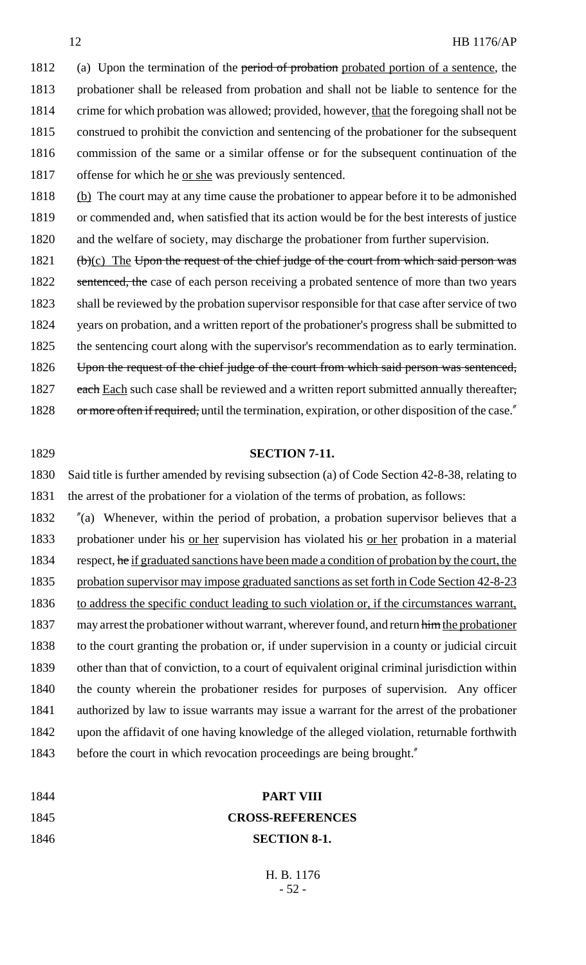1812 (a) Upon the termination of the period of probation probated portion of a sentence, the 1813 probationer shall be released from probation and shall not be liable to sentence for the 1814 crime for which probation was allowed; provided, however, that the foregoing shall not be 1815 construed to prohibit the conviction and sentencing of the probationer for the subsequent 1816 commission of the same or a similar offense or for the subsequent continuation of the 1817 offense for which he <u>or she</u> was previously sentenced.

1818 (b) The court may at any time cause the probationer to appear before it to be admonished 1819 or commended and, when satisfied that its action would be for the best interests of justice 1820 and the welfare of society, may discharge the probationer from further supervision.

- 1821  $(b)(c)$  The Upon the request of the chief judge of the court from which said person was 1822 sentenced, the case of each person receiving a probated sentence of more than two years 1823 shall be reviewed by the probation supervisor responsible for that case after service of two 1824 years on probation, and a written report of the probationer's progress shall be submitted to 1825 the sentencing court along with the supervisor's recommendation as to early termination. 1826 Upon the request of the chief judge of the court from which said person was sentenced, 1827 each Each such case shall be reviewed and a written report submitted annually thereafter,
- 1828 or more often if required, until the termination, expiration, or other disposition of the case."
- 1829 **SECTION 7-11.**

1830 Said title is further amended by revising subsection (a) of Code Section 42-8-38, relating to 1831 the arrest of the probationer for a violation of the terms of probation, as follows:

1832 "(a) Whenever, within the period of probation, a probation supervisor believes that a 1833 probationer under his <u>or her</u> supervision has violated his <u>or her</u> probation in a material 1834 respect, he if graduated sanctions have been made a condition of probation by the court, the 1835 probation supervisor may impose graduated sanctions as set forth in Code Section 42-8-23 1836 to address the specific conduct leading to such violation or, if the circumstances warrant, 1837 may arrest the probationer without warrant, wherever found, and return him the probationer 1838 to the court granting the probation or, if under supervision in a county or judicial circuit 1839 other than that of conviction, to a court of equivalent original criminal jurisdiction within 1840 the county wherein the probationer resides for purposes of supervision. Any officer 1841 authorized by law to issue warrants may issue a warrant for the arrest of the probationer 1842 upon the affidavit of one having knowledge of the alleged violation, returnable forthwith 1843 before the court in which revocation proceedings are being brought."

| 1844 | <b>PART VIII</b>        |
|------|-------------------------|
| 1845 | <b>CROSS-REFERENCES</b> |
| 1846 | <b>SECTION 8-1.</b>     |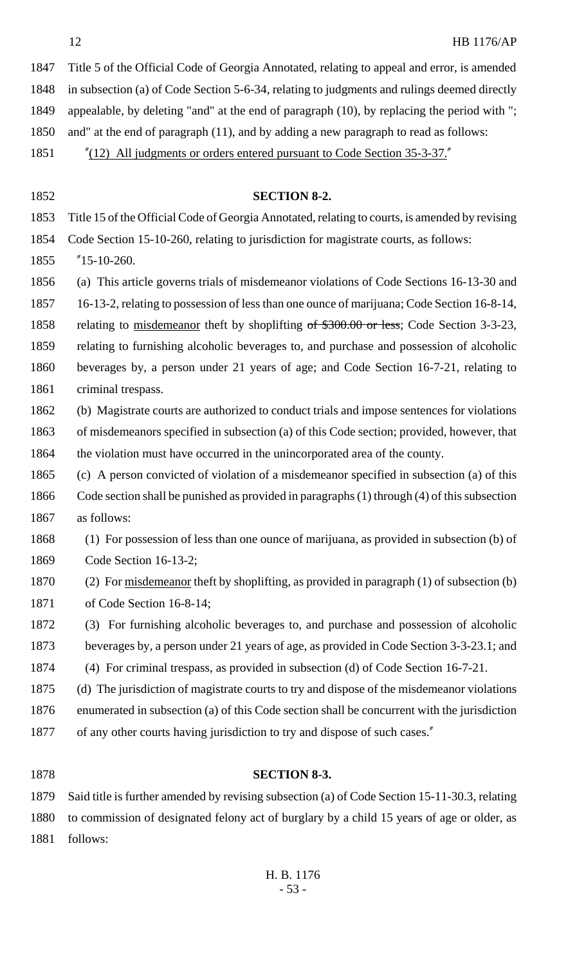Title 5 of the Official Code of Georgia Annotated, relating to appeal and error, is amended in subsection (a) of Code Section 5-6-34, relating to judgments and rulings deemed directly appealable, by deleting "and" at the end of paragraph (10), by replacing the period with "; and" at the end of paragraph (11), and by adding a new paragraph to read as follows: "(12) All judgments or orders entered pursuant to Code Section 35-3-37."

 **SECTION 8-2.** Title 15 of the Official Code of Georgia Annotated, relating to courts, is amended by revising Code Section 15-10-260, relating to jurisdiction for magistrate courts, as follows: "15-10-260. (a) This article governs trials of misdemeanor violations of Code Sections 16-13-30 and 16-13-2, relating to possession of less than one ounce of marijuana; Code Section 16-8-14, 1858 relating to misdemeanor theft by shoplifting of \$300.00 or less; Code Section 3-3-23, relating to furnishing alcoholic beverages to, and purchase and possession of alcoholic beverages by, a person under 21 years of age; and Code Section 16-7-21, relating to criminal trespass. (b) Magistrate courts are authorized to conduct trials and impose sentences for violations of misdemeanors specified in subsection (a) of this Code section; provided, however, that 1864 the violation must have occurred in the unincorporated area of the county. (c) A person convicted of violation of a misdemeanor specified in subsection (a) of this Code section shall be punished as provided in paragraphs (1) through (4) of this subsection as follows: (1) For possession of less than one ounce of marijuana, as provided in subsection (b) of Code Section 16-13-2; (2) For misdemeanor theft by shoplifting, as provided in paragraph (1) of subsection (b) of Code Section 16-8-14; (3) For furnishing alcoholic beverages to, and purchase and possession of alcoholic beverages by, a person under 21 years of age, as provided in Code Section 3-3-23.1; and (4) For criminal trespass, as provided in subsection (d) of Code Section 16-7-21. (d) The jurisdiction of magistrate courts to try and dispose of the misdemeanor violations enumerated in subsection (a) of this Code section shall be concurrent with the jurisdiction 1877 of any other courts having jurisdiction to try and dispose of such cases."

# **SECTION 8-3.**

 Said title is further amended by revising subsection (a) of Code Section 15-11-30.3, relating to commission of designated felony act of burglary by a child 15 years of age or older, as follows: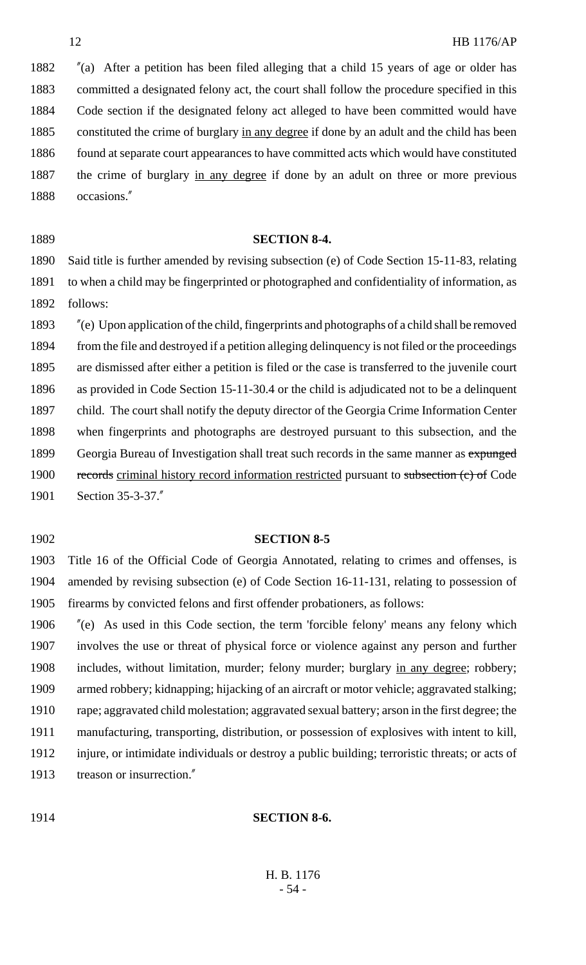"(a) After a petition has been filed alleging that a child 15 years of age or older has committed a designated felony act, the court shall follow the procedure specified in this Code section if the designated felony act alleged to have been committed would have 1885 constituted the crime of burglary in any degree if done by an adult and the child has been 1886 found at separate court appearances to have committed acts which would have constituted 1887 the crime of burglary in any degree if done by an adult on three or more previous occasions."

# **SECTION 8-4.**

 Said title is further amended by revising subsection (e) of Code Section 15-11-83, relating to when a child may be fingerprinted or photographed and confidentiality of information, as follows:

 "(e) Upon application of the child, fingerprints and photographs of a child shall be removed from the file and destroyed if a petition alleging delinquency is not filed or the proceedings are dismissed after either a petition is filed or the case is transferred to the juvenile court as provided in Code Section 15-11-30.4 or the child is adjudicated not to be a delinquent child. The court shall notify the deputy director of the Georgia Crime Information Center when fingerprints and photographs are destroyed pursuant to this subsection, and the 1899 Georgia Bureau of Investigation shall treat such records in the same manner as expunged 1900 records criminal history record information restricted pursuant to subsection (c) of Code Section 35-3-37."

### **SECTION 8-5**

 Title 16 of the Official Code of Georgia Annotated, relating to crimes and offenses, is amended by revising subsection (e) of Code Section 16-11-131, relating to possession of firearms by convicted felons and first offender probationers, as follows:

 "(e) As used in this Code section, the term 'forcible felony' means any felony which involves the use or threat of physical force or violence against any person and further 1908 includes, without limitation, murder; felony murder; burglary in any degree; robbery; armed robbery; kidnapping; hijacking of an aircraft or motor vehicle; aggravated stalking; rape; aggravated child molestation; aggravated sexual battery; arson in the first degree; the manufacturing, transporting, distribution, or possession of explosives with intent to kill, injure, or intimidate individuals or destroy a public building; terroristic threats; or acts of treason or insurrection."

#### **SECTION 8-6.**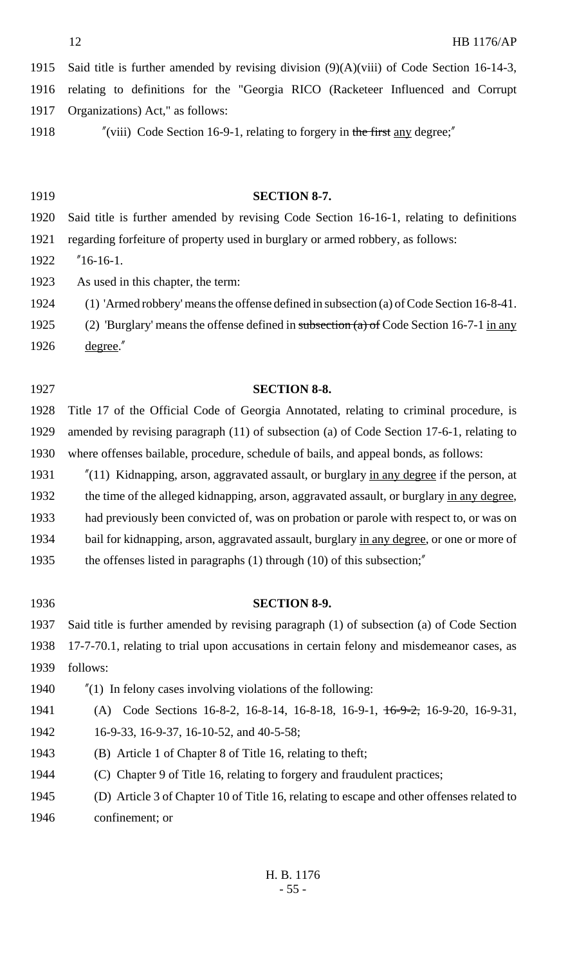Said title is further amended by revising division (9)(A)(viii) of Code Section 16-14-3, relating to definitions for the "Georgia RICO (Racketeer Influenced and Corrupt Organizations) Act," as follows:

1918 "(viii) Code Section 16-9-1, relating to forgery in the first any degree;"

**SECTION 8-7.**

 Said title is further amended by revising Code Section 16-16-1, relating to definitions regarding forfeiture of property used in burglary or armed robbery, as follows: "16-16-1. As used in this chapter, the term: (1) 'Armed robbery' means the offense defined in subsection (a) of Code Section 16-8-41. 1925 (2) 'Burglary' means the offense defined in subsection  $(a)$  of Code Section 16-7-1 in any degree." **SECTION 8-8.** Title 17 of the Official Code of Georgia Annotated, relating to criminal procedure, is amended by revising paragraph (11) of subsection (a) of Code Section 17-6-1, relating to where offenses bailable, procedure, schedule of bails, and appeal bonds, as follows: 1931 "(11) Kidnapping, arson, aggravated assault, or burglary in any degree if the person, at 1932 the time of the alleged kidnapping, arson, aggravated assault, or burglary in any degree, had previously been convicted of, was on probation or parole with respect to, or was on 1934 bail for kidnapping, arson, aggravated assault, burglary in any degree, or one or more of the offenses listed in paragraphs (1) through (10) of this subsection;" **SECTION 8-9.** Said title is further amended by revising paragraph (1) of subsection (a) of Code Section 17-7-70.1, relating to trial upon accusations in certain felony and misdemeanor cases, as follows: "(1) In felony cases involving violations of the following: (A) Code Sections 16-8-2, 16-8-14, 16-8-18, 16-9-1, 16-9-2, 16-9-20, 16-9-31,

16-9-33, 16-9-37, 16-10-52, and 40-5-58;

(B) Article 1 of Chapter 8 of Title 16, relating to theft;

(C) Chapter 9 of Title 16, relating to forgery and fraudulent practices;

 (D) Article 3 of Chapter 10 of Title 16, relating to escape and other offenses related to confinement; or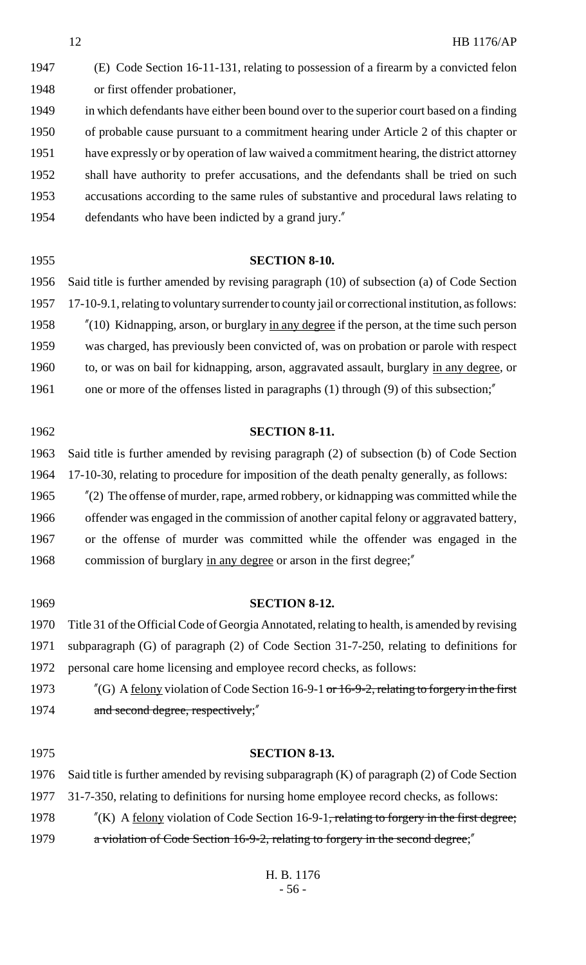(E) Code Section 16-11-131, relating to possession of a firearm by a convicted felon or first offender probationer, in which defendants have either been bound over to the superior court based on a finding of probable cause pursuant to a commitment hearing under Article 2 of this chapter or have expressly or by operation of law waived a commitment hearing, the district attorney shall have authority to prefer accusations, and the defendants shall be tried on such accusations according to the same rules of substantive and procedural laws relating to defendants who have been indicted by a grand jury."

 **SECTION 8-10.** Said title is further amended by revising paragraph (10) of subsection (a) of Code Section 17-10-9.1, relating to voluntary surrender to county jail or correctional institution, as follows: "(10) Kidnapping, arson, or burglary in any degree if the person, at the time such person was charged, has previously been convicted of, was on probation or parole with respect to, or was on bail for kidnapping, arson, aggravated assault, burglary in any degree, or 1961 one or more of the offenses listed in paragraphs (1) through (9) of this subsection;"

| 1962 | <b>SECTION 8-11.</b>                                                                       |
|------|--------------------------------------------------------------------------------------------|
| 1963 | Said title is further amended by revising paragraph (2) of subsection (b) of Code Section  |
| 1964 | 17-10-30, relating to procedure for imposition of the death penalty generally, as follows: |
| 1965 | $''(2)$ The offense of murder, rape, armed robbery, or kidnapping was committed while the  |
| 1966 | offender was engaged in the commission of another capital felony or aggravated battery,    |
| 1967 | or the offense of murder was committed while the offender was engaged in the               |
| 1968 | commission of burglary in any degree or arson in the first degree;"                        |
|      |                                                                                            |
| 1969 | <b>SECTION 8-12.</b>                                                                       |

 Title 31 of the Official Code of Georgia Annotated, relating to health, is amended by revising subparagraph (G) of paragraph (2) of Code Section 31-7-250, relating to definitions for personal care home licensing and employee record checks, as follows:

1973 "(G) A <u>felony</u> violation of Code Section 16-9-1 <del>or 16-9-2, relating to forgery in the first</del> 1974 and second degree, respectively;"

 **SECTION 8-13.** Said title is further amended by revising subparagraph (K) of paragraph (2) of Code Section 31-7-350, relating to definitions for nursing home employee record checks, as follows:  $\frac{1}{2}$  (K) A felony violation of Code Section 16-9-1<del>, relating to forgery in the first degree;</del> a violation of Code Section 16-9-2, relating to forgery in the second degree;"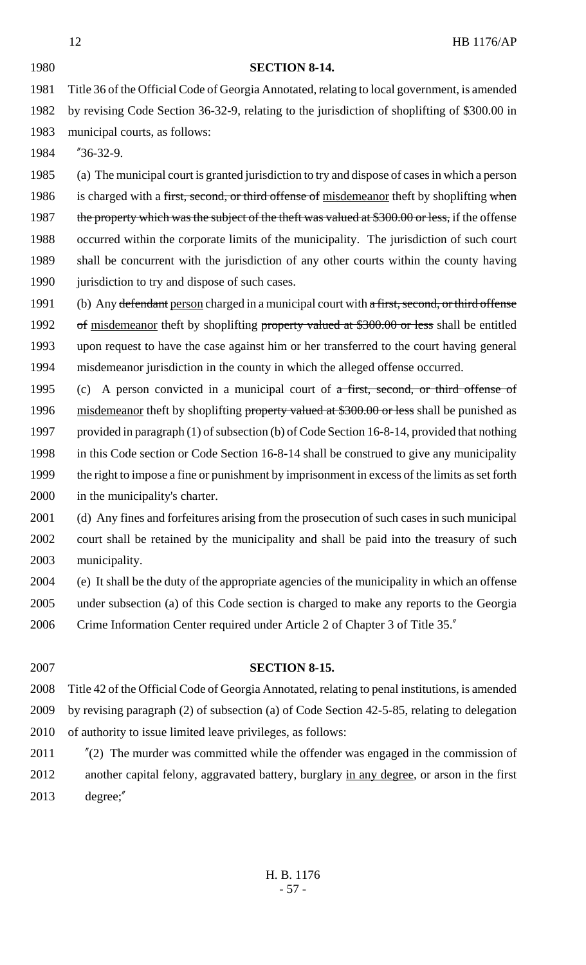#### **SECTION 8-14.**

 Title 36 of the Official Code of Georgia Annotated, relating to local government, is amended by revising Code Section 36-32-9, relating to the jurisdiction of shoplifting of \$300.00 in municipal courts, as follows:

"36-32-9.

 (a) The municipal court is granted jurisdiction to try and dispose of cases in which a person 1986 is charged with a first, second, or third offense of misdemeanor theft by shoplifting when 1987 the property which was the subject of the theft was valued at \$300.00 or less, if the offense occurred within the corporate limits of the municipality. The jurisdiction of such court shall be concurrent with the jurisdiction of any other courts within the county having 1990 jurisdiction to try and dispose of such cases.

1991 (b) Any defendant person charged in a municipal court with a first, second, or third offense 1992 of misdemeanor theft by shoplifting property valued at \$300.00 or less shall be entitled upon request to have the case against him or her transferred to the court having general misdemeanor jurisdiction in the county in which the alleged offense occurred.

1995 (c) A person convicted in a municipal court of a first, second, or third offense of 1996 misdemeanor theft by shoplifting property valued at \$300.00 or less shall be punished as provided in paragraph (1) of subsection (b) of Code Section 16-8-14, provided that nothing in this Code section or Code Section 16-8-14 shall be construed to give any municipality the right to impose a fine or punishment by imprisonment in excess of the limits as set forth in the municipality's charter.

 (d) Any fines and forfeitures arising from the prosecution of such cases in such municipal court shall be retained by the municipality and shall be paid into the treasury of such municipality.

- (e) It shall be the duty of the appropriate agencies of the municipality in which an offense
- under subsection (a) of this Code section is charged to make any reports to the Georgia
- Crime Information Center required under Article 2 of Chapter 3 of Title 35."

 **SECTION 8-15.** Title 42 of the Official Code of Georgia Annotated, relating to penal institutions, is amended by revising paragraph (2) of subsection (a) of Code Section 42-5-85, relating to delegation of authority to issue limited leave privileges, as follows: "(2) The murder was committed while the offender was engaged in the commission of

2012 another capital felony, aggravated battery, burglary in any degree, or arson in the first degree;"